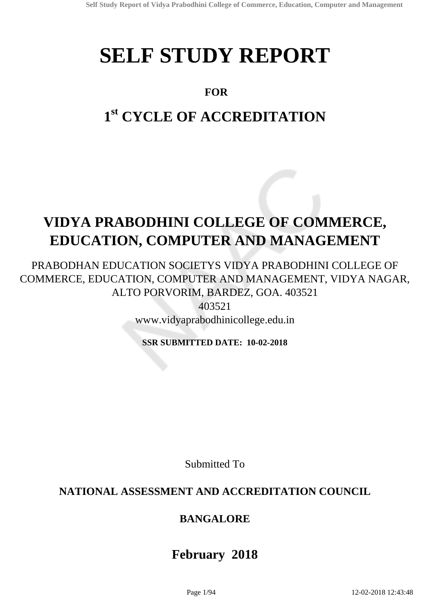# **SELF STUDY REPORT**

## **FOR**

## **1 st CYCLE OF ACCREDITATION**

## **VIDYA PRABODHINI COLLEGE OF COMMERCE, EDUCATION, COMPUTER AND MANAGEMENT**

PRABODHAN EDUCATION SOCIETYS VIDYA PRABODHINI COLLEGE OF COMMERCE, EDUCATION, COMPUTER AND MANAGEMENT, VIDYA NAGAR, ALTO PORVORIM, BARDEZ, GOA. 403521

403521 www.vidyaprabodhinicollege.edu.in

**SSR SUBMITTED DATE: 10-02-2018**

Submitted To

## **NATIONAL ASSESSMENT AND ACCREDITATION COUNCIL**

## **BANGALORE**

## **February 2018**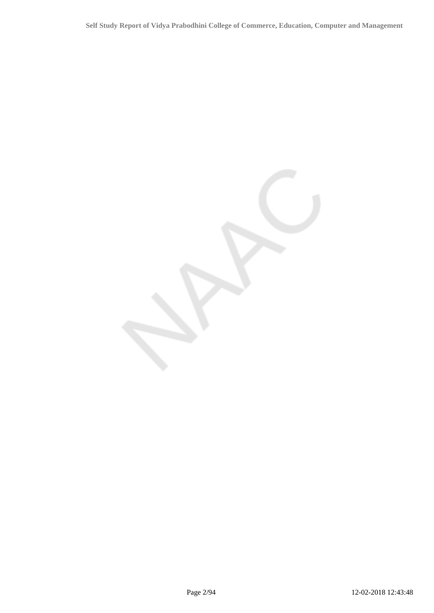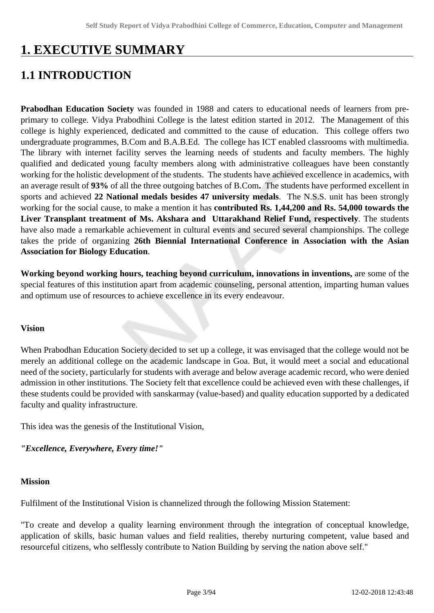## **1. EXECUTIVE SUMMARY**

## **1.1 INTRODUCTION**

**Prabodhan Education Society** was founded in 1988 and caters to educational needs of learners from preprimary to college. Vidya Prabodhini College is the latest edition started in 2012. The Management of this college is highly experienced, dedicated and committed to the cause of education. This college offers two undergraduate programmes, B.Com and B.A.B.Ed. The college has ICT enabled classrooms with multimedia. The library with internet facility serves the learning needs of students and faculty members. The highly qualified and dedicated young faculty members along with administrative colleagues have been constantly working for the holistic development of the students. The students have achieved excellence in academics, with an average result of **93%** of all the three outgoing batches of B.Com**.** The students have performed excellent in sports and achieved **22 National medals besides 47 university medals**. The N.S.S. unit has been strongly working for the social cause, to make a mention it has **contributed Rs. 1,44,200 and Rs. 54,000 towards the Liver Transplant treatment of Ms. Akshara and Uttarakhand Relief Fund, respectively**. The students have also made a remarkable achievement in cultural events and secured several championships. The college takes the pride of organizing **26th Biennial International Conference in Association with the Asian Association for Biology Education**.

**Working beyond working hours, teaching beyond curriculum, innovations in inventions,** are some of the special features of this institution apart from academic counseling, personal attention, imparting human values and optimum use of resources to achieve excellence in its every endeavour.

#### **Vision**

When Prabodhan Education Society decided to set up a college, it was envisaged that the college would not be merely an additional college on the academic landscape in Goa. But, it would meet a social and educational need of the society, particularly for students with average and below average academic record, who were denied admission in other institutions. The Society felt that excellence could be achieved even with these challenges, if these students could be provided with sanskarmay (value-based) and quality education supported by a dedicated faculty and quality infrastructure.

This idea was the genesis of the Institutional Vision,

*"Excellence, Everywhere, Every time!"*

#### **Mission**

Fulfilment of the Institutional Vision is channelized through the following Mission Statement:

"To create and develop a quality learning environment through the integration of conceptual knowledge, application of skills, basic human values and field realities, thereby nurturing competent, value based and resourceful citizens, who selflessly contribute to Nation Building by serving the nation above self."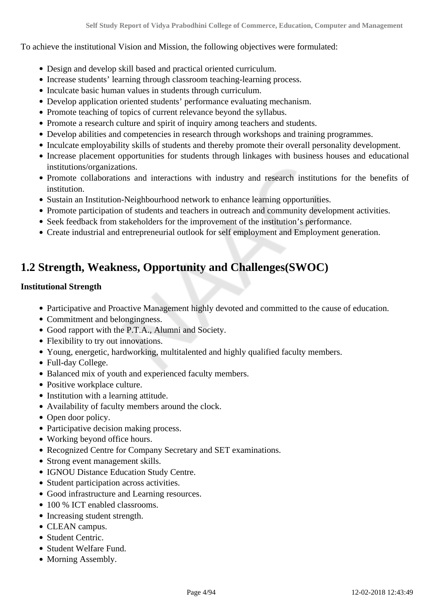To achieve the institutional Vision and Mission, the following objectives were formulated:

- Design and develop skill based and practical oriented curriculum.
- Increase students' learning through classroom teaching-learning process.
- Inculcate basic human values in students through curriculum.
- Develop application oriented students' performance evaluating mechanism.
- Promote teaching of topics of current relevance beyond the syllabus.
- Promote a research culture and spirit of inquiry among teachers and students.
- Develop abilities and competencies in research through workshops and training programmes.
- Inculcate employability skills of students and thereby promote their overall personality development.
- Increase placement opportunities for students through linkages with business houses and educational institutions/organizations.
- Promote collaborations and interactions with industry and research institutions for the benefits of institution.
- Sustain an Institution-Neighbourhood network to enhance learning opportunities.
- Promote participation of students and teachers in outreach and community development activities.
- Seek feedback from stakeholders for the improvement of the institution's performance.
- Create industrial and entrepreneurial outlook for self employment and Employment generation.

## **1.2 Strength, Weakness, Opportunity and Challenges(SWOC)**

#### **Institutional Strength**

- Participative and Proactive Management highly devoted and committed to the cause of education.
- Commitment and belongingness.
- Good rapport with the P.T.A., Alumni and Society.
- Flexibility to try out innovations.
- Young, energetic, hardworking, multitalented and highly qualified faculty members.
- Full-day College.
- Balanced mix of youth and experienced faculty members.
- Positive workplace culture.
- Institution with a learning attitude.
- Availability of faculty members around the clock.
- Open door policy.
- Participative decision making process.
- Working beyond office hours.
- Recognized Centre for Company Secretary and SET examinations.
- Strong event management skills.
- IGNOU Distance Education Study Centre.
- Student participation across activities.
- Good infrastructure and Learning resources.
- 100 % ICT enabled classrooms.
- Increasing student strength.
- CLEAN campus.
- Student Centric.
- Student Welfare Fund.
- Morning Assembly.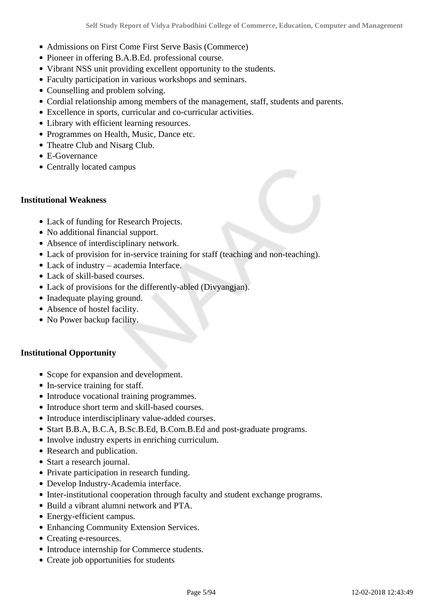- Admissions on First Come First Serve Basis (Commerce)
- Pioneer in offering B.A.B.Ed. professional course.
- Vibrant NSS unit providing excellent opportunity to the students.
- Faculty participation in various workshops and seminars.
- Counselling and problem solving.
- Cordial relationship among members of the management, staff, students and parents.
- Excellence in sports, curricular and co-curricular activities.
- Library with efficient learning resources.
- Programmes on Health, Music, Dance etc.
- Theatre Club and Nisarg Club.
- E-Governance
- Centrally located campus

#### **Institutional Weakness**

- Lack of funding for Research Projects.
- No additional financial support.
- Absence of interdisciplinary network.
- Lack of provision for in-service training for staff (teaching and non-teaching).
- Lack of industry academia Interface.
- Lack of skill-based courses.
- Lack of provisions for the differently-abled (Divyangjan).
- Inadequate playing ground.
- Absence of hostel facility.
- No Power backup facility.

#### **Institutional Opportunity**

- Scope for expansion and development.
- In-service training for staff.
- Introduce vocational training programmes.
- Introduce short term and skill-based courses.
- Introduce interdisciplinary value-added courses.
- Start B.B.A, B.C.A, B.Sc.B.Ed, B.Com.B.Ed and post-graduate programs.
- Involve industry experts in enriching curriculum.
- Research and publication.
- Start a research journal.
- Private participation in research funding.
- Develop Industry-Academia interface.
- Inter-institutional cooperation through faculty and student exchange programs.
- Build a vibrant alumni network and PTA.
- Energy-efficient campus.
- Enhancing Community Extension Services.
- Creating e-resources.
- Introduce internship for Commerce students.
- Create job opportunities for students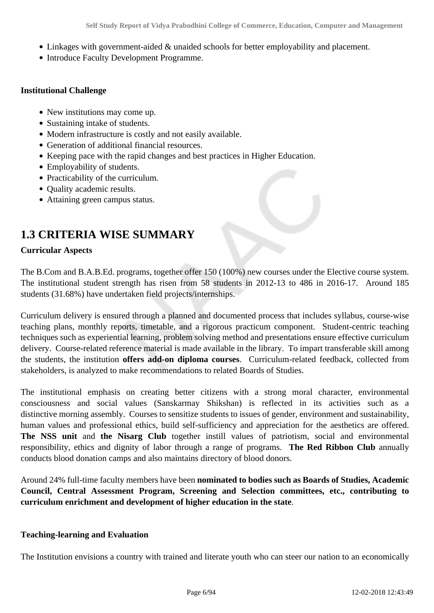- Linkages with government-aided & unaided schools for better employability and placement.
- Introduce Faculty Development Programme.

#### **Institutional Challenge**

- New institutions may come up.
- Sustaining intake of students.
- Modern infrastructure is costly and not easily available.
- Generation of additional financial resources.
- Keeping pace with the rapid changes and best practices in Higher Education.
- Employability of students.
- Practicability of the curriculum.
- Ouality academic results.
- Attaining green campus status.

## **1.3 CRITERIA WISE SUMMARY**

#### **Curricular Aspects**

The B.Com and B.A.B.Ed. programs, together offer 150 (100%) new courses under the Elective course system. The institutional student strength has risen from 58 students in 2012-13 to 486 in 2016-17. Around 185 students (31.68%) have undertaken field projects/internships.

Curriculum delivery is ensured through a planned and documented process that includes syllabus, course-wise teaching plans, monthly reports, timetable, and a rigorous practicum component. Student-centric teaching techniques such as experiential learning, problem solving method and presentations ensure effective curriculum delivery. Course-related reference material is made available in the library. To impart transferable skill among the students, the institution **offers add-on diploma courses**. Curriculum-related feedback, collected from stakeholders, is analyzed to make recommendations to related Boards of Studies.

The institutional emphasis on creating better citizens with a strong moral character, environmental consciousness and social values (Sanskarmay Shikshan) is reflected in its activities such as a distinctive morning assembly. Courses to sensitize students to issues of gender, environment and sustainability, human values and professional ethics, build self-sufficiency and appreciation for the aesthetics are offered. **The NSS unit** and **the Nisarg Club** together instill values of patriotism, social and environmental responsibility, ethics and dignity of labor through a range of programs. **The Red Ribbon Club** annually conducts blood donation camps and also maintains directory of blood donors.

Around 24% full-time faculty members have been **nominated to bodies such as Boards of Studies, Academic Council, Central Assessment Program, Screening and Selection committees, etc., contributing to curriculum enrichment and development of higher education in the state**.

#### **Teaching-learning and Evaluation**

The Institution envisions a country with trained and literate youth who can steer our nation to an economically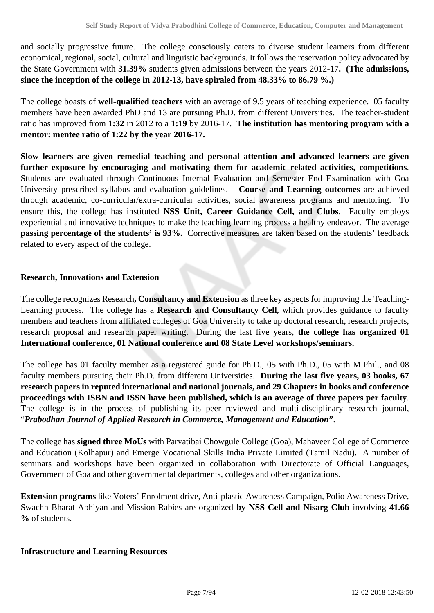and socially progressive future. The college consciously caters to diverse student learners from different economical, regional, social, cultural and linguistic backgrounds. It follows the reservation policy advocated by the State Government with **31.39%** students given admissions between the years 2012-17**. (The admissions, since the inception of the college in 2012-13, have spiraled from 48.33% to 86.79 %.)**

The college boasts of **well-qualified teachers** with an average of 9.5 years of teaching experience. 05 faculty members have been awarded PhD and 13 are pursuing Ph.D. from different Universities. The teacher-student ratio has improved from **1:32** in 2012 to a **1:19** by 2016-17. **The institution has mentoring program with a mentor: mentee ratio of 1:22 by the year 2016-17.**

**Slow learners are given remedial teaching and personal attention and advanced learners are given further exposure by encouraging and motivating them for academic related activities, competitions**. Students are evaluated through Continuous Internal Evaluation and Semester End Examination with Goa University prescribed syllabus and evaluation guidelines. **Course and Learning outcomes** are achieved through academic, co-curricular/extra-curricular activities, social awareness programs and mentoring. To ensure this, the college has instituted **NSS Unit, Career Guidance Cell, and Clubs**. Faculty employs experiential and innovative techniques to make the teaching learning process a healthy endeavor. The average **passing percentage of the students' is 93%.** Corrective measures are taken based on the students' feedback related to every aspect of the college.

#### **Research, Innovations and Extension**

The college recognizes Research**, Consultancy and Extension** as three key aspects for improving the Teaching-Learning process. The college has a **Research and Consultancy Cell**, which provides guidance to faculty members and teachers from affiliated colleges of Goa University to take up doctoral research, research projects, research proposal and research paper writing. During the last five years, **the college has organized 01 International conference, 01 National conference and 08 State Level workshops/seminars.**

The college has 01 faculty member as a registered guide for Ph.D., 05 with Ph.D., 05 with M.Phil., and 08 faculty members pursuing their Ph.D. from different Universities. **During the last five years, 03 books, 67 research papers in reputed international and national journals, and 29 Chapters in books and conference proceedings with ISBN and ISSN have been published, which is an average of three papers per faculty**. The college is in the process of publishing its peer reviewed and multi-disciplinary research journal, "*Prabodhan Journal of Applied Research in Commerce, Management and Education"*.

The college has **signed three MoUs** with Parvatibai Chowgule College (Goa), Mahaveer College of Commerce and Education (Kolhapur) and Emerge Vocational Skills India Private Limited (Tamil Nadu). A number of seminars and workshops have been organized in collaboration with Directorate of Official Languages, Government of Goa and other governmental departments, colleges and other organizations.

**Extension programs** like Voters' Enrolment drive, Anti-plastic Awareness Campaign, Polio Awareness Drive, Swachh Bharat Abhiyan and Mission Rabies are organized **by NSS Cell and Nisarg Club** involving **41.66 %** of students.

#### **Infrastructure and Learning Resources**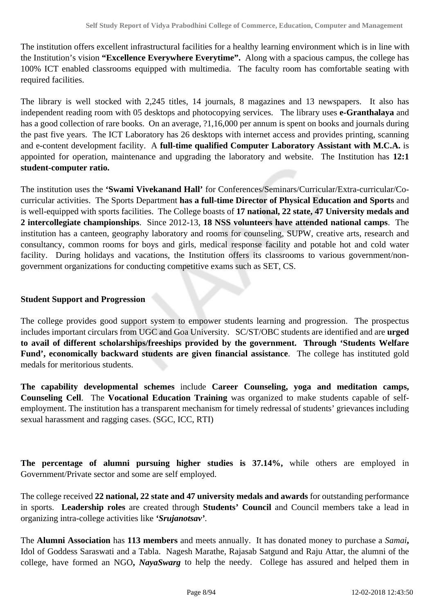The institution offers excellent infrastructural facilities for a healthy learning environment which is in line with the Institution's vision **"Excellence Everywhere Everytime".** Along with a spacious campus, the college has 100% ICT enabled classrooms equipped with multimedia. The faculty room has comfortable seating with required facilities.

The library is well stocked with 2,245 titles, 14 journals, 8 magazines and 13 newspapers. It also has independent reading room with 05 desktops and photocopying services. The library uses **e-Granthalaya** and has a good collection of rare books. On an average, ?1,16,000 per annum is spent on books and journals during the past five years. The ICT Laboratory has 26 desktops with internet access and provides printing, scanning and e-content development facility. A **full-time qualified Computer Laboratory Assistant with M.C.A.** is appointed for operation, maintenance and upgrading the laboratory and website. The Institution has **12:1 student-computer ratio.**

The institution uses the **'Swami Vivekanand Hall'** for Conferences/Seminars/Curricular/Extra-curricular/Cocurricular activities. The Sports Department **has a full-time Director of Physical Education and Sports** and is well-equipped with sports facilities. The College boasts of **17 national, 22 state, 47 University medals and 2 intercollegiate championships**. Since 2012-13, **18 NSS volunteers have attended national camps**. The institution has a canteen, geography laboratory and rooms for counseling, SUPW, creative arts, research and consultancy, common rooms for boys and girls, medical response facility and potable hot and cold water facility. During holidays and vacations, the Institution offers its classrooms to various government/nongovernment organizations for conducting competitive exams such as SET, CS.

#### **Student Support and Progression**

The college provides good support system to empower students learning and progression. The prospectus includes important circulars from UGC and Goa University. SC/ST/OBC students are identified and are **urged to avail of different scholarships/freeships provided by the government. Through 'Students Welfare Fund', economically backward students are given financial assistance**. The college has instituted gold medals for meritorious students.

**The capability developmental schemes** include **Career Counseling, yoga and meditation camps, Counseling Cell**. The **Vocational Education Training** was organized to make students capable of selfemployment. The institution has a transparent mechanism for timely redressal of students' grievances including sexual harassment and ragging cases. (SGC, ICC, RTI)

**The percentage of alumni pursuing higher studies is 37.14%,** while others are employed in Government/Private sector and some are self employed.

The college received **22 national, 22 state and 47 university medals and awards** for outstanding performance in sports. **Leadership roles** are created through **Students' Council** and Council members take a lead in organizing intra-college activities like *'Srujanotsav'*.

The **Alumni Association** has **113 members** and meets annually. It has donated money to purchase a *Samai***,** Idol of Goddess Saraswati and a Tabla. Nagesh Marathe, Rajasab Satgund and Raju Attar, the alumni of the college, have formed an NGO**,** *NayaSwarg* to help the needy. College has assured and helped them in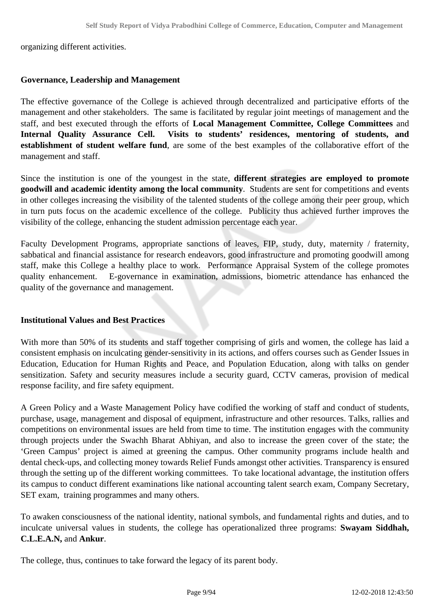organizing different activities.

#### **Governance, Leadership and Management**

The effective governance of the College is achieved through decentralized and participative efforts of the management and other stakeholders. The same is facilitated by regular joint meetings of management and the staff, and best executed through the efforts of **Local Management Committee, College Committees** and **Internal Quality Assurance Cell. Visits to students' residences, mentoring of students, and establishment of student welfare fund**, are some of the best examples of the collaborative effort of the management and staff.

Since the institution is one of the youngest in the state, **different strategies are employed to promote goodwill and academic identity among the local community**. Students are sent for competitions and events in other colleges increasing the visibility of the talented students of the college among their peer group, which in turn puts focus on the academic excellence of the college. Publicity thus achieved further improves the visibility of the college, enhancing the student admission percentage each year.

Faculty Development Programs, appropriate sanctions of leaves, FIP, study, duty, maternity / fraternity, sabbatical and financial assistance for research endeavors, good infrastructure and promoting goodwill among staff, make this College a healthy place to work. Performance Appraisal System of the college promotes quality enhancement. E-governance in examination, admissions, biometric attendance has enhanced the quality of the governance and management.

#### **Institutional Values and Best Practices**

With more than 50% of its students and staff together comprising of girls and women, the college has laid a consistent emphasis on inculcating gender-sensitivity in its actions, and offers courses such as Gender Issues in Education, Education for Human Rights and Peace, and Population Education, along with talks on gender sensitization. Safety and security measures include a security guard, CCTV cameras, provision of medical response facility, and fire safety equipment.

A Green Policy and a Waste Management Policy have codified the working of staff and conduct of students, purchase, usage, management and disposal of equipment, infrastructure and other resources. Talks, rallies and competitions on environmental issues are held from time to time. The institution engages with the community through projects under the Swachh Bharat Abhiyan, and also to increase the green cover of the state; the 'Green Campus' project is aimed at greening the campus. Other community programs include health and dental check-ups, and collecting money towards Relief Funds amongst other activities. Transparency is ensured through the setting up of the different working committees. To take locational advantage, the institution offers its campus to conduct different examinations like national accounting talent search exam, Company Secretary, SET exam, training programmes and many others.

To awaken consciousness of the national identity, national symbols, and fundamental rights and duties, and to inculcate universal values in students, the college has operationalized three programs: **Swayam Siddhah, C.L.E.A.N,** and **Ankur**.

The college, thus, continues to take forward the legacy of its parent body.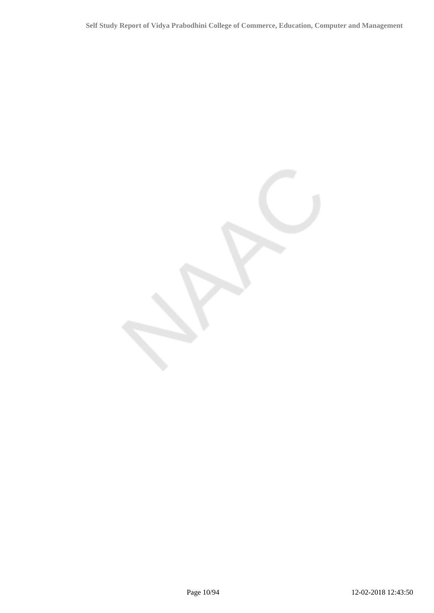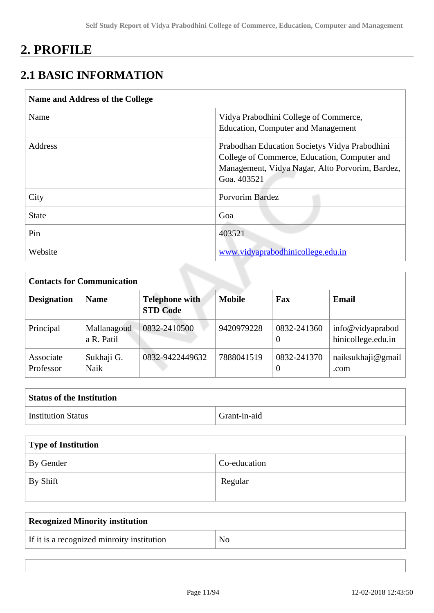## **2. PROFILE**

## **2.1 BASIC INFORMATION**

| Name and Address of the College |                                                                                                                                                                 |
|---------------------------------|-----------------------------------------------------------------------------------------------------------------------------------------------------------------|
| Name                            | Vidya Prabodhini College of Commerce,<br><b>Education, Computer and Management</b>                                                                              |
| Address                         | Prabodhan Education Societys Vidya Prabodhini<br>College of Commerce, Education, Computer and<br>Management, Vidya Nagar, Alto Porvorim, Bardez,<br>Goa. 403521 |
| City                            | Porvorim Bardez                                                                                                                                                 |
| <b>State</b>                    | Goa                                                                                                                                                             |
| Pin                             | 403521                                                                                                                                                          |
| Website                         | www.vidyaprabodhinicollege.edu.in                                                                                                                               |
|                                 |                                                                                                                                                                 |

| <b>Contacts for Communication</b> |                           |                                          |               |                         |                                        |  |  |
|-----------------------------------|---------------------------|------------------------------------------|---------------|-------------------------|----------------------------------------|--|--|
| <b>Designation</b>                | <b>Name</b>               | <b>Telephone with</b><br><b>STD Code</b> | <b>Mobile</b> | Fax                     | Email                                  |  |  |
| Principal                         | Mallanagoud<br>a R. Patil | 0832-2410500                             | 9420979228    | 0832-241360<br>$\theta$ | info@vidyaprabod<br>hinicollege.edu.in |  |  |
| Associate<br>Professor            | Sukhaji G.<br>Naik        | 0832-9422449632                          | 7888041519    | 0832-241370<br>$\theta$ | naiksukhaji@gmail<br>.com              |  |  |

| <b>Status of the Institution</b> |              |  |  |  |  |
|----------------------------------|--------------|--|--|--|--|
| <b>Institution Status</b>        | Grant-in-aid |  |  |  |  |

| Type of Institution |              |  |  |  |
|---------------------|--------------|--|--|--|
| By Gender           | Co-education |  |  |  |
| $\vert$ By Shift    | Regular      |  |  |  |

| Recognized Minority institution            |    |
|--------------------------------------------|----|
| If it is a recognized minroity institution | No |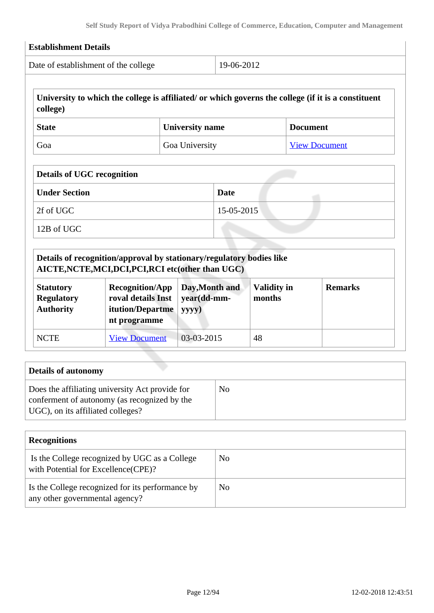| Date of establishment of the college                      |                                                                                                                                                                                                                 |                                              |                | 19-06-2012                   |                      |  |  |
|-----------------------------------------------------------|-----------------------------------------------------------------------------------------------------------------------------------------------------------------------------------------------------------------|----------------------------------------------|----------------|------------------------------|----------------------|--|--|
| college)                                                  | University to which the college is affiliated/ or which governs the college (if it is a constituent                                                                                                             |                                              |                |                              |                      |  |  |
| <b>State</b>                                              |                                                                                                                                                                                                                 | <b>University name</b>                       |                |                              | <b>Document</b>      |  |  |
| Goa                                                       |                                                                                                                                                                                                                 | Goa University                               |                |                              | <b>View Document</b> |  |  |
| <b>Details of UGC recognition</b>                         |                                                                                                                                                                                                                 |                                              |                |                              |                      |  |  |
| <b>Under Section</b>                                      |                                                                                                                                                                                                                 |                                              | <b>Date</b>    |                              |                      |  |  |
| 2f of UGC                                                 |                                                                                                                                                                                                                 |                                              |                | 15-05-2015                   |                      |  |  |
| 12B of UGC                                                |                                                                                                                                                                                                                 |                                              |                |                              |                      |  |  |
| <b>Statutory</b><br><b>Regulatory</b><br><b>Authority</b> | Details of recognition/approval by stationary/regulatory bodies like<br>AICTE, NCTE, MCI, DCI, PCI, RCI etc(other than UGC)<br><b>Recognition/App</b><br>roval details Inst<br>itution/Departme<br>nt programme | Day, Month and<br>year(dd-mm-<br>yyyy)       |                | <b>Validity in</b><br>months | <b>Remarks</b>       |  |  |
| <b>NCTE</b>                                               | <b>View Document</b>                                                                                                                                                                                            | 03-03-2015                                   |                | 48                           |                      |  |  |
|                                                           |                                                                                                                                                                                                                 |                                              |                |                              |                      |  |  |
| <b>Details of autonomy</b>                                |                                                                                                                                                                                                                 |                                              |                |                              |                      |  |  |
|                                                           | Does the affiliating university Act provide for                                                                                                                                                                 | conferment of autonomy (as recognized by the | N <sub>o</sub> |                              |                      |  |  |

| <b>Recognitions</b>                                                                  |     |
|--------------------------------------------------------------------------------------|-----|
| Is the College recognized by UGC as a College<br>with Potential for Excellence(CPE)? | No. |
| Is the College recognized for its performance by<br>any other governmental agency?   | No. |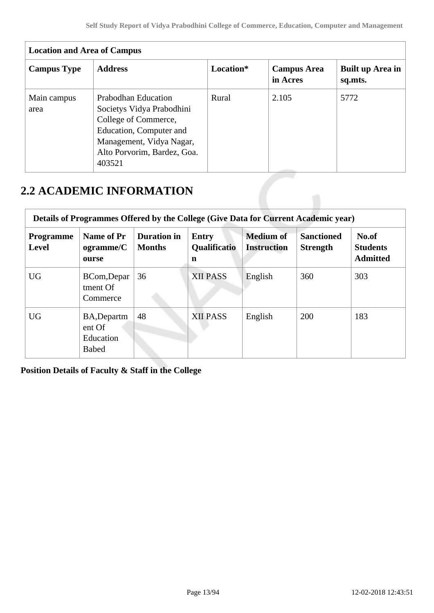| <b>Location and Area of Campus</b> |                                                                                                                                                                                 |           |                                |                             |  |  |  |
|------------------------------------|---------------------------------------------------------------------------------------------------------------------------------------------------------------------------------|-----------|--------------------------------|-----------------------------|--|--|--|
| <b>Campus Type</b>                 | <b>Address</b>                                                                                                                                                                  | Location* | <b>Campus Area</b><br>in Acres | Built up Area in<br>sq.mts. |  |  |  |
| Main campus<br>area                | <b>Prabodhan Education</b><br>Societys Vidya Prabodhini<br>College of Commerce,<br>Education, Computer and<br>Management, Vidya Nagar,<br>Alto Porvorim, Bardez, Goa.<br>403521 | Rural     | 2.105                          | 5772                        |  |  |  |

## **2.2 ACADEMIC INFORMATION**

| Details of Programmes Offered by the College (Give Data for Current Academic year) |                                                    |                                     |                                   |                                        |                                      |                                             |  |
|------------------------------------------------------------------------------------|----------------------------------------------------|-------------------------------------|-----------------------------------|----------------------------------------|--------------------------------------|---------------------------------------------|--|
| <b>Programme</b><br>Level                                                          | Name of Pr<br>ogramme/C<br>ourse                   | <b>Duration</b> in<br><b>Months</b> | Entry<br><b>Qualificatio</b><br>n | <b>Medium of</b><br><b>Instruction</b> | <b>Sanctioned</b><br><b>Strength</b> | No.of<br><b>Students</b><br><b>Admitted</b> |  |
| <b>UG</b>                                                                          | BCom, Depar<br>tment Of<br>Commerce                | 36                                  | <b>XII PASS</b>                   | English                                | 360                                  | 303                                         |  |
| <b>UG</b>                                                                          | BA, Departm<br>ent Of<br>Education<br><b>Babed</b> | 48                                  | <b>XII PASS</b>                   | English                                | 200                                  | 183                                         |  |

**Position Details of Faculty & Staff in the College**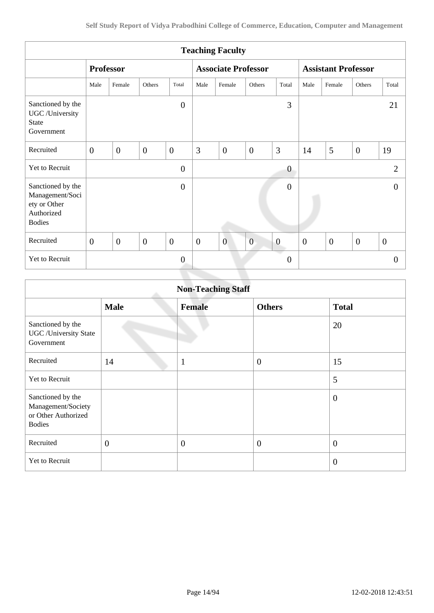| <b>Teaching Faculty</b>                                                             |                  |                |                  |                |                            |                |                |                            |              |              |                |                |
|-------------------------------------------------------------------------------------|------------------|----------------|------------------|----------------|----------------------------|----------------|----------------|----------------------------|--------------|--------------|----------------|----------------|
|                                                                                     | <b>Professor</b> |                |                  |                | <b>Associate Professor</b> |                |                | <b>Assistant Professor</b> |              |              |                |                |
|                                                                                     | Male             | Female         | Others           | Total          | Male                       | Female         | Others         | Total                      | Male         | Female       | Others         | Total          |
| Sanctioned by the<br>UGC /University<br><b>State</b><br>Government                  |                  |                |                  | $\overline{0}$ |                            |                |                | 3                          |              |              |                | 21             |
| Recruited                                                                           | $\overline{0}$   | $\overline{0}$ | $\overline{0}$   | $\overline{0}$ | 3                          | $\overline{0}$ | $\overline{0}$ | 3                          | 14           | 5            | $\overline{0}$ | 19             |
| Yet to Recruit                                                                      |                  |                |                  | $\overline{0}$ |                            |                |                | $\overline{0}$             |              |              |                | 2              |
| Sanctioned by the<br>Management/Soci<br>ety or Other<br>Authorized<br><b>Bodies</b> |                  |                |                  | $\theta$       |                            |                |                | $\overline{0}$             |              |              |                | $\Omega$       |
| Recruited                                                                           | $\boldsymbol{0}$ | $\overline{0}$ | $\boldsymbol{0}$ | $\mathbf{0}$   | $\overline{0}$             | $\overline{0}$ | $\overline{0}$ | $\overline{0}$             | $\mathbf{0}$ | $\mathbf{0}$ | $\overline{0}$ | $\overline{0}$ |
| Yet to Recruit                                                                      |                  |                |                  | $\mathbf{0}$   |                            |                |                | $\theta$                   |              |              |                | $\theta$       |

| <b>Non-Teaching Staff</b>                                                       |                |                |                |                |  |
|---------------------------------------------------------------------------------|----------------|----------------|----------------|----------------|--|
|                                                                                 | <b>Male</b>    | <b>Female</b>  | <b>Others</b>  | <b>Total</b>   |  |
| Sanctioned by the<br><b>UGC</b> / University State<br>Government                |                |                |                | 20             |  |
| Recruited                                                                       | 14             | $\mathbf{1}$   | $\overline{0}$ | 15             |  |
| Yet to Recruit                                                                  |                |                |                | 5              |  |
| Sanctioned by the<br>Management/Society<br>or Other Authorized<br><b>Bodies</b> |                |                |                | $\overline{0}$ |  |
| Recruited                                                                       | $\overline{0}$ | $\overline{0}$ | $\overline{0}$ | $\overline{0}$ |  |
| Yet to Recruit                                                                  |                |                |                | $\overline{0}$ |  |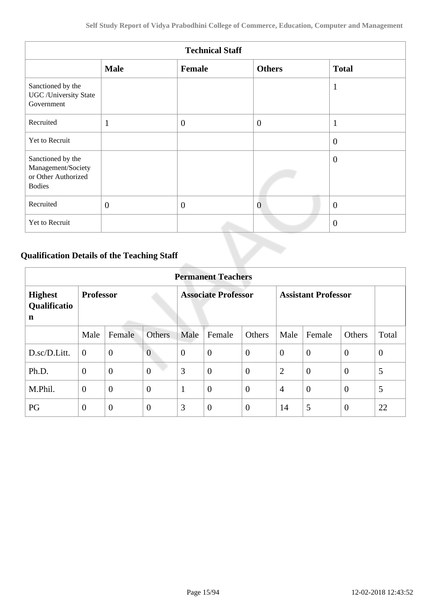| <b>Technical Staff</b>                                                          |              |                  |                |                |  |
|---------------------------------------------------------------------------------|--------------|------------------|----------------|----------------|--|
|                                                                                 | <b>Male</b>  | Female           | <b>Others</b>  | <b>Total</b>   |  |
| Sanctioned by the<br><b>UGC</b> / University State<br>Government                |              |                  |                | $\mathbf{1}$   |  |
| Recruited                                                                       | $\mathbf{1}$ | $\boldsymbol{0}$ | $\overline{0}$ | $\mathbf{1}$   |  |
| Yet to Recruit                                                                  |              |                  |                | $\overline{0}$ |  |
| Sanctioned by the<br>Management/Society<br>or Other Authorized<br><b>Bodies</b> |              |                  |                | $\overline{0}$ |  |
| Recruited                                                                       | $\mathbf{0}$ | $\boldsymbol{0}$ | $\overline{0}$ | $\overline{0}$ |  |
| Yet to Recruit                                                                  |              |                  |                | $\overline{0}$ |  |

## **Qualification Details of the Teaching Staff**

|                                                         | <b>Permanent Teachers</b> |                            |                |                            |                |                |                |              |                |                |
|---------------------------------------------------------|---------------------------|----------------------------|----------------|----------------------------|----------------|----------------|----------------|--------------|----------------|----------------|
| <b>Professor</b><br><b>Highest</b><br>Qualificatio<br>n |                           | <b>Associate Professor</b> |                | <b>Assistant Professor</b> |                |                |                |              |                |                |
|                                                         | Male                      | Female                     | <b>Others</b>  | Male                       | Female         | Others         | Male           | Female       | Others         | Total          |
| D.sc/D.Litt.                                            | $\overline{0}$            | $\mathbf{0}$               | $\overline{0}$ | $\overline{0}$             | $\overline{0}$ | $\theta$       | $\theta$       | $\mathbf{0}$ | $\overline{0}$ | $\overline{0}$ |
| Ph.D.                                                   | $\overline{0}$            | $\overline{0}$             | $\overline{0}$ | 3                          | $\overline{0}$ | $\overline{0}$ | $\overline{2}$ | $\theta$     | $\overline{0}$ | 5              |
| M.Phil.                                                 | $\mathbf{0}$              | $\mathbf{0}$               | $\overline{0}$ | $\mathbf{1}$               | $\overline{0}$ | $\overline{0}$ | $\overline{4}$ | $\theta$     | $\overline{0}$ | 5              |
| PG                                                      | $\overline{0}$            | $\boldsymbol{0}$           | $\overline{0}$ | 3                          | $\overline{0}$ | $\overline{0}$ | 14             | 5            | $\overline{0}$ | 22             |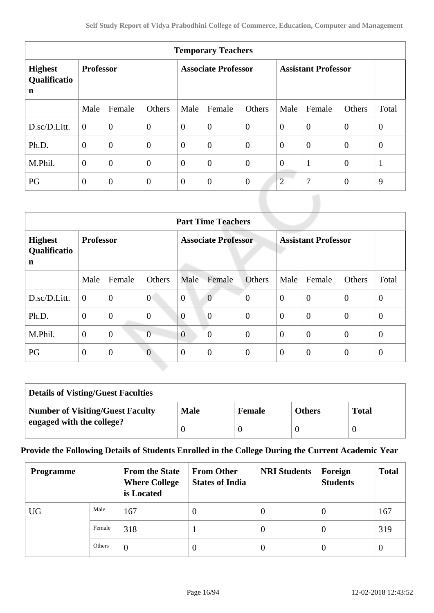| <b>Temporary Teachers</b>                     |                  |                  |                            |                |                  |                            |                |                |                |          |
|-----------------------------------------------|------------------|------------------|----------------------------|----------------|------------------|----------------------------|----------------|----------------|----------------|----------|
| <b>Highest</b><br>Qualificatio<br>$\mathbf n$ | <b>Professor</b> |                  | <b>Associate Professor</b> |                |                  | <b>Assistant Professor</b> |                |                |                |          |
|                                               | Male             | Female           | Others                     | Male           | Female           | Others                     | Male           | Female         | Others         | Total    |
| D.sc/D.Litt.                                  | $\theta$         | $\overline{0}$   | $\overline{0}$             | $\overline{0}$ | $\overline{0}$   | $\overline{0}$             | $\overline{0}$ | $\overline{0}$ | $\theta$       | $\theta$ |
| Ph.D.                                         | $\theta$         | $\overline{0}$   | $\boldsymbol{0}$           | $\overline{0}$ | $\boldsymbol{0}$ | $\overline{0}$             | $\overline{0}$ | $\theta$       | $\theta$       | $\theta$ |
| M.Phil.                                       | $\overline{0}$   | $\boldsymbol{0}$ | $\overline{0}$             | $\overline{0}$ | $\boldsymbol{0}$ | $\overline{0}$             | $\theta$       |                | $\overline{0}$ | 1        |
| PG                                            | $\overline{0}$   | $\boldsymbol{0}$ | $\overline{0}$             | $\theta$       | $\overline{0}$   | $\overline{0}$             | $\overline{2}$ | 7              | $\overline{0}$ | 9        |

|                                     | <b>Part Time Teachers</b> |                |                |                            |                |                            |                |                |                  |                |
|-------------------------------------|---------------------------|----------------|----------------|----------------------------|----------------|----------------------------|----------------|----------------|------------------|----------------|
| <b>Highest</b><br>Qualificatio<br>n | <b>Professor</b>          |                |                | <b>Associate Professor</b> |                | <b>Assistant Professor</b> |                |                |                  |                |
|                                     | Male                      | Female         | Others         | Male                       | Female         | Others                     | Male           | Female         | Others           | Total          |
| D.sc/D.Litt.                        | $\boldsymbol{0}$          | $\mathbf{0}$   | $\overline{0}$ | $\overline{0}$             | $\overline{0}$ | $\overline{0}$             | $\theta$       | $\overline{0}$ | $\boldsymbol{0}$ | $\overline{0}$ |
| Ph.D.                               | $\theta$                  | $\overline{0}$ | $\overline{0}$ | $\overline{0}$             | $\overline{0}$ | $\overline{0}$             | $\Omega$       | $\theta$       | $\overline{0}$   | $\theta$       |
| M.Phil.                             | $\theta$                  | $\overline{0}$ | $\overline{0}$ | $\overline{0}$             | $\theta$       | $\overline{0}$             | $\theta$       | $\overline{0}$ | $\overline{0}$   | $\theta$       |
| PG                                  | $\overline{0}$            | $\overline{0}$ | $\overline{0}$ | $\overline{0}$             | $\overline{0}$ | $\overline{0}$             | $\overline{0}$ | $\overline{0}$ | $\overline{0}$   | $\theta$       |

| <b>Details of Visting/Guest Faculties</b> |             |               |               |              |  |
|-------------------------------------------|-------------|---------------|---------------|--------------|--|
| <b>Number of Visiting/Guest Faculty</b>   | <b>Male</b> | <b>Female</b> | <b>Others</b> | <b>Total</b> |  |
| engaged with the college?                 |             |               |               |              |  |

#### **Provide the Following Details of Students Enrolled in the College During the Current Academic Year**

| <b>Programme</b> |        | <b>From the State</b><br><b>Where College</b><br>is Located | <b>From Other</b><br><b>States of India</b> | <b>NRI Students</b> | Foreign<br><b>Students</b> | <b>Total</b> |
|------------------|--------|-------------------------------------------------------------|---------------------------------------------|---------------------|----------------------------|--------------|
| <b>UG</b>        | Male   | 167                                                         | $\theta$                                    | v                   | $\theta$                   | 167          |
|                  | Female | 318                                                         |                                             | U                   | $\Omega$                   | 319          |
|                  | Others | $\boldsymbol{0}$                                            | 0                                           | $\theta$            | $\theta$                   | $\theta$     |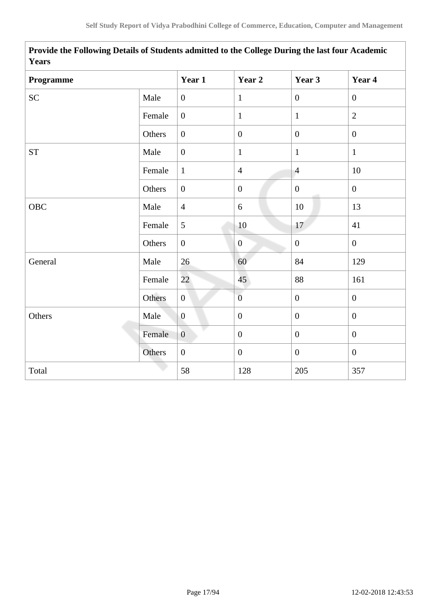| <b>Years</b> |        |                  |                  |                  |                |
|--------------|--------|------------------|------------------|------------------|----------------|
| Programme    |        | Year 1           | Year 2           | Year 3           | Year 4         |
| SC           | Male   | $\boldsymbol{0}$ | $\mathbf{1}$     | $\overline{0}$   | $\mathbf{0}$   |
|              | Female | $\boldsymbol{0}$ | $\mathbf{1}$     | $\mathbf{1}$     | $\overline{2}$ |
|              | Others | $\overline{0}$   | $\boldsymbol{0}$ | $\overline{0}$   | $\overline{0}$ |
| <b>ST</b>    | Male   | $\boldsymbol{0}$ | $\mathbf{1}$     | $\mathbf{1}$     | $\mathbf{1}$   |
|              | Female | $\mathbf{1}$     | $\overline{4}$   | $\overline{4}$   | 10             |
|              | Others | $\boldsymbol{0}$ | $\boldsymbol{0}$ | $\overline{0}$   | $\mathbf{0}$   |
| OBC          | Male   | $\overline{4}$   | 6                | 10               | 13             |
|              | Female | 5                | 10               | 17               | 41             |
|              | Others | $\boldsymbol{0}$ | $\boldsymbol{0}$ | $\boldsymbol{0}$ | $\overline{0}$ |
| General      | Male   | 26               | 60               | 84               | 129            |
|              | Female | 22               | 45               | 88               | 161            |
|              | Others | $\boldsymbol{0}$ | $\overline{0}$   | $\boldsymbol{0}$ | $\overline{0}$ |
| Others       | Male   | $\overline{0}$   | $\boldsymbol{0}$ | $\overline{0}$   | $\mathbf{0}$   |
|              | Female | $\boldsymbol{0}$ | $\boldsymbol{0}$ | $\boldsymbol{0}$ | $\mathbf{0}$   |
|              | Others | $\boldsymbol{0}$ | $\boldsymbol{0}$ | $\overline{0}$   | $\mathbf{0}$   |
| Total        |        | 58               | 128              | 205              | 357            |

**Provide the Following Details of Students admitted to the College During the last four Academic**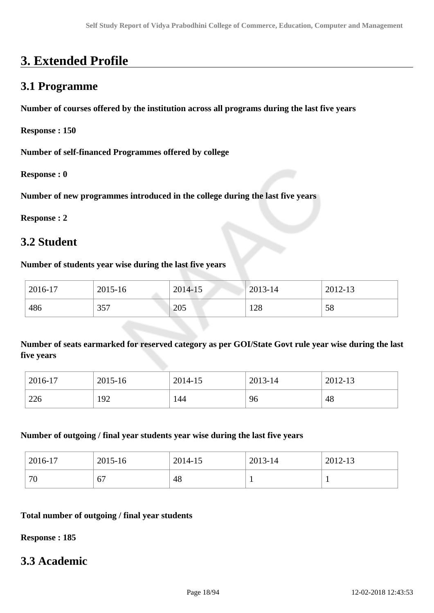## **3. Extended Profile**

### **3.1 Programme**

**Number of courses offered by the institution across all programs during the last five years**

**Response : 150**

**Number of self-financed Programmes offered by college**

**Response : 0**

**Number of new programmes introduced in the college during the last five years**

**Response : 2**

### **3.2 Student**

#### **Number of students year wise during the last five years**

| 2016-17 | 2015-16 | 2014-15 | 2013-14 | 2012-13 |
|---------|---------|---------|---------|---------|
| 486     | 357     | 205     | 128     | 58      |

#### **Number of seats earmarked for reserved category as per GOI/State Govt rule year wise during the last five years**

| 2016-17 | 2015-16 | 2014-15 | 2013-14 | 2012-13 |
|---------|---------|---------|---------|---------|
| 226     | 192     | 144     | 96      | 48      |

#### **Number of outgoing / final year students year wise during the last five years**

| 2016-17 | 2015-16                        | 2014-15 | 2013-14 | 2012-13 |
|---------|--------------------------------|---------|---------|---------|
| 70      | $\overline{\phantom{a}}$<br>v, | 48      |         |         |

#### **Total number of outgoing / final year students**

**Response : 185**

## **3.3 Academic**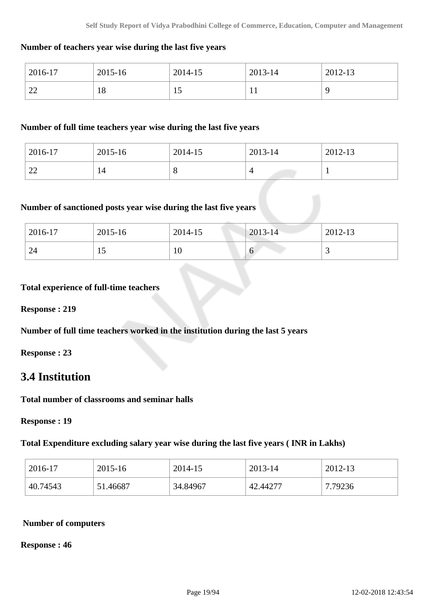#### **Number of teachers year wise during the last five years**

| 2016-17                            | 2015-16 | 2014-15        | 2013-14      | 2012-13 |
|------------------------------------|---------|----------------|--------------|---------|
| $\cap$<br>$\overline{\phantom{a}}$ | 18      | $\overline{1}$ | $\mathbf{r}$ | C       |

#### **Number of full time teachers year wise during the last five years**

| 2016-17                            | 2015-16 | 2014-15 | 2013-14 | 2012-13 |
|------------------------------------|---------|---------|---------|---------|
| $\cap$<br>$\overline{\phantom{m}}$ | 14      | $\circ$ |         |         |

#### **Number of sanctioned posts year wise during the last five years**

| 2016-17 | 2015-16 | 2014-15 | $2013 - 14$ | 2012-13 |
|---------|---------|---------|-------------|---------|
| 24      | 15      | 10      | O           | -       |

#### **Total experience of full-time teachers**

**Response : 219**

**Number of full time teachers worked in the institution during the last 5 years**

**Response : 23**

## **3.4 Institution**

**Total number of classrooms and seminar halls**

**Response : 19**

**Total Expenditure excluding salary year wise during the last five years ( INR in Lakhs)**

| 2016-17  | 2015-16  | 2014-15  | 2013-14  | 2012-13 |
|----------|----------|----------|----------|---------|
| 40.74543 | 51.46687 | 34.84967 | 42.44277 | .79236  |

#### **Number of computers**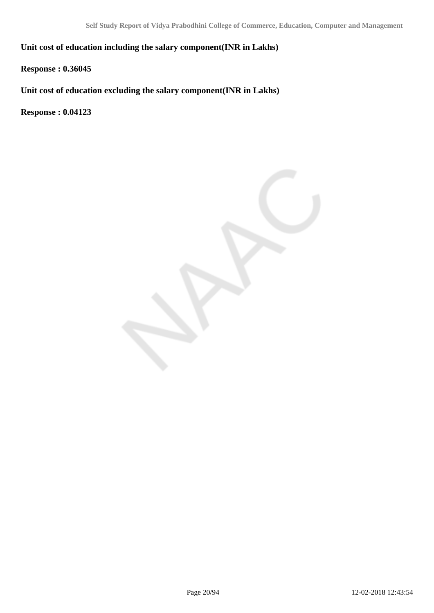**Unit cost of education including the salary component(INR in Lakhs)**

**Response : 0.36045**

**Unit cost of education excluding the salary component(INR in Lakhs)**

**Response : 0.04123**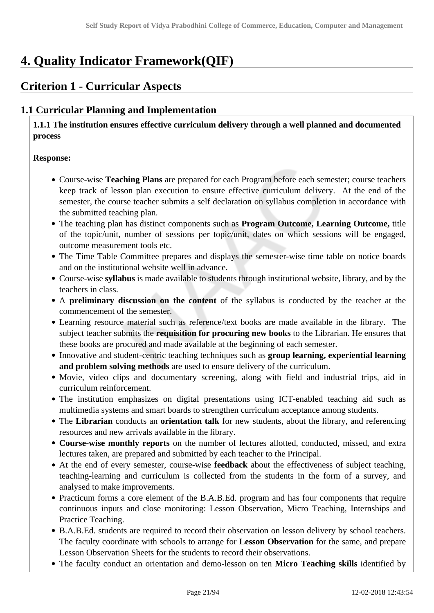## **4. Quality Indicator Framework(QIF)**

## **Criterion 1 - Curricular Aspects**

### **1.1 Curricular Planning and Implementation**

 **1.1.1 The institution ensures effective curriculum delivery through a well planned and documented process** 

- Course-wise **Teaching Plans** are prepared for each Program before each semester; course teachers keep track of lesson plan execution to ensure effective curriculum delivery. At the end of the semester, the course teacher submits a self declaration on syllabus completion in accordance with the submitted teaching plan.
- The teaching plan has distinct components such as **Program Outcome, Learning Outcome,** title of the topic/unit, number of sessions per topic/unit, dates on which sessions will be engaged, outcome measurement tools etc.
- The Time Table Committee prepares and displays the semester-wise time table on notice boards and on the institutional website well in advance.
- Course-wise **syllabus** is made available to students through institutional website, library, and by the teachers in class.
- A **preliminary discussion on the content** of the syllabus is conducted by the teacher at the commencement of the semester.
- Learning resource material such as reference/text books are made available in the library. The subject teacher submits the **requisition for procuring new books** to the Librarian. He ensures that these books are procured and made available at the beginning of each semester.
- Innovative and student-centric teaching techniques such as **group learning, experiential learning and problem solving methods** are used to ensure delivery of the curriculum.
- Movie, video clips and documentary screening, along with field and industrial trips, aid in curriculum reinforcement.
- The institution emphasizes on digital presentations using ICT-enabled teaching aid such as multimedia systems and smart boards to strengthen curriculum acceptance among students.
- The **Librarian** conducts an **orientation talk** for new students, about the library, and referencing resources and new arrivals available in the library.
- **Course-wise monthly reports** on the number of lectures allotted, conducted, missed, and extra lectures taken, are prepared and submitted by each teacher to the Principal.
- At the end of every semester, course-wise **feedback** about the effectiveness of subject teaching, teaching-learning and curriculum is collected from the students in the form of a survey, and analysed to make improvements.
- Practicum forms a core element of the B.A.B.Ed. program and has four components that require continuous inputs and close monitoring: Lesson Observation, Micro Teaching, Internships and Practice Teaching.
- B.A.B.Ed. students are required to record their observation on lesson delivery by school teachers. The faculty coordinate with schools to arrange for **Lesson Observation** for the same, and prepare Lesson Observation Sheets for the students to record their observations.
- The faculty conduct an orientation and demo-lesson on ten **Micro Teaching skills** identified by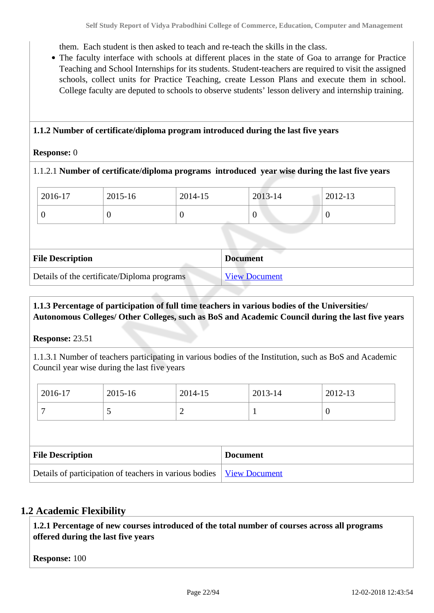them. Each student is then asked to teach and re-teach the skills in the class.

The faculty interface with schools at different places in the state of Goa to arrange for Practice Teaching and School Internships for its students. Student-teachers are required to visit the assigned schools, collect units for Practice Teaching, create Lesson Plans and execute them in school. College faculty are deputed to schools to observe students' lesson delivery and internship training.

#### **1.1.2 Number of certificate/diploma program introduced during the last five years**

#### **Response:** 0

#### 1.1.2.1 **Number of certificate/diploma programs introduced year wise during the last five years**

|                                             | 2016-17 | 2015-16 | 2014-15              |  | 2013-14        |  | 2012-13  |  |
|---------------------------------------------|---------|---------|----------------------|--|----------------|--|----------|--|
|                                             | 0       | 0       | $\theta$             |  | $\overline{0}$ |  | $\theta$ |  |
|                                             |         |         |                      |  |                |  |          |  |
| <b>File Description</b>                     |         |         | <b>Document</b>      |  |                |  |          |  |
| Details of the certificate/Diploma programs |         |         | <b>View Document</b> |  |                |  |          |  |

#### **1.1.3 Percentage of participation of full time teachers in various bodies of the Universities/ Autonomous Colleges/ Other Colleges, such as BoS and Academic Council during the last five years**

**Response:** 23.51

1.1.3.1 Number of teachers participating in various bodies of the Institution, such as BoS and Academic Council year wise during the last five years

| Details of participation of teachers in various bodies   View Document |         |                 |  |         |          |  |
|------------------------------------------------------------------------|---------|-----------------|--|---------|----------|--|
| <b>File Description</b>                                                |         | <b>Document</b> |  |         |          |  |
|                                                                        |         | 2               |  |         | $\theta$ |  |
| 2016-17                                                                | 2015-16 | 2014-15         |  | 2013-14 | 2012-13  |  |

#### **1.2 Academic Flexibility**

 **1.2.1 Percentage of new courses introduced of the total number of courses across all programs offered during the last five years**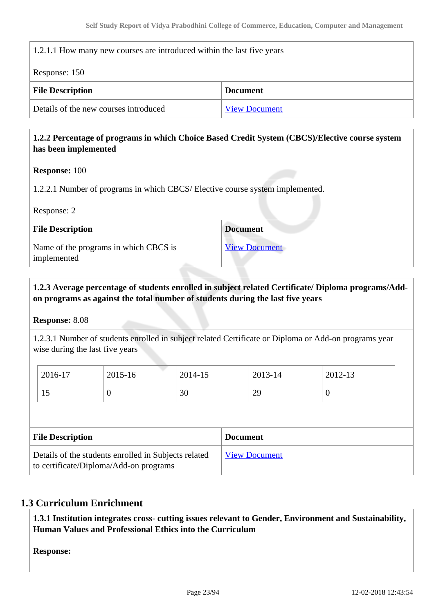| 1.2.1.1 How many new courses are introduced within the last five years |                 |  |
|------------------------------------------------------------------------|-----------------|--|
| Response: 150                                                          |                 |  |
| <b>File Description</b>                                                | <b>Document</b> |  |
| Details of the new courses introduced<br><b>View Document</b>          |                 |  |

#### **1.2.2 Percentage of programs in which Choice Based Credit System (CBCS)/Elective course system has been implemented**

#### **Response:** 100

1.2.2.1 Number of programs in which CBCS/ Elective course system implemented.

Response: 2

| <b>File Description</b>                              | <b>Document</b>      |
|------------------------------------------------------|----------------------|
| Name of the programs in which CBCS is<br>implemented | <b>View Document</b> |

#### **1.2.3 Average percentage of students enrolled in subject related Certificate/ Diploma programs/Addon programs as against the total number of students during the last five years**

#### **Response:** 8.08

1.2.3.1 Number of students enrolled in subject related Certificate or Diploma or Add-on programs year wise during the last five years

| 2016-17 | 2015-16 | 2014-15 | 2013-14 | 2012-13 |
|---------|---------|---------|---------|---------|
| ⊥J      |         | 30      | 29      |         |

| <b>File Description</b>                                                                        | <b>Document</b>      |
|------------------------------------------------------------------------------------------------|----------------------|
| Details of the students enrolled in Subjects related<br>to certificate/Diploma/Add-on programs | <b>View Document</b> |

#### **1.3 Curriculum Enrichment**

 **1.3.1 Institution integrates cross- cutting issues relevant to Gender, Environment and Sustainability, Human Values and Professional Ethics into the Curriculum**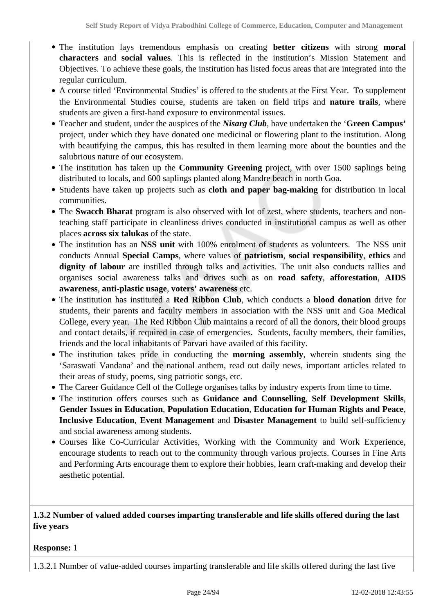- The institution lays tremendous emphasis on creating **better citizens** with strong **moral characters** and **social values**. This is reflected in the institution's Mission Statement and Objectives. To achieve these goals, the institution has listed focus areas that are integrated into the regular curriculum.
- A course titled 'Environmental Studies' is offered to the students at the First Year. To supplement the Environmental Studies course, students are taken on field trips and **nature trails**, where students are given a first-hand exposure to environmental issues.
- Teacher and student, under the auspices of the *Nisarg Club*, have undertaken the '**Green Campus'** project, under which they have donated one medicinal or flowering plant to the institution. Along with beautifying the campus, this has resulted in them learning more about the bounties and the salubrious nature of our ecosystem.
- The institution has taken up the **Community Greening** project, with over 1500 saplings being distributed to locals, and 600 saplings planted along Mandre beach in north Goa.
- Students have taken up projects such as **cloth and paper bag-making** for distribution in local communities.
- The **Swacch Bharat** program is also observed with lot of zest, where students, teachers and nonteaching staff participate in cleanliness drives conducted in institutional campus as well as other places **across six talukas** of the state.
- The institution has an **NSS unit** with 100% enrolment of students as volunteers. The NSS unit conducts Annual **Special Camps**, where values of **patriotism**, **social responsibility**, **ethics** and **dignity of labour** are instilled through talks and activities. The unit also conducts rallies and organises social awareness talks and drives such as on **road safety**, **afforestation**, **AIDS awareness**, **anti-plastic usage**, **voters' awareness** etc.
- The institution has instituted a **Red Ribbon Club**, which conducts a **blood donation** drive for students, their parents and faculty members in association with the NSS unit and Goa Medical College, every year. The Red Ribbon Club maintains a record of all the donors, their blood groups and contact details, if required in case of emergencies. Students, faculty members, their families, friends and the local inhabitants of Parvari have availed of this facility.
- The institution takes pride in conducting the **morning assembly**, wherein students sing the 'Saraswati Vandana' and the national anthem, read out daily news, important articles related to their areas of study, poems, sing patriotic songs, etc.
- The Career Guidance Cell of the College organises talks by industry experts from time to time.
- The institution offers courses such as **Guidance and Counselling***,* **Self Development Skills**, **Gender Issues in Education**, **Population Education**, **Education for Human Rights and Peace**, **Inclusive Education**, **Event Management** and **Disaster Management** to build self-sufficiency and social awareness among students.
- Courses like Co-Curricular Activities, Working with the Community and Work Experience, encourage students to reach out to the community through various projects. Courses in Fine Arts and Performing Arts encourage them to explore their hobbies, learn craft-making and develop their aesthetic potential.

#### **1.3.2 Number of valued added courses imparting transferable and life skills offered during the last five years**

#### **Response:** 1

1.3.2.1 Number of value-added courses imparting transferable and life skills offered during the last five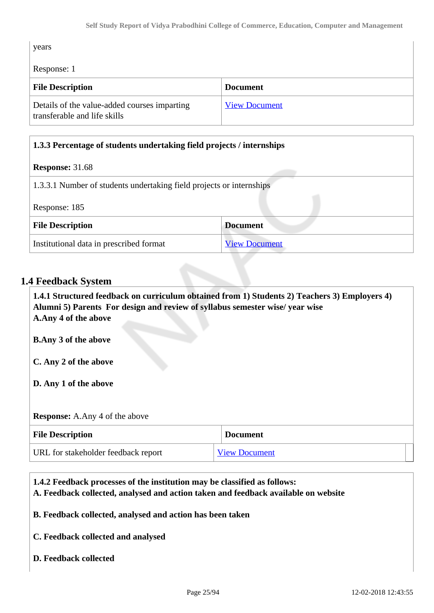years

Response: 1

| <b>File Description</b>                                                      | <b>Document</b>      |
|------------------------------------------------------------------------------|----------------------|
| Details of the value-added courses imparting<br>transferable and life skills | <b>View Document</b> |

#### **1.3.3 Percentage of students undertaking field projects / internships**

#### **Response:** 31.68

1.3.3.1 Number of students undertaking field projects or internships

Response: 185

| $\sim$                                  |                      |  |
|-----------------------------------------|----------------------|--|
| <b>File Description</b>                 | <b>Document</b>      |  |
| Institutional data in prescribed format | <b>View Document</b> |  |

#### **1.4 Feedback System**

| 1.4.1 Structured feedback on curriculum obtained from 1) Students 2) Teachers 3) Employers 4) |
|-----------------------------------------------------------------------------------------------|
| Alumni 5) Parents For design and review of syllabus semester wise/ year wise                  |
| A.Any 4 of the above                                                                          |
|                                                                                               |

**B.Any 3 of the above**

**C. Any 2 of the above**

**D. Any 1 of the above**

**Response:** A.Any 4 of the above

| <b>File Description</b>             | <b>Document</b>      |  |  |
|-------------------------------------|----------------------|--|--|
| URL for stakeholder feedback report | <b>View Document</b> |  |  |

#### **1.4.2 Feedback processes of the institution may be classified as follows: A. Feedback collected, analysed and action taken and feedback available on website**

**B. Feedback collected, analysed and action has been taken**

**C. Feedback collected and analysed**

**D. Feedback collected**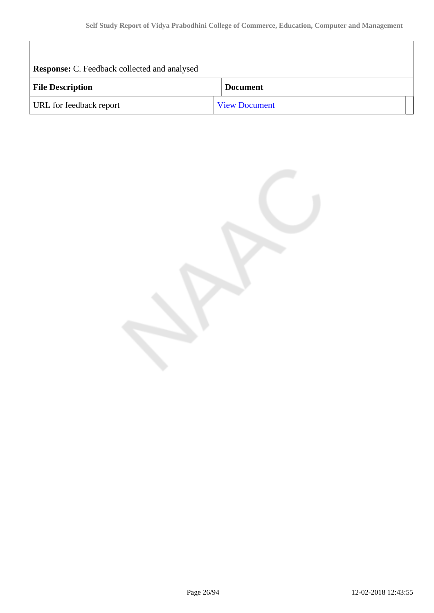| <b>Response:</b> C. Feedback collected and analysed |                      |
|-----------------------------------------------------|----------------------|
| <b>File Description</b>                             | <b>Document</b>      |
| URL for feedback report                             | <b>View Document</b> |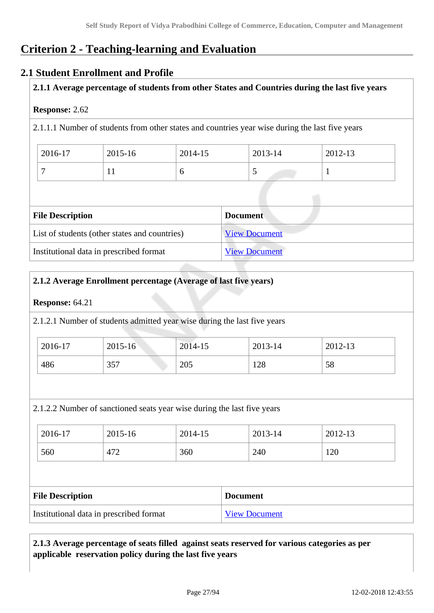## **Criterion 2 - Teaching-learning and Evaluation**

#### **2.1 Student Enrollment and Profile**

#### **2.1.1 Average percentage of students from other States and Countries during the last five years**

#### **Response:** 2.62

2.1.1.1 Number of students from other states and countries year wise during the last five years

| 2016-17 | 2015-16 | 2014-15 | 2013-14 | 2012-13 |
|---------|---------|---------|---------|---------|
| -       | . .     |         | ັ       |         |

| <b>File Description</b>                       | <b>Document</b>      |
|-----------------------------------------------|----------------------|
| List of students (other states and countries) | <b>View Document</b> |
| Institutional data in prescribed format       | <b>View Document</b> |

#### **2.1.2 Average Enrollment percentage (Average of last five years)**

#### **Response:** 64.21

2.1.2.1 Number of students admitted year wise during the last five years

| 2016-17 | $2015 - 16$ | 2014-15 | 2013-14 | 2012-13 |
|---------|-------------|---------|---------|---------|
| 486     | 357         | 205     | 128     | 58      |

2.1.2.2 Number of sanctioned seats year wise during the last five years

| 2016-17 | 2015-16 | 2014-15 | 2013-14 | 2012-13 |
|---------|---------|---------|---------|---------|
| 560     | 472     | 360     | 240     | 120     |

| <b>File Description</b>                 | <b>Document</b>      |
|-----------------------------------------|----------------------|
| Institutional data in prescribed format | <b>View Document</b> |

#### **2.1.3 Average percentage of seats filled against seats reserved for various categories as per applicable reservation policy during the last five years**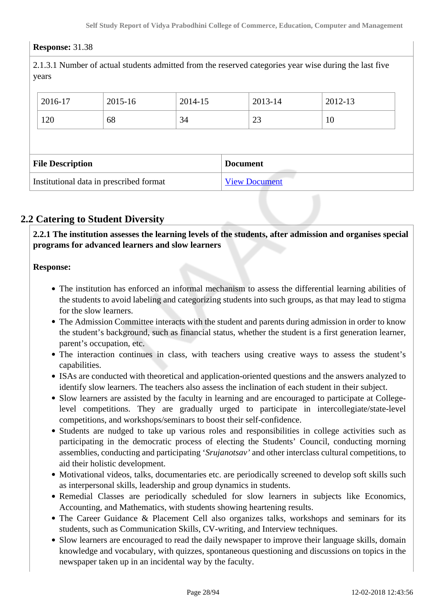#### **Response:** 31.38

2.1.3.1 Number of actual students admitted from the reserved categories year wise during the last five years

| 2016-17                 | 2015-16 | 2014-15 |                 | 2013-14 | 2012-13 |
|-------------------------|---------|---------|-----------------|---------|---------|
| 120                     | 68      | 34      |                 | 23      | 10      |
|                         |         |         |                 |         |         |
|                         |         |         |                 |         |         |
| <b>File Description</b> |         |         | <b>Document</b> |         |         |

#### **2.2 Catering to Student Diversity**

 **2.2.1 The institution assesses the learning levels of the students, after admission and organises special programs for advanced learners and slow learners**

- The institution has enforced an informal mechanism to assess the differential learning abilities of the students to avoid labeling and categorizing students into such groups, as that may lead to stigma for the slow learners.
- The Admission Committee interacts with the student and parents during admission in order to know the student's background, such as financial status, whether the student is a first generation learner, parent's occupation, etc.
- The interaction continues in class, with teachers using creative ways to assess the student's capabilities.
- ISAs are conducted with theoretical and application-oriented questions and the answers analyzed to identify slow learners. The teachers also assess the inclination of each student in their subject.
- Slow learners are assisted by the faculty in learning and are encouraged to participate at Collegelevel competitions. They are gradually urged to participate in intercollegiate/state-level competitions, and workshops/seminars to boost their self-confidence.
- Students are nudged to take up various roles and responsibilities in college activities such as participating in the democratic process of electing the Students' Council, conducting morning assemblies, conducting and participating '*Srujanotsav'* and other interclass cultural competitions, to aid their holistic development.
- Motivational videos, talks, documentaries etc. are periodically screened to develop soft skills such as interpersonal skills, leadership and group dynamics in students.
- Remedial Classes are periodically scheduled for slow learners in subjects like Economics, Accounting, and Mathematics, with students showing heartening results.
- The Career Guidance & Placement Cell also organizes talks, workshops and seminars for its students, such as Communication Skills, CV-writing, and Interview techniques.
- Slow learners are encouraged to read the daily newspaper to improve their language skills, domain knowledge and vocabulary, with quizzes, spontaneous questioning and discussions on topics in the newspaper taken up in an incidental way by the faculty.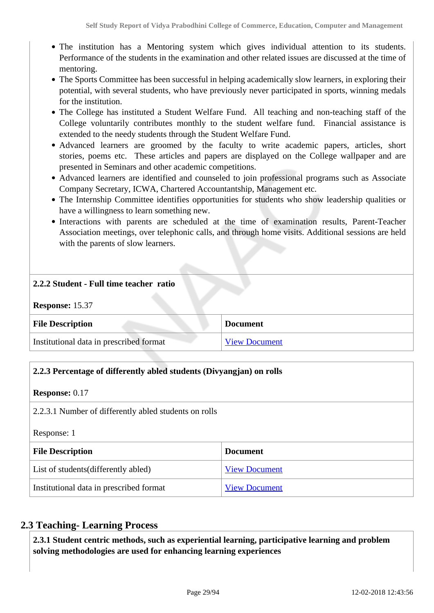- The institution has a Mentoring system which gives individual attention to its students. Performance of the students in the examination and other related issues are discussed at the time of mentoring.
- The Sports Committee has been successful in helping academically slow learners, in exploring their potential, with several students, who have previously never participated in sports, winning medals for the institution.
- The College has instituted a Student Welfare Fund. All teaching and non-teaching staff of the College voluntarily contributes monthly to the student welfare fund. Financial assistance is extended to the needy students through the Student Welfare Fund.
- Advanced learners are groomed by the faculty to write academic papers, articles, short stories, poems etc. These articles and papers are displayed on the College wallpaper and are presented in Seminars and other academic competitions.
- Advanced learners are identified and counseled to join professional programs such as Associate Company Secretary, ICWA, Chartered Accountantship, Management etc.
- The Internship Committee identifies opportunities for students who show leadership qualities or have a willingness to learn something new.
- Interactions with parents are scheduled at the time of examination results, Parent-Teacher Association meetings, over telephonic calls, and through home visits. Additional sessions are held with the parents of slow learners.

#### **2.2.2 Student - Full time teacher ratio**

**Response:** 15.37

| <b>File Description</b>                 | <b>Document</b>      |
|-----------------------------------------|----------------------|
| Institutional data in prescribed format | <b>View Document</b> |

#### **2.2.3 Percentage of differently abled students (Divyangjan) on rolls**

**Response:** 0.17

2.2.3.1 Number of differently abled students on rolls

Response: 1

| <b>File Description</b>                 | <b>Document</b>      |
|-----------------------------------------|----------------------|
| List of students (differently abled)    | <b>View Document</b> |
| Institutional data in prescribed format | <b>View Document</b> |

#### **2.3 Teaching- Learning Process**

 **2.3.1 Student centric methods, such as experiential learning, participative learning and problem solving methodologies are used for enhancing learning experiences**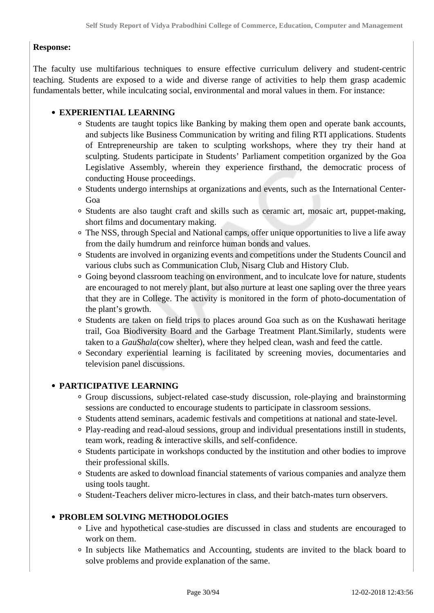#### **Response:**

The faculty use multifarious techniques to ensure effective curriculum delivery and student-centric teaching. Students are exposed to a wide and diverse range of activities to help them grasp academic fundamentals better, while inculcating social, environmental and moral values in them. For instance:

#### **EXPERIENTIAL LEARNING**

- Students are taught topics like Banking by making them open and operate bank accounts, and subjects like Business Communication by writing and filing RTI applications. Students of Entrepreneurship are taken to sculpting workshops, where they try their hand at sculpting. Students participate in Students' Parliament competition organized by the Goa Legislative Assembly, wherein they experience firsthand, the democratic process of conducting House proceedings.
- Students undergo internships at organizations and events, such as the International Center-Goa
- Students are also taught craft and skills such as ceramic art, mosaic art, puppet-making, short films and documentary making.
- The NSS, through Special and National camps, offer unique opportunities to live a life away from the daily humdrum and reinforce human bonds and values.
- Students are involved in organizing events and competitions under the Students Council and various clubs such as Communication Club, Nisarg Club and History Club.
- <sup>o</sup> Going beyond classroom teaching on environment, and to inculcate love for nature, students are encouraged to not merely plant, but also nurture at least one sapling over the three years that they are in College. The activity is monitored in the form of photo-documentation of the plant's growth.
- Students are taken on field trips to places around Goa such as on the Kushawati heritage trail, Goa Biodiversity Board and the Garbage Treatment Plant.Similarly, students were taken to a *GauShala*(cow shelter), where they helped clean, wash and feed the cattle.
- Secondary experiential learning is facilitated by screening movies, documentaries and television panel discussions.

#### **PARTICIPATIVE LEARNING**

- Group discussions, subject-related case-study discussion, role-playing and brainstorming sessions are conducted to encourage students to participate in classroom sessions.
- Students attend seminars, academic festivals and competitions at national and state-level.
- Play-reading and read-aloud sessions, group and individual presentations instill in students, team work, reading & interactive skills, and self-confidence.
- Students participate in workshops conducted by the institution and other bodies to improve their professional skills.
- Students are asked to download financial statements of various companies and analyze them using tools taught.
- <sup>o</sup> Student-Teachers deliver micro-lectures in class, and their batch-mates turn observers.

#### **PROBLEM SOLVING METHODOLOGIES**

- Live and hypothetical case-studies are discussed in class and students are encouraged to work on them.
- In subjects like Mathematics and Accounting, students are invited to the black board to solve problems and provide explanation of the same.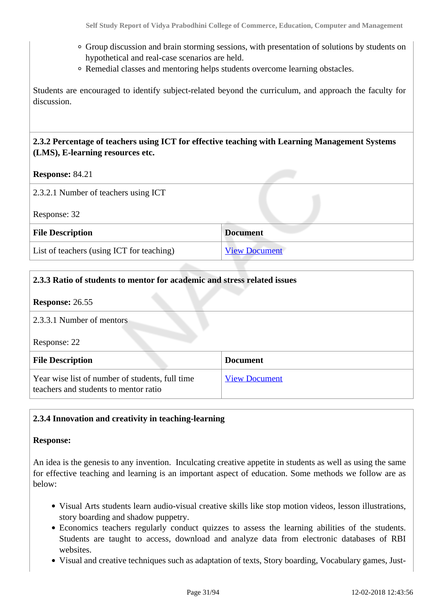- Group discussion and brain storming sessions, with presentation of solutions by students on hypothetical and real-case scenarios are held.
- Remedial classes and mentoring helps students overcome learning obstacles.

Students are encouraged to identify subject-related beyond the curriculum, and approach the faculty for discussion.

 **2.3.2 Percentage of teachers using ICT for effective teaching with Learning Management Systems (LMS), E-learning resources etc.**

**Response:** 84.21

| 2.3.2.1 Number of teachers using ICT      |                      |  |  |  |
|-------------------------------------------|----------------------|--|--|--|
| Response: 32                              |                      |  |  |  |
| <b>File Description</b>                   | <b>Document</b>      |  |  |  |
| List of teachers (using ICT for teaching) | <b>View Document</b> |  |  |  |
|                                           |                      |  |  |  |

| 2.3.3 Ratio of students to mentor for academic and stress related issues                 |                      |  |  |
|------------------------------------------------------------------------------------------|----------------------|--|--|
| <b>Response: 26.55</b>                                                                   |                      |  |  |
| 2.3.3.1 Number of mentors                                                                |                      |  |  |
| Response: 22                                                                             |                      |  |  |
| <b>File Description</b>                                                                  | <b>Document</b>      |  |  |
| Year wise list of number of students, full time<br>teachers and students to mentor ratio | <b>View Document</b> |  |  |

#### **2.3.4 Innovation and creativity in teaching-learning**

#### **Response:**

An idea is the genesis to any invention. Inculcating creative appetite in students as well as using the same for effective teaching and learning is an important aspect of education. Some methods we follow are as below:

- Visual Arts students learn audio-visual creative skills like stop motion videos, lesson illustrations, story boarding and shadow puppetry.
- Economics teachers regularly conduct quizzes to assess the learning abilities of the students. Students are taught to access, download and analyze data from electronic databases of RBI websites.
- Visual and creative techniques such as adaptation of texts, Story boarding, Vocabulary games, Just-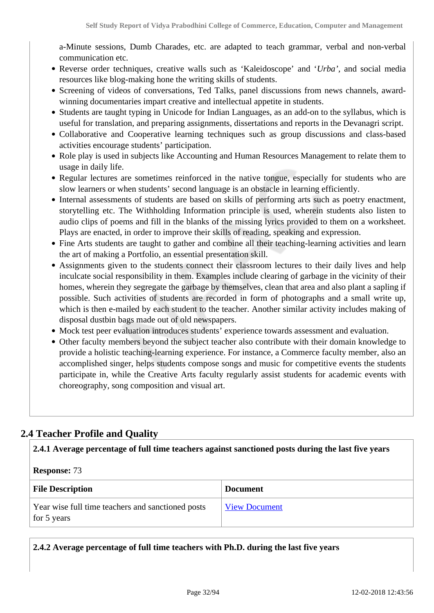a-Minute sessions, Dumb Charades, etc. are adapted to teach grammar, verbal and non-verbal communication etc.

- Reverse order techniques, creative walls such as 'Kaleidoscope' and '*Urba',* and social media resources like blog-making hone the writing skills of students.
- Screening of videos of conversations, Ted Talks, panel discussions from news channels, awardwinning documentaries impart creative and intellectual appetite in students.
- Students are taught typing in Unicode for Indian Languages, as an add-on to the syllabus, which is useful for translation, and preparing assignments, dissertations and reports in the Devanagri script.
- Collaborative and Cooperative learning techniques such as group discussions and class-based activities encourage students' participation.
- Role play is used in subjects like Accounting and Human Resources Management to relate them to usage in daily life.
- Regular lectures are sometimes reinforced in the native tongue, especially for students who are slow learners or when students' second language is an obstacle in learning efficiently.
- Internal assessments of students are based on skills of performing arts such as poetry enactment, storytelling etc. The Withholding Information principle is used, wherein students also listen to audio clips of poems and fill in the blanks of the missing lyrics provided to them on a worksheet. Plays are enacted, in order to improve their skills of reading, speaking and expression.
- Fine Arts students are taught to gather and combine all their teaching-learning activities and learn the art of making a Portfolio, an essential presentation skill.
- Assignments given to the students connect their classroom lectures to their daily lives and help inculcate social responsibility in them. Examples include clearing of garbage in the vicinity of their homes, wherein they segregate the garbage by themselves, clean that area and also plant a sapling if possible. Such activities of students are recorded in form of photographs and a small write up, which is then e-mailed by each student to the teacher. Another similar activity includes making of disposal dustbin bags made out of old newspapers.
- Mock test peer evaluation introduces students' experience towards assessment and evaluation.
- Other faculty members beyond the subject teacher also contribute with their domain knowledge to provide a holistic teaching-learning experience. For instance, a Commerce faculty member, also an accomplished singer, helps students compose songs and music for competitive events the students participate in, while the Creative Arts faculty regularly assist students for academic events with choreography, song composition and visual art.

### **2.4 Teacher Profile and Quality**

**2.4.1 Average percentage of full time teachers against sanctioned posts during the last five years**

#### **Response:** 73

| <b>File Description</b>                                          | <b>Document</b>      |
|------------------------------------------------------------------|----------------------|
| Year wise full time teachers and sanctioned posts<br>for 5 years | <b>View Document</b> |

**2.4.2 Average percentage of full time teachers with Ph.D. during the last five years**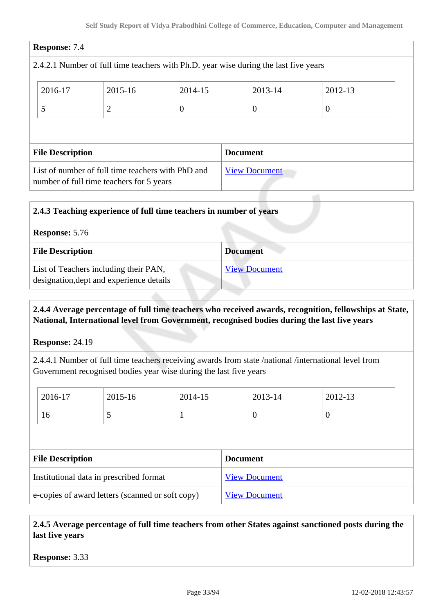#### **Response:** 7.4

|                                                                                               |         |          | 2.4.2.1 Number of full time teachers with Ph.D. year wise during the last five years |          |  |  |  |
|-----------------------------------------------------------------------------------------------|---------|----------|--------------------------------------------------------------------------------------|----------|--|--|--|
| 2016-17                                                                                       | 2015-16 | 2014-15  | 2013-14                                                                              | 2012-13  |  |  |  |
| 5                                                                                             | 2       | $\Omega$ | $\theta$                                                                             | $\theta$ |  |  |  |
|                                                                                               |         |          |                                                                                      |          |  |  |  |
| <b>File Description</b><br><b>Document</b>                                                    |         |          |                                                                                      |          |  |  |  |
| List of number of full time teachers with PhD and<br>number of full time teachers for 5 years |         |          | <b>View Document</b>                                                                 |          |  |  |  |

| 2.4.3 Teaching experience of full time teachers in number of years                |                      |  |  |  |  |  |
|-----------------------------------------------------------------------------------|----------------------|--|--|--|--|--|
| <b>Response: 5.76</b>                                                             |                      |  |  |  |  |  |
| <b>File Description</b>                                                           | <b>Document</b>      |  |  |  |  |  |
| List of Teachers including their PAN,<br>designation, dept and experience details | <b>View Document</b> |  |  |  |  |  |

#### **2.4.4 Average percentage of full time teachers who received awards, recognition, fellowships at State, National, International level from Government, recognised bodies during the last five years**

**Response:** 24.19

2.4.4.1 Number of full time teachers receiving awards from state /national /international level from Government recognised bodies year wise during the last five years

| 2016-17                                          | 2015-16 | 2014-15 |                      | 2013-14        | 2012-13 |  |
|--------------------------------------------------|---------|---------|----------------------|----------------|---------|--|
| 16                                               | 5       |         |                      | $\overline{0}$ | U       |  |
|                                                  |         |         |                      |                |         |  |
| <b>File Description</b>                          |         |         | <b>Document</b>      |                |         |  |
| Institutional data in prescribed format          |         |         | <b>View Document</b> |                |         |  |
| e-copies of award letters (scanned or soft copy) |         |         | <b>View Document</b> |                |         |  |

 **2.4.5 Average percentage of full time teachers from other States against sanctioned posts during the last five years**

**Response:** 3.33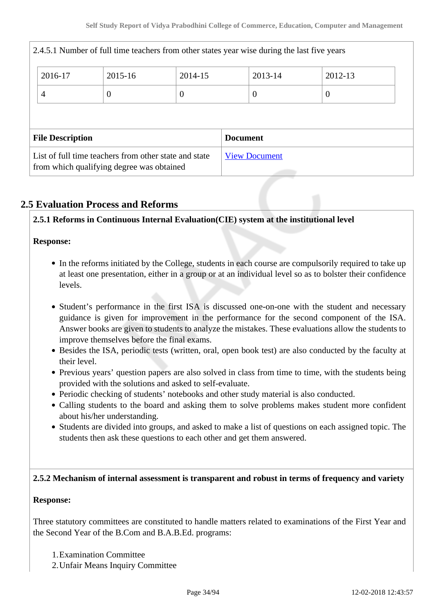|                                                                                                    | 2.4.5.1 Number of full time teachers from other states year wise during the last five years |         |                      |         |          |  |
|----------------------------------------------------------------------------------------------------|---------------------------------------------------------------------------------------------|---------|----------------------|---------|----------|--|
| 2016-17                                                                                            | 2015-16                                                                                     | 2014-15 |                      | 2013-14 | 2012-13  |  |
| $\overline{4}$                                                                                     | $\theta$                                                                                    | 0       |                      | 0       | $\theta$ |  |
|                                                                                                    |                                                                                             |         |                      |         |          |  |
| <b>File Description</b>                                                                            |                                                                                             |         | <b>Document</b>      |         |          |  |
| List of full time teachers from other state and state<br>from which qualifying degree was obtained |                                                                                             |         | <b>View Document</b> |         |          |  |

#### **2.5 Evaluation Process and Reforms**

#### **2.5.1 Reforms in Continuous Internal Evaluation(CIE) system at the institutional level**

#### **Response:**

- In the reforms initiated by the College, students in each course are compulsorily required to take up at least one presentation, either in a group or at an individual level so as to bolster their confidence levels.
- Student's performance in the first ISA is discussed one-on-one with the student and necessary guidance is given for improvement in the performance for the second component of the ISA. Answer books are given to students to analyze the mistakes. These evaluations allow the students to improve themselves before the final exams.
- Besides the ISA, periodic tests (written, oral, open book test) are also conducted by the faculty at their level.
- Previous years' question papers are also solved in class from time to time, with the students being provided with the solutions and asked to self-evaluate.
- Periodic checking of students' notebooks and other study material is also conducted.
- Calling students to the board and asking them to solve problems makes student more confident about his/her understanding.
- Students are divided into groups, and asked to make a list of questions on each assigned topic. The students then ask these questions to each other and get them answered.

#### **2.5.2 Mechanism of internal assessment is transparent and robust in terms of frequency and variety**

#### **Response:**

Three statutory committees are constituted to handle matters related to examinations of the First Year and the Second Year of the B.Com and B.A.B.Ed. programs:

- 1.Examination Committee
- 2.Unfair Means Inquiry Committee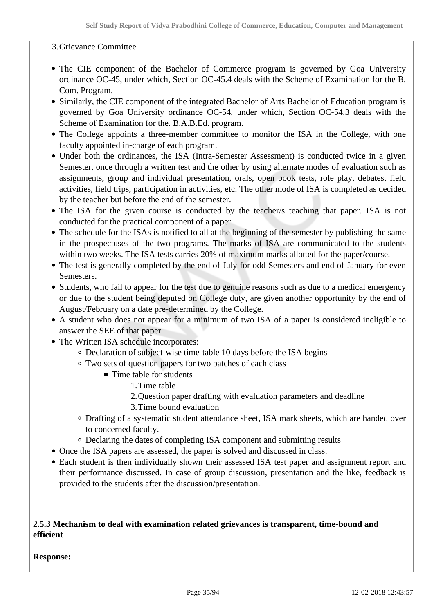#### 3.Grievance Committee

- The CIE component of the Bachelor of Commerce program is governed by Goa University ordinance OC-45, under which, Section OC-45.4 deals with the Scheme of Examination for the B. Com. Program.
- Similarly, the CIE component of the integrated Bachelor of Arts Bachelor of Education program is governed by Goa University ordinance OC-54, under which, Section OC-54.3 deals with the Scheme of Examination for the. B.A.B.Ed. program.
- The College appoints a three-member committee to monitor the ISA in the College, with one faculty appointed in-charge of each program.
- Under both the ordinances, the ISA (Intra-Semester Assessment) is conducted twice in a given Semester, once through a written test and the other by using alternate modes of evaluation such as assignments, group and individual presentation, orals, open book tests, role play, debates, field activities, field trips, participation in activities, etc. The other mode of ISA is completed as decided by the teacher but before the end of the semester.
- The ISA for the given course is conducted by the teacher/s teaching that paper. ISA is not conducted for the practical component of a paper.
- The schedule for the ISAs is notified to all at the beginning of the semester by publishing the same in the prospectuses of the two programs. The marks of ISA are communicated to the students within two weeks. The ISA tests carries 20% of maximum marks allotted for the paper/course.
- The test is generally completed by the end of July for odd Semesters and end of January for even Semesters.
- Students, who fail to appear for the test due to genuine reasons such as due to a medical emergency or due to the student being deputed on College duty, are given another opportunity by the end of August/February on a date pre-determined by the College.
- A student who does not appear for a minimum of two ISA of a paper is considered ineligible to answer the SEE of that paper.
- The Written ISA schedule incorporates:
	- Declaration of subject-wise time-table 10 days before the ISA begins
	- Two sets of question papers for two batches of each class
		- Time table for students
			- 1.Time table
			- 2.Question paper drafting with evaluation parameters and deadline
			- 3.Time bound evaluation
	- Drafting of a systematic student attendance sheet, ISA mark sheets, which are handed over to concerned faculty.
	- Declaring the dates of completing ISA component and submitting results
- Once the ISA papers are assessed, the paper is solved and discussed in class.
- Each student is then individually shown their assessed ISA test paper and assignment report and their performance discussed. In case of group discussion, presentation and the like, feedback is provided to the students after the discussion/presentation.

#### **2.5.3 Mechanism to deal with examination related grievances is transparent, time-bound and efficient**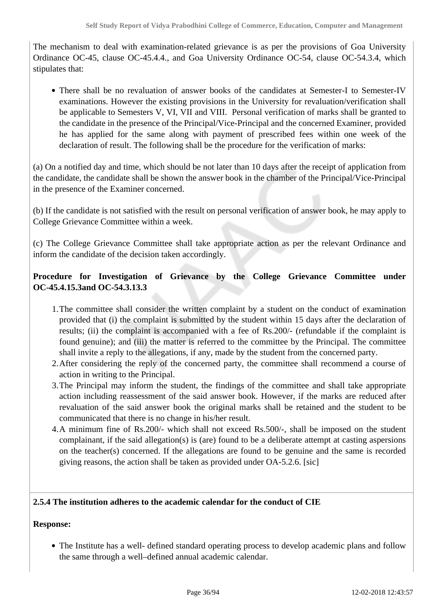The mechanism to deal with examination-related grievance is as per the provisions of Goa University Ordinance OC-45, clause OC-45.4.4., and Goa University Ordinance OC-54, clause OC-54.3.4, which stipulates that:

There shall be no revaluation of answer books of the candidates at Semester-I to Semester-IV examinations. However the existing provisions in the University for revaluation/verification shall be applicable to Semesters V, VI, VII and VIII. Personal verification of marks shall be granted to the candidate in the presence of the Principal/Vice-Principal and the concerned Examiner, provided he has applied for the same along with payment of prescribed fees within one week of the declaration of result. The following shall be the procedure for the verification of marks:

(a) On a notified day and time, which should be not later than 10 days after the receipt of application from the candidate, the candidate shall be shown the answer book in the chamber of the Principal/Vice-Principal in the presence of the Examiner concerned.

(b) If the candidate is not satisfied with the result on personal verification of answer book, he may apply to College Grievance Committee within a week.

(c) The College Grievance Committee shall take appropriate action as per the relevant Ordinance and inform the candidate of the decision taken accordingly.

#### **Procedure for Investigation of Grievance by the College Grievance Committee under OC-45.4.15.3and OC-54.3.13.3**

- 1.The committee shall consider the written complaint by a student on the conduct of examination provided that (i) the complaint is submitted by the student within 15 days after the declaration of results; (ii) the complaint is accompanied with a fee of Rs.200/- (refundable if the complaint is found genuine); and (iii) the matter is referred to the committee by the Principal. The committee shall invite a reply to the allegations, if any, made by the student from the concerned party.
- 2.After considering the reply of the concerned party, the committee shall recommend a course of action in writing to the Principal.
- 3.The Principal may inform the student, the findings of the committee and shall take appropriate action including reassessment of the said answer book. However, if the marks are reduced after revaluation of the said answer book the original marks shall be retained and the student to be communicated that there is no change in his/her result.
- 4.A minimum fine of Rs.200/- which shall not exceed Rs.500/-, shall be imposed on the student complainant, if the said allegation(s) is (are) found to be a deliberate attempt at casting aspersions on the teacher(s) concerned. If the allegations are found to be genuine and the same is recorded giving reasons, the action shall be taken as provided under OA-5.2.6. [sic]

#### **2.5.4 The institution adheres to the academic calendar for the conduct of CIE**

#### **Response:**

The Institute has a well- defined standard operating process to develop academic plans and follow the same through a well–defined annual academic calendar.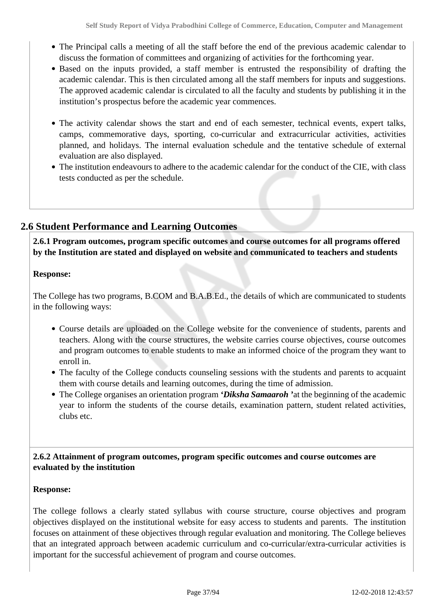- The Principal calls a meeting of all the staff before the end of the previous academic calendar to discuss the formation of committees and organizing of activities for the forthcoming year.
- Based on the inputs provided, a staff member is entrusted the responsibility of drafting the academic calendar. This is then circulated among all the staff members for inputs and suggestions. The approved academic calendar is circulated to all the faculty and students by publishing it in the institution's prospectus before the academic year commences.
- The activity calendar shows the start and end of each semester, technical events, expert talks, camps, commemorative days, sporting, co-curricular and extracurricular activities, activities planned, and holidays. The internal evaluation schedule and the tentative schedule of external evaluation are also displayed.
- The institution endeavours to adhere to the academic calendar for the conduct of the CIE, with class tests conducted as per the schedule.

# **2.6 Student Performance and Learning Outcomes**

 **2.6.1 Program outcomes, program specific outcomes and course outcomes for all programs offered by the Institution are stated and displayed on website and communicated to teachers and students**

## **Response:**

The College has two programs, B.COM and B.A.B.Ed., the details of which are communicated to students in the following ways:

- Course details are uploaded on the College website for the convenience of students, parents and teachers. Along with the course structures, the website carries course objectives, course outcomes and program outcomes to enable students to make an informed choice of the program they want to enroll in.
- The faculty of the College conducts counseling sessions with the students and parents to acquaint them with course details and learning outcomes, during the time of admission.
- The College organises an orientation program *'Diksha Samaaroh '*at the beginning of the academic year to inform the students of the course details, examination pattern, student related activities, clubs etc.

 **2.6.2 Attainment of program outcomes, program specific outcomes and course outcomes are evaluated by the institution**

### **Response:**

The college follows a clearly stated syllabus with course structure, course objectives and program objectives displayed on the institutional website for easy access to students and parents. The institution focuses on attainment of these objectives through regular evaluation and monitoring. The College believes that an integrated approach between academic curriculum and co-curricular/extra-curricular activities is important for the successful achievement of program and course outcomes.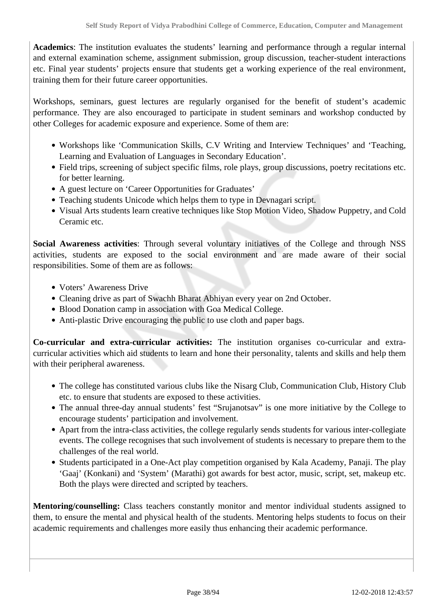**Academics**: The institution evaluates the students' learning and performance through a regular internal and external examination scheme, assignment submission, group discussion, teacher-student interactions etc. Final year students' projects ensure that students get a working experience of the real environment, training them for their future career opportunities.

Workshops, seminars, guest lectures are regularly organised for the benefit of student's academic performance. They are also encouraged to participate in student seminars and workshop conducted by other Colleges for academic exposure and experience. Some of them are:

- Workshops like 'Communication Skills, C.V Writing and Interview Techniques' and 'Teaching, Learning and Evaluation of Languages in Secondary Education'.
- Field trips, screening of subject specific films, role plays, group discussions, poetry recitations etc. for better learning.
- A guest lecture on 'Career Opportunities for Graduates'
- Teaching students Unicode which helps them to type in Devnagari script.
- Visual Arts students learn creative techniques like Stop Motion Video, Shadow Puppetry, and Cold Ceramic etc.

**Social Awareness activities**: Through several voluntary initiatives of the College and through NSS activities, students are exposed to the social environment and are made aware of their social responsibilities. Some of them are as follows:

- Voters' Awareness Drive
- Cleaning drive as part of Swachh Bharat Abhiyan every year on 2nd October.
- Blood Donation camp in association with Goa Medical College.
- Anti-plastic Drive encouraging the public to use cloth and paper bags.

**Co-curricular and extra-curricular activities:** The institution organises co-curricular and extracurricular activities which aid students to learn and hone their personality, talents and skills and help them with their peripheral awareness.

- The college has constituted various clubs like the Nisarg Club, Communication Club, History Club etc. to ensure that students are exposed to these activities.
- The annual three-day annual students' fest "Srujanotsav" is one more initiative by the College to encourage students' participation and involvement.
- Apart from the intra-class activities, the college regularly sends students for various inter-collegiate events. The college recognises that such involvement of students is necessary to prepare them to the challenges of the real world.
- Students participated in a One-Act play competition organised by Kala Academy, Panaji. The play 'Gaaj' (Konkani) and 'System' (Marathi) got awards for best actor, music, script, set, makeup etc. Both the plays were directed and scripted by teachers.

**Mentoring/counselling:** Class teachers constantly monitor and mentor individual students assigned to them, to ensure the mental and physical health of the students. Mentoring helps students to focus on their academic requirements and challenges more easily thus enhancing their academic performance.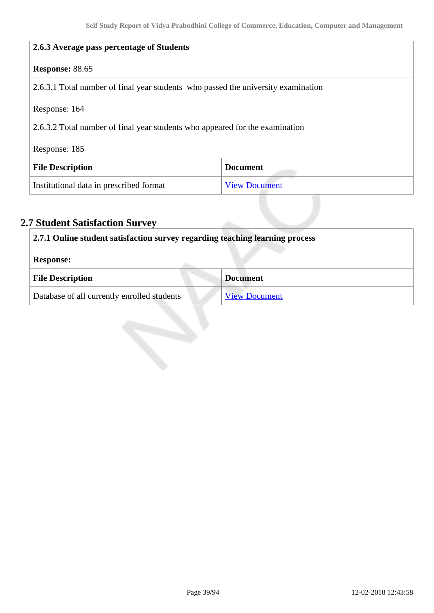| 2.6.3 Average pass percentage of Students                                         |                      |  |  |  |
|-----------------------------------------------------------------------------------|----------------------|--|--|--|
| Response: 88.65                                                                   |                      |  |  |  |
| 2.6.3.1 Total number of final year students who passed the university examination |                      |  |  |  |
| Response: 164                                                                     |                      |  |  |  |
| 2.6.3.2 Total number of final year students who appeared for the examination      |                      |  |  |  |
| Response: 185                                                                     |                      |  |  |  |
| <b>File Description</b>                                                           | <b>Document</b>      |  |  |  |
| Institutional data in prescribed format                                           | <b>View Document</b> |  |  |  |

# **2.7 Student Satisfaction Survey**

| 2.7.1 Online student satisfaction survey regarding teaching learning process |                      |  |  |
|------------------------------------------------------------------------------|----------------------|--|--|
| <b>Response:</b>                                                             |                      |  |  |
| <b>File Description</b>                                                      | <b>Document</b>      |  |  |
| Database of all currently enrolled students                                  | <b>View Document</b> |  |  |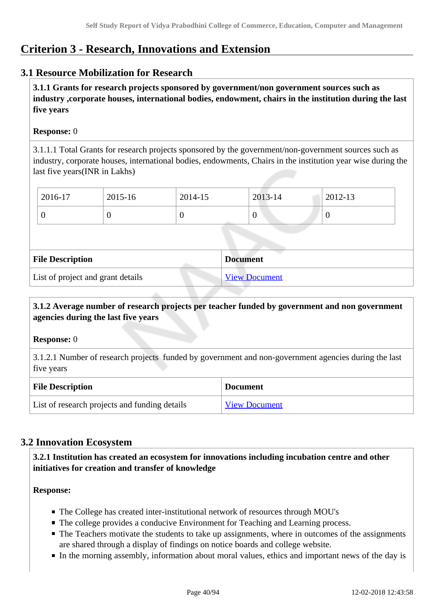# **Criterion 3 - Research, Innovations and Extension**

# **3.1 Resource Mobilization for Research**

 **3.1.1 Grants for research projects sponsored by government/non government sources such as industry ,corporate houses, international bodies, endowment, chairs in the institution during the last five years**

### **Response:** 0

3.1.1.1 Total Grants for research projects sponsored by the government/non-government sources such as industry, corporate houses, international bodies, endowments, Chairs in the institution year wise during the last five years(INR in Lakhs)

| 2016-17 | 2015-16 | 2014-15 | 2013-14 | 2012-13        |
|---------|---------|---------|---------|----------------|
|         |         |         | 0       | $\overline{0}$ |

| <b>File Description</b>           | <b>Document</b>      |
|-----------------------------------|----------------------|
| List of project and grant details | <b>View Document</b> |

## **3.1.2 Average number of research projects per teacher funded by government and non government agencies during the last five years**

#### **Response:** 0

3.1.2.1 Number of research projects funded by government and non-government agencies during the last five years

| <b>File Description</b>                       | <b>Document</b>      |
|-----------------------------------------------|----------------------|
| List of research projects and funding details | <b>View Document</b> |

# **3.2 Innovation Ecosystem**

 **3.2.1 Institution has created an ecosystem for innovations including incubation centre and other initiatives for creation and transfer of knowledge**

**Response:** 

- The College has created inter-institutional network of resources through MOU's
- The college provides a conducive Environment for Teaching and Learning process.
- The Teachers motivate the students to take up assignments, where in outcomes of the assignments are shared through a display of findings on notice boards and college website.
- In the morning assembly, information about moral values, ethics and important news of the day is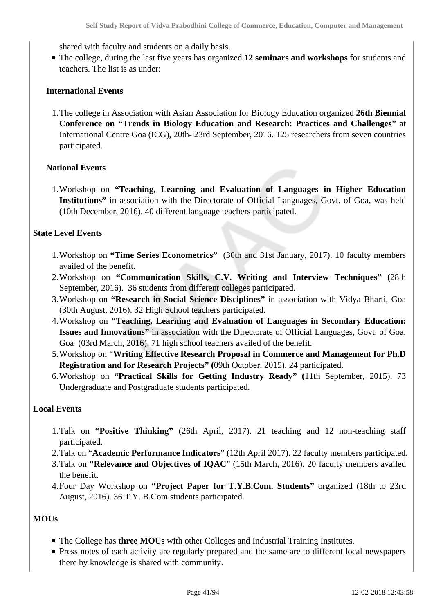shared with faculty and students on a daily basis.

The college, during the last five years has organized **12 seminars and workshops** for students and teachers. The list is as under:

#### **International Events**

1.The college in Association with Asian Association for Biology Education organized **26th Biennial Conference on "Trends in Biology Education and Research: Practices and Challenges"** at International Centre Goa (ICG), 20th- 23rd September, 2016. 125 researchers from seven countries participated.

#### **National Events**

1.Workshop on **"Teaching, Learning and Evaluation of Languages in Higher Education Institutions"** in association with the Directorate of Official Languages, Govt. of Goa, was held (10th December, 2016). 40 different language teachers participated.

#### **State Level Events**

- 1.Workshop on **"Time Series Econometrics"** (30th and 31st January, 2017). 10 faculty members availed of the benefit.
- 2.Workshop on **"Communication Skills, C.V. Writing and Interview Techniques"** (28th September, 2016). 36 students from different colleges participated.
- 3.Workshop on **"Research in Social Science Disciplines"** in association with Vidya Bharti, Goa (30th August, 2016). 32 High School teachers participated.
- 4.Workshop on **"Teaching, Learning and Evaluation of Languages in Secondary Education: Issues and Innovations"** in association with the Directorate of Official Languages, Govt. of Goa, Goa (03rd March, 2016). 71 high school teachers availed of the benefit.
- 5.Workshop on "**Writing Effective Research Proposal in Commerce and Management for Ph.D Registration and for Research Projects" (**09th October, 2015). 24 participated.
- 6.Workshop on **"Practical Skills for Getting Industry Ready" (**11th September, 2015). 73 Undergraduate and Postgraduate students participated.

### **Local Events**

- 1.Talk on **"Positive Thinking"** (26th April, 2017). 21 teaching and 12 non-teaching staff participated.
- 2.Talk on "**Academic Performance Indicators**" (12th April 2017). 22 faculty members participated.
- 3.Talk on **"Relevance and Objectives of IQAC**" (15th March, 2016). 20 faculty members availed the benefit.
- 4.Four Day Workshop on **"Project Paper for T.Y.B.Com. Students"** organized (18th to 23rd August, 2016). 36 T.Y. B.Com students participated.

### **MOUs**

- The College has **three MOUs** with other Colleges and Industrial Training Institutes.
- **Press notes of each activity are regularly prepared and the same are to different local newspapers** there by knowledge is shared with community.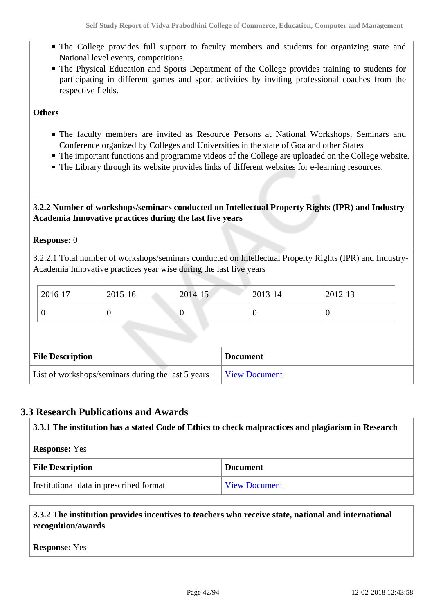- The College provides full support to faculty members and students for organizing state and National level events, competitions.
- The Physical Education and Sports Department of the College provides training to students for participating in different games and sport activities by inviting professional coaches from the respective fields.

## **Others**

- The faculty members are invited as Resource Persons at National Workshops, Seminars and Conference organized by Colleges and Universities in the state of Goa and other States
- The important functions and programme videos of the College are uploaded on the College website.
- The Library through its website provides links of different websites for e-learning resources.

 **3.2.2 Number of workshops/seminars conducted on Intellectual Property Rights (IPR) and Industry-Academia Innovative practices during the last five years**

#### **Response:** 0

3.2.2.1 Total number of workshops/seminars conducted on Intellectual Property Rights (IPR) and Industry-Academia Innovative practices year wise during the last five years

| 2016-17                 | 2015-16                                            | 2014-15  |                 | 2013-14              | 2012-13  |  |
|-------------------------|----------------------------------------------------|----------|-----------------|----------------------|----------|--|
| $\theta$                | O                                                  | $\theta$ |                 | v                    | $\theta$ |  |
|                         |                                                    |          |                 |                      |          |  |
| <b>File Description</b> |                                                    |          | <b>Document</b> |                      |          |  |
|                         | List of workshops/seminars during the last 5 years |          |                 | <b>View Document</b> |          |  |

# **3.3 Research Publications and Awards**

 **3.3.1 The institution has a stated Code of Ethics to check malpractices and plagiarism in Research Response:** Yes **File Description Document** Institutional data in prescribed format [View Document](https://assessmentonline.naac.gov.in/storage/app/hei/SSR/100731/3.3.1_1516718371_715.xlsx)

 **3.3.2 The institution provides incentives to teachers who receive state, national and international recognition/awards**

**Response:** Yes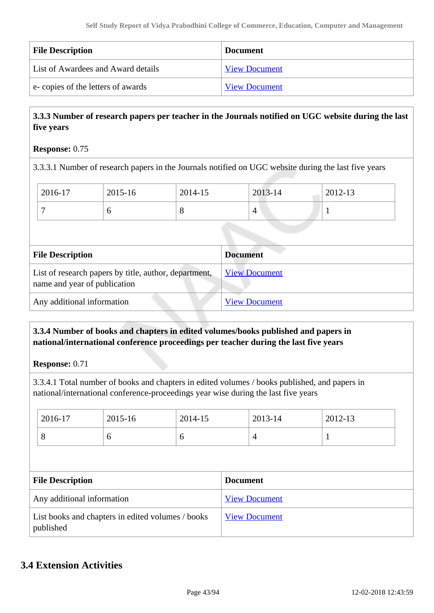| <b>File Description</b>            | <b>Document</b>      |
|------------------------------------|----------------------|
| List of Awardees and Award details | <b>View Document</b> |
| e-copies of the letters of awards  | <b>View Document</b> |

# **3.3.3 Number of research papers per teacher in the Journals notified on UGC website during the last five years**

#### **Response:** 0.75

3.3.3.1 Number of research papers in the Journals notified on UGC website during the last five years

| 2016-17                                                                               | 2015-16 | 2014-15 |                 | 2013-14              | 2012-13 |  |
|---------------------------------------------------------------------------------------|---------|---------|-----------------|----------------------|---------|--|
| 7                                                                                     | 6       | 8       |                 | $\overline{4}$       |         |  |
|                                                                                       |         |         |                 |                      |         |  |
| <b>File Description</b>                                                               |         |         | <b>Document</b> |                      |         |  |
| List of research papers by title, author, department,<br>name and year of publication |         |         |                 | <b>View Document</b> |         |  |
| Any additional information                                                            |         |         |                 | <b>View Document</b> |         |  |

## **3.3.4 Number of books and chapters in edited volumes/books published and papers in national/international conference proceedings per teacher during the last five years**

**Response:** 0.71

3.3.4.1 Total number of books and chapters in edited volumes / books published, and papers in national/international conference-proceedings year wise during the last five years

| 2016-17                    | 2015-16 | 2014-15 | 2013-14              | 2012-13 |  |
|----------------------------|---------|---------|----------------------|---------|--|
| 8                          | 6       | 6       | 4                    |         |  |
|                            |         |         |                      |         |  |
|                            |         |         |                      |         |  |
| <b>File Description</b>    |         |         | <b>Document</b>      |         |  |
| Any additional information |         |         | <b>View Document</b> |         |  |

# **3.4 Extension Activities**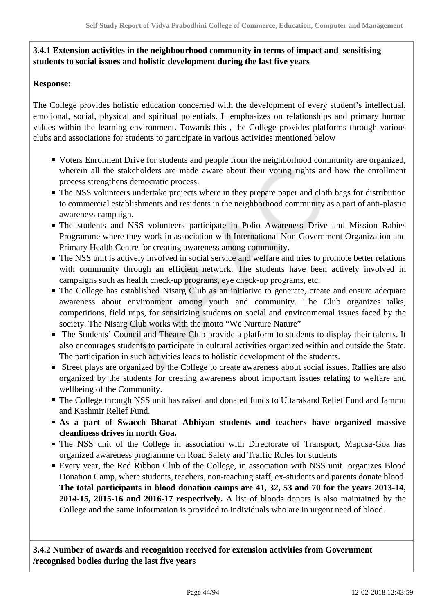# **3.4.1 Extension activities in the neighbourhood community in terms of impact and sensitising students to social issues and holistic development during the last five years**

## **Response:**

The College provides holistic education concerned with the development of every student's intellectual, emotional, social, physical and spiritual potentials. It emphasizes on relationships and primary human values within the learning environment. Towards this , the College provides platforms through various clubs and associations for students to participate in various activities mentioned below

- Voters Enrolment Drive for students and people from the neighborhood community are organized, wherein all the stakeholders are made aware about their voting rights and how the enrollment process strengthens democratic process.
- The NSS volunteers undertake projects where in they prepare paper and cloth bags for distribution to commercial establishments and residents in the neighborhood community as a part of anti-plastic awareness campaign.
- The students and NSS volunteers participate in Polio Awareness Drive and Mission Rabies Programme where they work in association with International Non-Government Organization and Primary Health Centre for creating awareness among community.
- The NSS unit is actively involved in social service and welfare and tries to promote better relations with community through an efficient network. The students have been actively involved in campaigns such as health check-up programs, eye check-up programs, etc.
- The College has established Nisarg Club as an initiative to generate, create and ensure adequate awareness about environment among youth and community. The Club organizes talks, competitions, field trips, for sensitizing students on social and environmental issues faced by the society. The Nisarg Club works with the motto "We Nurture Nature"
- The Students' Council and Theatre Club provide a platform to students to display their talents. It also encourages students to participate in cultural activities organized within and outside the State. The participation in such activities leads to holistic development of the students.
- Street plays are organized by the College to create awareness about social issues. Rallies are also organized by the students for creating awareness about important issues relating to welfare and wellbeing of the Community.
- The College through NSS unit has raised and donated funds to Uttarakand Relief Fund and Jammu and Kashmir Relief Fund.
- **As a part of Swacch Bharat Abhiyan students and teachers have organized massive cleanliness drives in north Goa.**
- The NSS unit of the College in association with Directorate of Transport, Mapusa-Goa has organized awareness programme on Road Safety and Traffic Rules for students
- Every year, the Red Ribbon Club of the College, in association with NSS unit organizes Blood Donation Camp, where students, teachers, non-teaching staff, ex-students and parents donate blood. **The total participants in blood donation camps are 41, 32, 53 and 70 for the years 2013-14, 2014-15, 2015-16 and 2016-17 respectively.** A list of bloods donors is also maintained by the College and the same information is provided to individuals who are in urgent need of blood.

 **3.4.2 Number of awards and recognition received for extension activities from Government /recognised bodies during the last five years**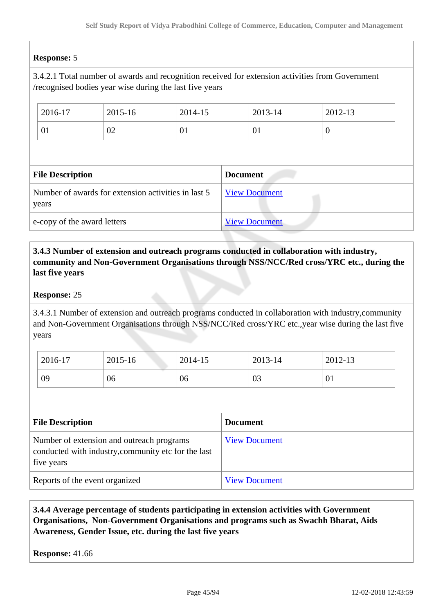# **Response:** 5

3.4.2.1 Total number of awards and recognition received for extension activities from Government /recognised bodies year wise during the last five years

| 2016-17                 | 2015-16                                             | 2014-15 |                 | 2013-14              | 2012-13  |
|-------------------------|-----------------------------------------------------|---------|-----------------|----------------------|----------|
| 01                      | 02                                                  | 01      |                 | 01                   | $\theta$ |
|                         |                                                     |         |                 |                      |          |
|                         |                                                     |         |                 |                      |          |
| <b>File Description</b> |                                                     |         | <b>Document</b> |                      |          |
| years                   | Number of awards for extension activities in last 5 |         |                 | <b>View Document</b> |          |

# **3.4.3 Number of extension and outreach programs conducted in collaboration with industry, community and Non-Government Organisations through NSS/NCC/Red cross/YRC etc., during the last five years**

#### **Response:** 25

3.4.3.1 Number of extension and outreach programs conducted in collaboration with industry,community and Non-Government Organisations through NSS/NCC/Red cross/YRC etc.,year wise during the last five years

| 2016-17 | 2015-16 | 2014-15 | 2013-14 | 2012-13 |
|---------|---------|---------|---------|---------|
| 09      | 06      | 06      | 03      | 01      |

| <b>File Description</b>                                                                                        | <b>Document</b>      |
|----------------------------------------------------------------------------------------------------------------|----------------------|
| Number of extension and outreach programs<br>conducted with industry, community etc for the last<br>five years | <b>View Document</b> |
| Reports of the event organized                                                                                 | <b>View Document</b> |

## **3.4.4 Average percentage of students participating in extension activities with Government Organisations, Non-Government Organisations and programs such as Swachh Bharat, Aids Awareness, Gender Issue, etc. during the last five years**

**Response:** 41.66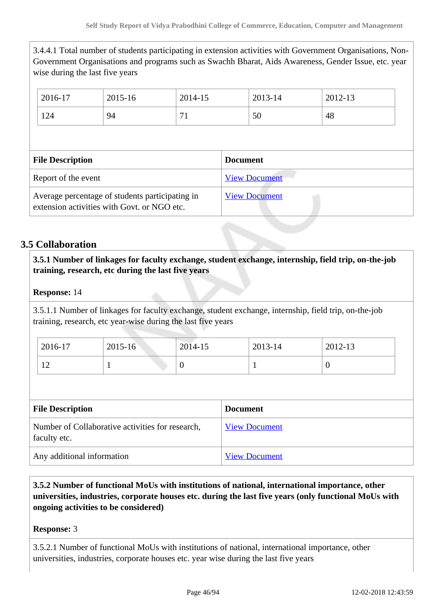3.4.4.1 Total number of students participating in extension activities with Government Organisations, Non-Government Organisations and programs such as Swachh Bharat, Aids Awareness, Gender Issue, etc. year wise during the last five years

| 2016-17                 | 2015-16 | 2014-15 |                 | 2013-14              | 2012-13 |  |
|-------------------------|---------|---------|-----------------|----------------------|---------|--|
| 124                     | 94      | 71      |                 | 50                   | 48      |  |
|                         |         |         |                 |                      |         |  |
|                         |         |         |                 |                      |         |  |
| <b>File Description</b> |         |         | <b>Document</b> |                      |         |  |
| Report of the event     |         |         |                 | <b>View Document</b> |         |  |

# **3.5 Collaboration**

 **3.5.1 Number of linkages for faculty exchange, student exchange, internship, field trip, on-the-job training, research, etc during the last five years**

## **Response:** 14

3.5.1.1 Number of linkages for faculty exchange, student exchange, internship, field trip, on-the-job training, research, etc year-wise during the last five years

| 2016-17 | $2015 - 16$ | $2014 - 15$ | 2013-14 | 2012-13 |
|---------|-------------|-------------|---------|---------|
| $\sim$  |             |             |         | U       |

| <b>File Description</b>                                          | <b>Document</b>      |
|------------------------------------------------------------------|----------------------|
| Number of Collaborative activities for research,<br>faculty etc. | <b>View Document</b> |
| Any additional information                                       | <b>View Document</b> |

 **3.5.2 Number of functional MoUs with institutions of national, international importance, other universities, industries, corporate houses etc. during the last five years (only functional MoUs with ongoing activities to be considered)**

### **Response:** 3

3.5.2.1 Number of functional MoUs with institutions of national, international importance, other universities, industries, corporate houses etc. year wise during the last five years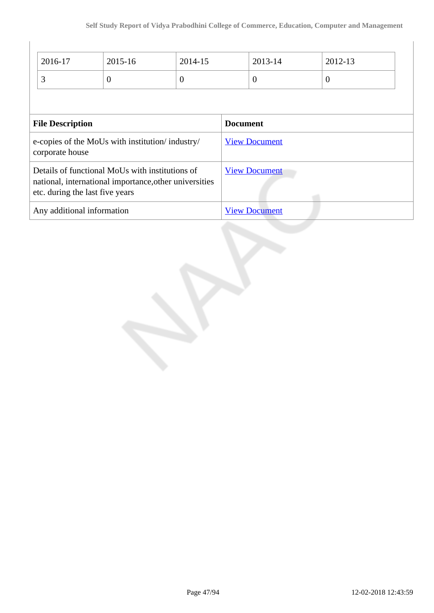|                                                                                                                                              | 2016-17                                                            | $2015 - 16$    | 2014-15  |                      | 2013-14        | 2012-13  |  |
|----------------------------------------------------------------------------------------------------------------------------------------------|--------------------------------------------------------------------|----------------|----------|----------------------|----------------|----------|--|
|                                                                                                                                              | 3                                                                  | $\overline{0}$ | $\theta$ |                      | $\overline{0}$ | $\theta$ |  |
|                                                                                                                                              |                                                                    |                |          |                      |                |          |  |
|                                                                                                                                              | <b>File Description</b>                                            |                |          | <b>Document</b>      |                |          |  |
|                                                                                                                                              | e-copies of the MoUs with institution/industry/<br>corporate house |                |          | <b>View Document</b> |                |          |  |
| Details of functional MoUs with institutions of<br>national, international importance, other universities<br>etc. during the last five years |                                                                    |                |          | <b>View Document</b> |                |          |  |
| Any additional information                                                                                                                   |                                                                    |                |          | <b>View Document</b> |                |          |  |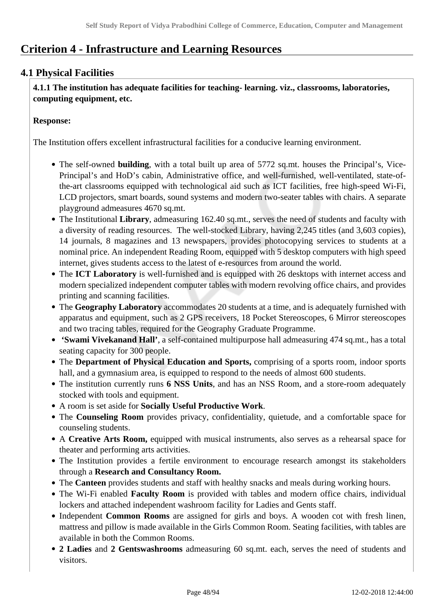# **Criterion 4 - Infrastructure and Learning Resources**

# **4.1 Physical Facilities**

 **4.1.1 The institution has adequate facilities for teaching- learning. viz., classrooms, laboratories, computing equipment, etc.**

## **Response:**

The Institution offers excellent infrastructural facilities for a conducive learning environment.

- The self-owned **building**, with a total built up area of 5772 sq.mt. houses the Principal's, Vice-Principal's and HoD's cabin, Administrative office, and well-furnished, well-ventilated, state-ofthe-art classrooms equipped with technological aid such as ICT facilities, free high-speed Wi-Fi, LCD projectors, smart boards, sound systems and modern two-seater tables with chairs. A separate playground admeasures 4670 sq.mt.
- The Institutional **Library**, admeasuring 162.40 sq.mt., serves the need of students and faculty with a diversity of reading resources. The well-stocked Library, having 2,245 titles (and 3,603 copies), 14 journals, 8 magazines and 13 newspapers, provides photocopying services to students at a nominal price. An independent Reading Room, equipped with 5 desktop computers with high speed internet, gives students access to the latest of e-resources from around the world.
- The **ICT Laboratory** is well-furnished and is equipped with 26 desktops with internet access and modern specialized independent computer tables with modern revolving office chairs, and provides printing and scanning facilities.
- The **Geography Laboratory** accommodates 20 students at a time, and is adequately furnished with apparatus and equipment, such as 2 GPS receivers, 18 Pocket Stereoscopes, 6 Mirror stereoscopes and two tracing tables, required for the Geography Graduate Programme.
- **'Swami Vivekanand Hall'**, a self-contained multipurpose hall admeasuring 474 sq.mt., has a total seating capacity for 300 people.
- The **Department of Physical Education and Sports,** comprising of a sports room, indoor sports hall, and a gymnasium area, is equipped to respond to the needs of almost 600 students.
- The institution currently runs **6 NSS Units**, and has an NSS Room, and a store-room adequately stocked with tools and equipment.
- A room is set aside for **Socially Useful Productive Work**.
- The **Counseling Room** provides privacy, confidentiality, quietude, and a comfortable space for counseling students.
- A **Creative Arts Room,** equipped with musical instruments, also serves as a rehearsal space for theater and performing arts activities.
- The Institution provides a fertile environment to encourage research amongst its stakeholders through a **Research and Consultancy Room.**
- The **Canteen** provides students and staff with healthy snacks and meals during working hours.
- The Wi-Fi enabled **Faculty Room** is provided with tables and modern office chairs, individual lockers and attached independent washroom facility for Ladies and Gents staff.
- Independent **Common Rooms** are assigned for girls and boys. A wooden cot with fresh linen, mattress and pillow is made available in the Girls Common Room. Seating facilities, with tables are available in both the Common Rooms.
- **2 Ladies** and **2 Gentswashrooms** admeasuring 60 sq.mt. each, serves the need of students and visitors.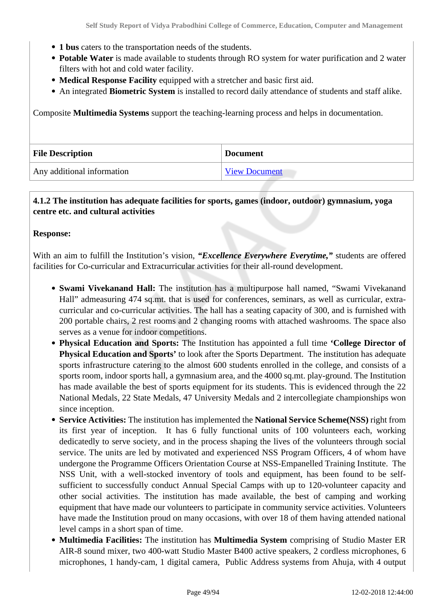- **1 bus** caters to the transportation needs of the students.
- **Potable Water** is made available to students through RO system for water purification and 2 water filters with hot and cold water facility.
- **Medical Response Facility** equipped with a stretcher and basic first aid.
- An integrated **Biometric System** is installed to record daily attendance of students and staff alike.

Composite **Multimedia Systems** support the teaching-learning process and helps in documentation.

| <b>File Description</b>    | <b>Document</b>      |
|----------------------------|----------------------|
| Any additional information | <b>View Document</b> |

## **4.1.2 The institution has adequate facilities for sports, games (indoor, outdoor) gymnasium, yoga centre etc. and cultural activities**

#### **Response:**

With an aim to fulfill the Institution's vision, *"Excellence Everywhere Everytime,"* students are offered facilities for Co-curricular and Extracurricular activities for their all-round development.

- **Swami Vivekanand Hall:** The institution has a multipurpose hall named, "Swami Vivekanand Hall" admeasuring 474 sq.mt. that is used for conferences, seminars, as well as curricular, extracurricular and co-curricular activities. The hall has a seating capacity of 300, and is furnished with 200 portable chairs, 2 rest rooms and 2 changing rooms with attached washrooms. The space also serves as a venue for indoor competitions.
- **Physical Education and Sports:** The Institution has appointed a full time **'College Director of Physical Education and Sports'** to look after the Sports Department. The institution has adequate sports infrastructure catering to the almost 600 students enrolled in the college, and consists of a sports room, indoor sports hall, a gymnasium area, and the 4000 sq.mt. play-ground. The Institution has made available the best of sports equipment for its students. This is evidenced through the 22 National Medals, 22 State Medals, 47 University Medals and 2 intercollegiate championships won since inception.
- **Service Activities:** The institution has implemented the **National Service Scheme(NSS)** right from its first year of inception. It has 6 fully functional units of 100 volunteers each, working dedicatedly to serve society, and in the process shaping the lives of the volunteers through social service. The units are led by motivated and experienced NSS Program Officers, 4 of whom have undergone the Programme Officers Orientation Course at NSS-Empanelled Training Institute. The NSS Unit, with a well-stocked inventory of tools and equipment, has been found to be selfsufficient to successfully conduct Annual Special Camps with up to 120-volunteer capacity and other social activities. The institution has made available, the best of camping and working equipment that have made our volunteers to participate in community service activities. Volunteers have made the Institution proud on many occasions, with over 18 of them having attended national level camps in a short span of time.
- **Multimedia Facilities:** The institution has **Multimedia System** comprising of Studio Master ER AIR-8 sound mixer, two 400-watt Studio Master B400 active speakers, 2 cordless microphones, 6 microphones, 1 handy-cam, 1 digital camera, Public Address systems from Ahuja, with 4 output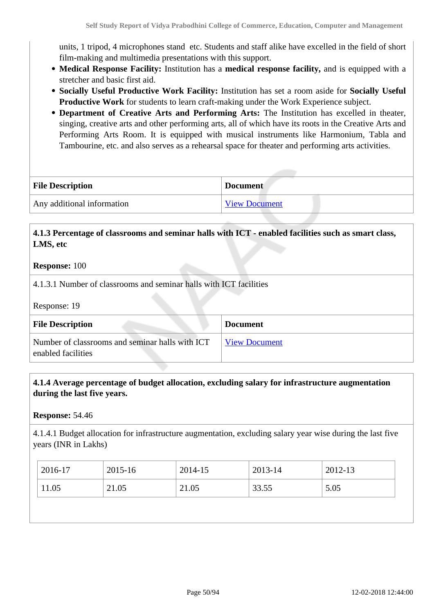units, 1 tripod, 4 microphones stand etc. Students and staff alike have excelled in the field of short film-making and multimedia presentations with this support.

- **Medical Response Facility:** Institution has a **medical response facility,** and is equipped with a stretcher and basic first aid.
- **Socially Useful Productive Work Facility:** Institution has set a room aside for **Socially Useful Productive Work** for students to learn craft-making under the Work Experience subject.
- **Department of Creative Arts and Performing Arts:** The Institution has excelled in theater, singing, creative arts and other performing arts, all of which have its roots in the Creative Arts and Performing Arts Room. It is equipped with musical instruments like Harmonium, Tabla and Tambourine, etc. and also serves as a rehearsal space for theater and performing arts activities.

| <b>File Description</b>    | <b>Document</b>      |
|----------------------------|----------------------|
| Any additional information | <b>View Document</b> |

# **4.1.3 Percentage of classrooms and seminar halls with ICT - enabled facilities such as smart class, LMS, etc**

#### **Response:** 100

4.1.3.1 Number of classrooms and seminar halls with ICT facilities

Response: 19

| <b>File Description</b>                                               | <b>Document</b>      |
|-----------------------------------------------------------------------|----------------------|
| Number of classrooms and seminar halls with ICT<br>enabled facilities | <b>View Document</b> |

## **4.1.4 Average percentage of budget allocation, excluding salary for infrastructure augmentation during the last five years.**

**Response:** 54.46

4.1.4.1 Budget allocation for infrastructure augmentation, excluding salary year wise during the last five years (INR in Lakhs)

| $2016-17$ | 2015-16 | 2014-15 | 2013-14 | 2012-13 |
|-----------|---------|---------|---------|---------|
| 11.05     | 21.05   | 21.05   | 33.55   | 5.05    |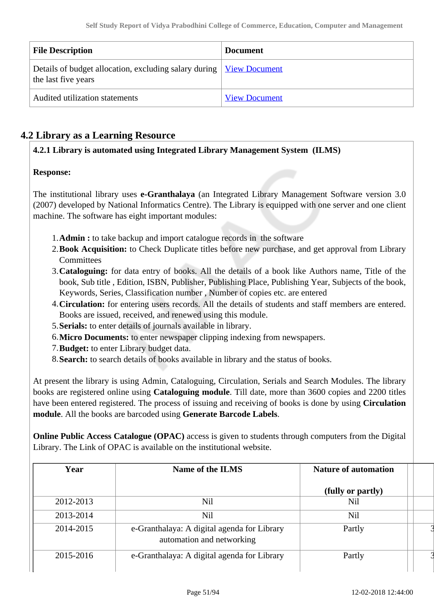| <b>File Description</b>                                                                      | <b>Document</b>      |
|----------------------------------------------------------------------------------------------|----------------------|
| Details of budget allocation, excluding salary during   View Document<br>the last five years |                      |
| Audited utilization statements                                                               | <b>View Document</b> |

# **4.2 Library as a Learning Resource**

## **4.2.1 Library is automated using Integrated Library Management System (ILMS)**

## **Response:**

The institutional library uses **e-Granthalaya** (an Integrated Library Management Software version 3.0 (2007) developed by National Informatics Centre). The Library is equipped with one server and one client machine. The software has eight important modules:

- 1.**Admin :** to take backup and import catalogue records in the software
- 2.**Book Acquisition:** to Check Duplicate titles before new purchase, and get approval from Library **Committees**
- 3.**Cataloguing:** for data entry of books. All the details of a book like Authors name, Title of the book, Sub title , Edition, ISBN, Publisher, Publishing Place, Publishing Year, Subjects of the book, Keywords, Series, Classification number , Number of copies etc. are entered
- 4.**Circulation:** for entering users records. All the details of students and staff members are entered. Books are issued, received, and renewed using this module.
- 5.**Serials:** to enter details of journals available in library.
- 6.**Micro Documents:** to enter newspaper clipping indexing from newspapers.
- 7.**Budget:** to enter Library budget data.
- 8.**Search:** to search details of books available in library and the status of books.

At present the library is using Admin, Cataloguing, Circulation, Serials and Search Modules. The library books are registered online using **Cataloguing module**. Till date, more than 3600 copies and 2200 titles have been entered registered. The process of issuing and receiving of books is done by using **Circulation module**. All the books are barcoded using **Generate Barcode Labels**.

**Online Public Access Catalogue (OPAC)** access is given to students through computers from the Digital Library. The Link of OPAC is available on the institutional website.

| Year<br>Name of the ILMS |                                                                          | <b>Nature of automation</b> |  |
|--------------------------|--------------------------------------------------------------------------|-----------------------------|--|
|                          |                                                                          | (fully or partly)           |  |
| 2012-2013                | Nil                                                                      | Nil                         |  |
| 2013-2014                | <b>Nil</b>                                                               | <b>Nil</b>                  |  |
| 2014-2015                | e-Granthalaya: A digital agenda for Library<br>automation and networking | Partly                      |  |
| 2015-2016                | e-Granthalaya: A digital agenda for Library                              | Partly                      |  |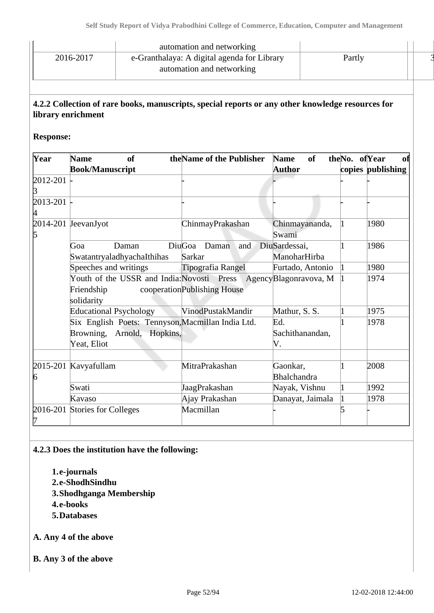|           | automation and networking                   |        |  |
|-----------|---------------------------------------------|--------|--|
| 2016-2017 | e-Granthalaya: A digital agenda for Library | Partly |  |
|           | automation and networking                   |        |  |
|           |                                             |        |  |

# **4.2.2 Collection of rare books, manuscripts, special reports or any other knowledge resources for library enrichment**

#### **Response:**

| Year         | <b>Name</b>                   | <b>of</b>                     | the Name of the Publisher                                         | <b>of</b><br><b>Name</b> | the No. of Year | of                |
|--------------|-------------------------------|-------------------------------|-------------------------------------------------------------------|--------------------------|-----------------|-------------------|
|              | <b>Book/Manuscript</b>        |                               |                                                                   | Author                   |                 | copies publishing |
| 2012-201     |                               |                               |                                                                   |                          |                 |                   |
| B            |                               |                               |                                                                   |                          |                 |                   |
| $2013 - 201$ |                               |                               |                                                                   |                          |                 |                   |
| 1            |                               |                               |                                                                   |                          |                 |                   |
|              | $2014 - 201$ Jeevan Jyot      |                               | ChinmayPrakashan                                                  | Chinmayananda,           | 1               | 1980              |
| 5            |                               |                               |                                                                   | Swami                    |                 |                   |
|              | Goa                           | Daman                         | DiuGoa<br>Daman<br>and                                            | DiuSardessai,            |                 | 1986              |
|              |                               | SwatantryaladhyachaIthihas    | Sarkar                                                            | ManoharHirba             |                 |                   |
|              | Speeches and writings         |                               | Tipografia Rangel                                                 | Furtado, Antonio         | 1               | 1980              |
|              |                               |                               | Youth of the USSR and India: Novosti Press Agency Blagonravova, M |                          | $\vert$ 1       | 1974              |
|              | Friendship                    |                               | cooperationPublishing House                                       |                          |                 |                   |
|              | solidarity                    |                               |                                                                   |                          |                 |                   |
|              |                               | <b>Educational Psychology</b> | VinodPustakMandir                                                 | Mathur, S. S.            |                 | 1975              |
|              |                               |                               | Six English Poets: Tennyson, Macmillan India Ltd.                 | Ed.                      |                 | 1978              |
|              |                               | Browning, Arnold, Hopkins,    |                                                                   | Sachithanandan,          |                 |                   |
|              | Yeat, Eliot                   |                               |                                                                   | V.                       |                 |                   |
|              |                               |                               |                                                                   |                          |                 |                   |
|              | 2015-201 Kavyafullam          |                               | MitraPrakashan                                                    | Gaonkar,                 |                 | 2008              |
| 6            |                               |                               |                                                                   | <b>Bhalchandra</b>       |                 |                   |
|              | Swati                         |                               | JaagPrakashan                                                     | Nayak, Vishnu            | 1               | 1992              |
|              | Kavaso                        |                               | Ajay Prakashan                                                    | Danayat, Jaimala         |                 | 1978              |
|              | 2016-201 Stories for Colleges |                               | Macmillan                                                         |                          | 5               |                   |
| 17           |                               |                               |                                                                   |                          |                 |                   |

#### **4.2.3 Does the institution have the following:**

#### **1.e-journals**

- **2.e-ShodhSindhu**
- **3.Shodhganga Membership**
- **4.e-books**
- **5.Databases**

### **A. Any 4 of the above**

**B. Any 3 of the above**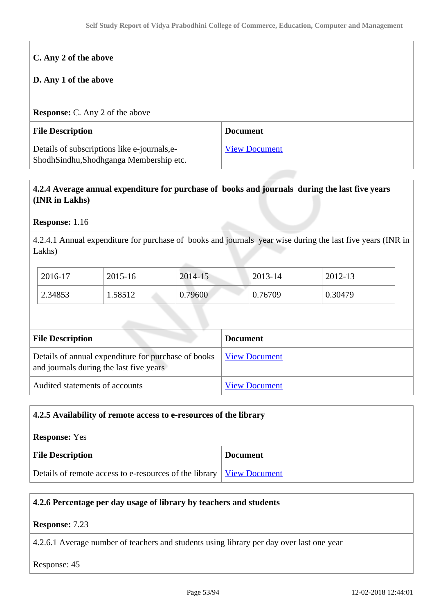# **C. Any 2 of the above**

# **D. Any 1 of the above**

### **Response:** C. Any 2 of the above

| <b>File Description</b>                                                                | <b>Document</b>      |
|----------------------------------------------------------------------------------------|----------------------|
| Details of subscriptions like e-journals, e-<br>ShodhSindhu,Shodhganga Membership etc. | <b>View Document</b> |

# **4.2.4 Average annual expenditure for purchase of books and journals during the last five years (INR in Lakhs)**

### **Response:** 1.16

4.2.4.1 Annual expenditure for purchase of books and journals year wise during the last five years (INR in Lakhs)

| 2016-17 | 2015-16 | 2014-15 | 2013-14 | 2012-13 |
|---------|---------|---------|---------|---------|
| 2.34853 | .58512  | 0.79600 | 0.76709 | 0.30479 |

| <b>File Description</b>                                                                        | <b>Document</b>      |
|------------------------------------------------------------------------------------------------|----------------------|
| Details of annual expenditure for purchase of books<br>and journals during the last five years | <b>View Document</b> |
| Audited statements of accounts                                                                 | <b>View Document</b> |

## **4.2.5 Availability of remote access to e-resources of the library**

| <b>Response:</b> Yes                                                   |                 |
|------------------------------------------------------------------------|-----------------|
| <b>File Description</b>                                                | <b>Document</b> |
| Details of remote access to e-resources of the library   View Document |                 |

# **4.2.6 Percentage per day usage of library by teachers and students**

### **Response:** 7.23

4.2.6.1 Average number of teachers and students using library per day over last one year

#### Response: 45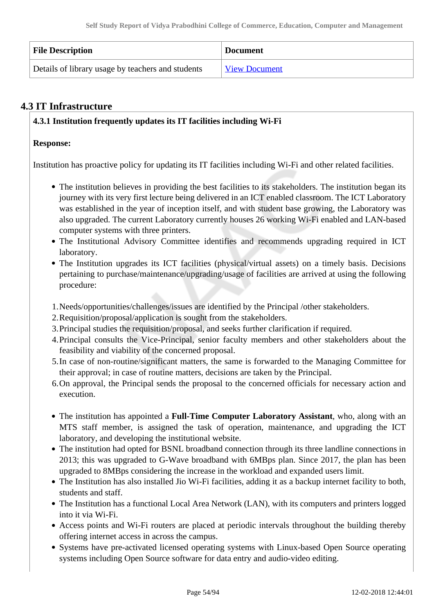| <b>File Description</b>                           | <b>Document</b>      |
|---------------------------------------------------|----------------------|
| Details of library usage by teachers and students | <b>View Document</b> |

# **4.3 IT Infrastructure**

## **4.3.1 Institution frequently updates its IT facilities including Wi-Fi**

## **Response:**

Institution has proactive policy for updating its IT facilities including Wi-Fi and other related facilities.

- The institution believes in providing the best facilities to its stakeholders. The institution began its journey with its very first lecture being delivered in an ICT enabled classroom. The ICT Laboratory was established in the year of inception itself, and with student base growing, the Laboratory was also upgraded. The current Laboratory currently houses 26 working Wi-Fi enabled and LAN-based computer systems with three printers.
- The Institutional Advisory Committee identifies and recommends upgrading required in ICT laboratory.
- The Institution upgrades its ICT facilities (physical/virtual assets) on a timely basis. Decisions pertaining to purchase/maintenance/upgrading/usage of facilities are arrived at using the following procedure:
- 1.Needs/opportunities/challenges/issues are identified by the Principal /other stakeholders.
- 2.Requisition/proposal/application is sought from the stakeholders.
- 3.Principal studies the requisition/proposal, and seeks further clarification if required.
- 4.Principal consults the Vice-Principal, senior faculty members and other stakeholders about the feasibility and viability of the concerned proposal.
- 5.In case of non-routine/significant matters, the same is forwarded to the Managing Committee for their approval; in case of routine matters, decisions are taken by the Principal.
- 6.On approval, the Principal sends the proposal to the concerned officials for necessary action and execution.
- The institution has appointed a **Full-Time Computer Laboratory Assistant**, who, along with an MTS staff member, is assigned the task of operation, maintenance, and upgrading the ICT laboratory, and developing the institutional website.
- The institution had opted for BSNL broadband connection through its three landline connections in 2013; this was upgraded to G-Wave broadband with 6MBps plan. Since 2017, the plan has been upgraded to 8MBps considering the increase in the workload and expanded users limit.
- The Institution has also installed Jio Wi-Fi facilities, adding it as a backup internet facility to both, students and staff.
- The Institution has a functional Local Area Network (LAN), with its computers and printers logged into it via Wi-Fi.
- Access points and Wi-Fi routers are placed at periodic intervals throughout the building thereby offering internet access in across the campus.
- Systems have pre-activated licensed operating systems with Linux-based Open Source operating systems including Open Source software for data entry and audio-video editing.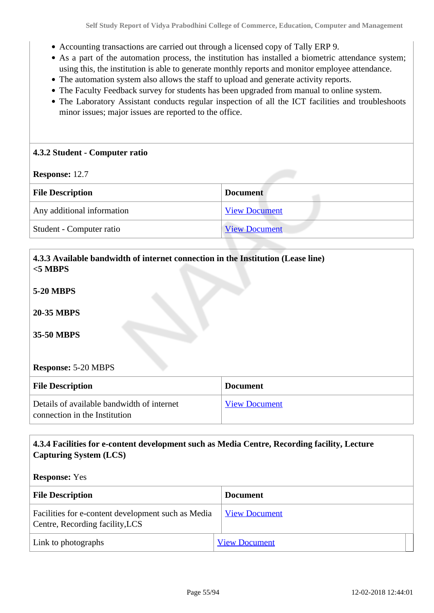- Accounting transactions are carried out through a licensed copy of Tally ERP 9.
- As a part of the automation process, the institution has installed a biometric attendance system; using this, the institution is able to generate monthly reports and monitor employee attendance.
- The automation system also allows the staff to upload and generate activity reports.
- The Faculty Feedback survey for students has been upgraded from manual to online system.
- The Laboratory Assistant conducts regular inspection of all the ICT facilities and troubleshoots minor issues; major issues are reported to the office.

#### **4.3.2 Student - Computer ratio**

**Response:** 12.7

| <b>File Description</b>    | <b>Document</b>      |
|----------------------------|----------------------|
| Any additional information | <b>View Document</b> |
| Student - Computer ratio   | <b>View Document</b> |

# **4.3.3 Available bandwidth of internet connection in the Institution (Lease line) <5 MBPS**

**5-20 MBPS**

**20-35 MBPS**

**35-50 MBPS**

#### **Response:** 5-20 MBPS

| <b>File Description</b>                                                     | <b>Document</b>      |
|-----------------------------------------------------------------------------|----------------------|
| Details of available bandwidth of internet<br>connection in the Institution | <b>View Document</b> |

## **4.3.4 Facilities for e-content development such as Media Centre, Recording facility, Lecture Capturing System (LCS)**

#### **Response:** Yes

| <b>File Description</b>                                                               | <b>Document</b>      |
|---------------------------------------------------------------------------------------|----------------------|
| Facilities for e-content development such as Media<br>Centre, Recording facility, LCS | <b>View Document</b> |
| Link to photographs                                                                   | <b>View Document</b> |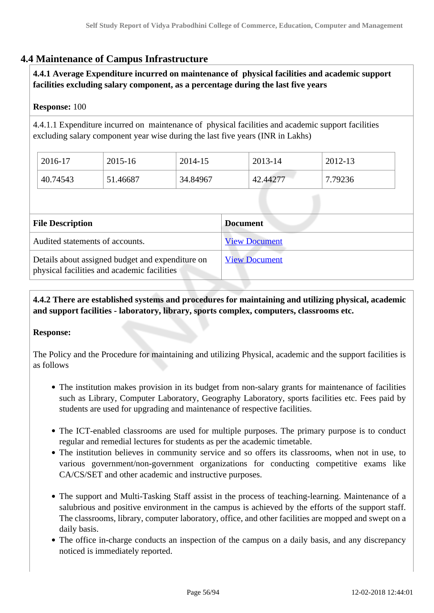# **4.4 Maintenance of Campus Infrastructure**

## **4.4.1 Average Expenditure incurred on maintenance of physical facilities and academic support facilities excluding salary component, as a percentage during the last five years**

### **Response:** 100

4.4.1.1 Expenditure incurred on maintenance of physical facilities and academic support facilities excluding salary component year wise during the last five years (INR in Lakhs)

| 2016-17  | 2015-16  | 2014-15  | 2013-14  | 2012-13 |
|----------|----------|----------|----------|---------|
| 40.74543 | 51.46687 | 34.84967 | 42.44277 | 7.79236 |

| <b>File Description</b>                                                                         | <b>Document</b>      |
|-------------------------------------------------------------------------------------------------|----------------------|
| Audited statements of accounts.                                                                 | <b>View Document</b> |
| Details about assigned budget and expenditure on<br>physical facilities and academic facilities | <b>View Document</b> |

# **4.4.2 There are established systems and procedures for maintaining and utilizing physical, academic and support facilities - laboratory, library, sports complex, computers, classrooms etc.**

### **Response:**

The Policy and the Procedure for maintaining and utilizing Physical, academic and the support facilities is as follows

- The institution makes provision in its budget from non-salary grants for maintenance of facilities such as Library, Computer Laboratory, Geography Laboratory, sports facilities etc. Fees paid by students are used for upgrading and maintenance of respective facilities.
- The ICT-enabled classrooms are used for multiple purposes. The primary purpose is to conduct regular and remedial lectures for students as per the academic timetable.
- The institution believes in community service and so offers its classrooms, when not in use, to various government/non-government organizations for conducting competitive exams like CA/CS/SET and other academic and instructive purposes.
- The support and Multi-Tasking Staff assist in the process of teaching-learning. Maintenance of a salubrious and positive environment in the campus is achieved by the efforts of the support staff. The classrooms, library, computer laboratory, office, and other facilities are mopped and swept on a daily basis.
- The office in-charge conducts an inspection of the campus on a daily basis, and any discrepancy noticed is immediately reported.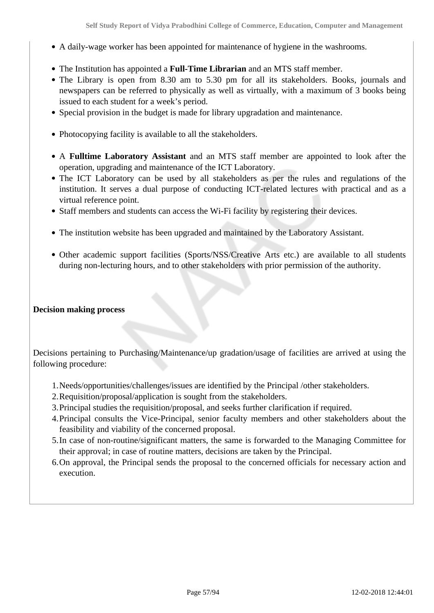- A daily-wage worker has been appointed for maintenance of hygiene in the washrooms.
- The Institution has appointed a **Full-Time Librarian** and an MTS staff member.
- The Library is open from 8.30 am to 5.30 pm for all its stakeholders. Books, journals and newspapers can be referred to physically as well as virtually, with a maximum of 3 books being issued to each student for a week's period.
- Special provision in the budget is made for library upgradation and maintenance.
- Photocopying facility is available to all the stakeholders.
- A **Fulltime Laboratory Assistant** and an MTS staff member are appointed to look after the operation, upgrading and maintenance of the ICT Laboratory.
- The ICT Laboratory can be used by all stakeholders as per the rules and regulations of the institution. It serves a dual purpose of conducting ICT-related lectures with practical and as a virtual reference point.
- Staff members and students can access the Wi-Fi facility by registering their devices.
- The institution website has been upgraded and maintained by the Laboratory Assistant.
- Other academic support facilities (Sports/NSS/Creative Arts etc.) are available to all students during non-lecturing hours, and to other stakeholders with prior permission of the authority.

#### **Decision making process**

Decisions pertaining to Purchasing/Maintenance/up gradation/usage of facilities are arrived at using the following procedure:

- 1.Needs/opportunities/challenges/issues are identified by the Principal /other stakeholders.
- 2.Requisition/proposal/application is sought from the stakeholders.
- 3.Principal studies the requisition/proposal, and seeks further clarification if required.
- 4.Principal consults the Vice-Principal, senior faculty members and other stakeholders about the feasibility and viability of the concerned proposal.
- 5.In case of non-routine/significant matters, the same is forwarded to the Managing Committee for their approval; in case of routine matters, decisions are taken by the Principal.
- 6.On approval, the Principal sends the proposal to the concerned officials for necessary action and execution.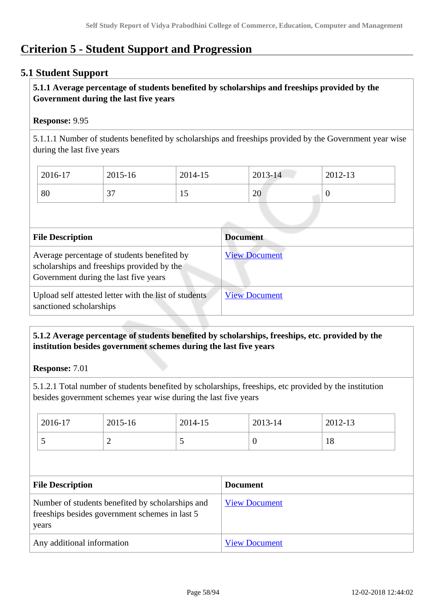# **Criterion 5 - Student Support and Progression**

# **5.1 Student Support**

## **5.1.1 Average percentage of students benefited by scholarships and freeships provided by the Government during the last five years**

#### **Response:** 9.95

5.1.1.1 Number of students benefited by scholarships and freeships provided by the Government year wise during the last five years

| 2016-17 | 2015-16     | 2014-15 | $2013 - 14$ | 2012-13 |
|---------|-------------|---------|-------------|---------|
| 80      | $\sim$<br>◡ | ⊥J      | 20          | ν       |

| <b>File Description</b>                                                                                                            | <b>Document</b>      |
|------------------------------------------------------------------------------------------------------------------------------------|----------------------|
| Average percentage of students benefited by<br>scholarships and freeships provided by the<br>Government during the last five years | <b>View Document</b> |
| Upload self attested letter with the list of students<br>sanctioned scholarships                                                   | <b>View Document</b> |

## **5.1.2 Average percentage of students benefited by scholarships, freeships, etc. provided by the institution besides government schemes during the last five years**

**Response:** 7.01

5.1.2.1 Total number of students benefited by scholarships, freeships, etc provided by the institution besides government schemes year wise during the last five years

|                                                                                                             | 2016-17 | 2015-16 | 2014-15         |  | 2013-14              | 2012-13 |  |
|-------------------------------------------------------------------------------------------------------------|---------|---------|-----------------|--|----------------------|---------|--|
|                                                                                                             | 5       | 2       | 5               |  | $\overline{0}$       | 18      |  |
|                                                                                                             |         |         |                 |  |                      |         |  |
| <b>File Description</b>                                                                                     |         |         | <b>Document</b> |  |                      |         |  |
| Number of students benefited by scholarships and<br>freeships besides government schemes in last 5<br>years |         |         |                 |  |                      |         |  |
|                                                                                                             |         |         |                 |  | <b>View Document</b> |         |  |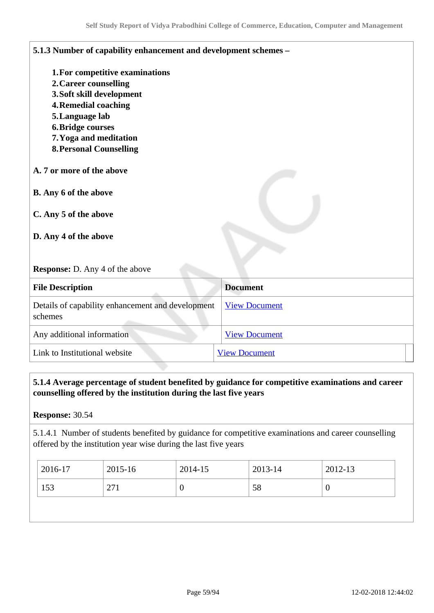| 5.1.3 Number of capability enhancement and development schemes - |                      |
|------------------------------------------------------------------|----------------------|
| 1. For competitive examinations                                  |                      |
| 2. Career counselling                                            |                      |
| 3. Soft skill development                                        |                      |
| <b>4. Remedial coaching</b>                                      |                      |
| 5. Language lab                                                  |                      |
| <b>6. Bridge courses</b>                                         |                      |
| 7. Yoga and meditation                                           |                      |
| <b>8. Personal Counselling</b>                                   |                      |
| A. 7 or more of the above                                        |                      |
| <b>B.</b> Any 6 of the above                                     |                      |
| C. Any 5 of the above                                            |                      |
| D. Any 4 of the above                                            |                      |
|                                                                  |                      |
| <b>Response:</b> D. Any 4 of the above                           |                      |
| <b>File Description</b>                                          | <b>Document</b>      |
| Details of capability enhancement and development<br>schemes     | <b>View Document</b> |
| Any additional information                                       | <b>View Document</b> |

Link to Institutional website [View Document](http://vidyaprabodhinicollege.edu.in/VPC/CEDS)

# **5.1.4 Average percentage of student benefited by guidance for competitive examinations and career counselling offered by the institution during the last five years**

#### **Response:** 30.54

5.1.4.1 Number of students benefited by guidance for competitive examinations and career counselling offered by the institution year wise during the last five years

| 2016-17 | 2015-16    | 2014-15 | 2013-14 | 2012-13 |
|---------|------------|---------|---------|---------|
| 153     | 271<br>211 | ν       | 58      | υ       |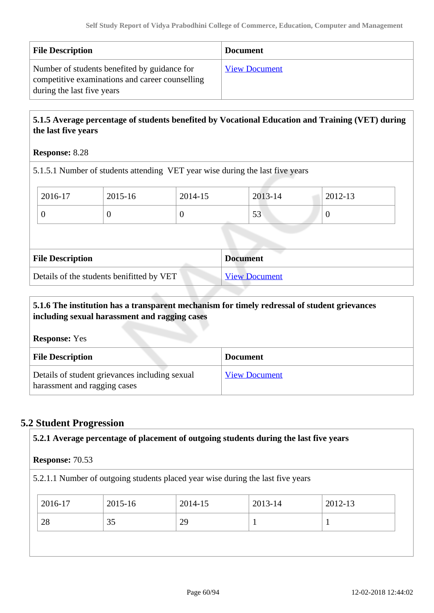| <b>File Description</b>                                                                                                       | <b>Document</b>      |
|-------------------------------------------------------------------------------------------------------------------------------|----------------------|
| Number of students benefited by guidance for<br>competitive examinations and career counselling<br>during the last five years | <b>View Document</b> |

## **5.1.5 Average percentage of students benefited by Vocational Education and Training (VET) during the last five years**

## **Response:** 8.28

5.1.5.1 Number of students attending VET year wise during the last five years

| 2016-17                                   | 2015-16 | 2014-15  | 2013-14              | 2012-13          |  |
|-------------------------------------------|---------|----------|----------------------|------------------|--|
| $\boldsymbol{0}$                          |         | $\theta$ | 53                   | $\boldsymbol{0}$ |  |
|                                           |         |          |                      |                  |  |
| <b>File Description</b>                   |         |          | <b>Document</b>      |                  |  |
| Details of the students benifitted by VET |         |          | <b>View Document</b> |                  |  |

# **5.1.6 The institution has a transparent mechanism for timely redressal of student grievances including sexual harassment and ragging cases**

**Response:** Yes

| <b>File Description</b>                                                        | <b>Document</b>      |
|--------------------------------------------------------------------------------|----------------------|
| Details of student grievances including sexual<br>harassment and ragging cases | <b>View Document</b> |

# **5.2 Student Progression**

| <b>Response: 70.53</b><br>5.2.1.1 Number of outgoing students placed year wise during the last five years |             |         |         |         |
|-----------------------------------------------------------------------------------------------------------|-------------|---------|---------|---------|
|                                                                                                           |             |         |         |         |
| 2016-17                                                                                                   | $2015 - 16$ | 2014-15 | 2013-14 | 2012-13 |
| 28                                                                                                        | 35          | 29      |         | -1      |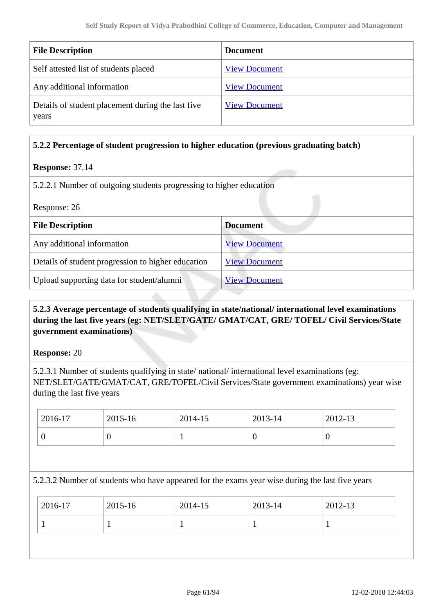| <b>File Description</b>                                    | <b>Document</b>      |
|------------------------------------------------------------|----------------------|
| Self attested list of students placed                      | <b>View Document</b> |
| Any additional information                                 | <b>View Document</b> |
| Details of student placement during the last five<br>years | <b>View Document</b> |

#### **5.2.2 Percentage of student progression to higher education (previous graduating batch)**

### **Response:** 37.14

5.2.2.1 Number of outgoing students progressing to higher education

| Response: 26                                       |                      |  |  |
|----------------------------------------------------|----------------------|--|--|
| <b>File Description</b>                            | <b>Document</b>      |  |  |
| Any additional information                         | <b>View Document</b> |  |  |
| Details of student progression to higher education | <b>View Document</b> |  |  |
| Upload supporting data for student/alumni          | <b>View Document</b> |  |  |

## **5.2.3 Average percentage of students qualifying in state/national/ international level examinations during the last five years (eg: NET/SLET/GATE/ GMAT/CAT, GRE/ TOFEL/ Civil Services/State government examinations)**

#### **Response:** 20

5.2.3.1 Number of students qualifying in state/ national/ international level examinations (eg: NET/SLET/GATE/GMAT/CAT, GRE/TOFEL/Civil Services/State government examinations) year wise during the last five years

| 2016-17 | 2015-16 | 2014-15 | 2013-14 | $2012 - 13$ |
|---------|---------|---------|---------|-------------|
|         |         |         |         | ◡           |

## 5.2.3.2 Number of students who have appeared for the exams year wise during the last five years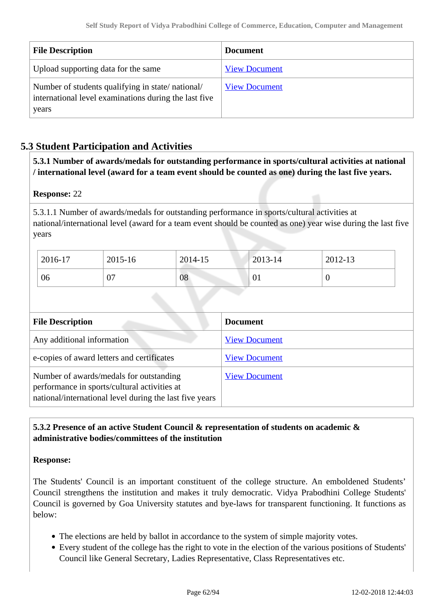| <b>File Description</b>                                                                                            | <b>Document</b>      |
|--------------------------------------------------------------------------------------------------------------------|----------------------|
| Upload supporting data for the same                                                                                | <b>View Document</b> |
| Number of students qualifying in state/national/<br>international level examinations during the last five<br>years | <b>View Document</b> |

# **5.3 Student Participation and Activities**

 **5.3.1 Number of awards/medals for outstanding performance in sports/cultural activities at national / international level (award for a team event should be counted as one) during the last five years.**

#### **Response:** 22

5.3.1.1 Number of awards/medals for outstanding performance in sports/cultural activities at national/international level (award for a team event should be counted as one) year wise during the last five years

| 2016-17 | 2015-16           | 2014-15 | 2013-14           | 2012-13 |
|---------|-------------------|---------|-------------------|---------|
| 06      | $\cap \Box$<br>v, | 08      | $\,^{\circ}0_{1}$ | v       |

| <b>File Description</b>                                                                                                                            | <b>Document</b>      |
|----------------------------------------------------------------------------------------------------------------------------------------------------|----------------------|
| Any additional information                                                                                                                         | <b>View Document</b> |
| e-copies of award letters and certificates                                                                                                         | <b>View Document</b> |
| Number of awards/medals for outstanding<br>performance in sports/cultural activities at<br>national/international level during the last five years | <b>View Document</b> |

## **5.3.2 Presence of an active Student Council & representation of students on academic & administrative bodies/committees of the institution**

#### **Response:**

The Students' Council is an important constituent of the college structure. An emboldened Students' Council strengthens the institution and makes it truly democratic. Vidya Prabodhini College Students' Council is governed by Goa University statutes and bye-laws for transparent functioning. It functions as below:

- The elections are held by ballot in accordance to the system of simple majority votes.
- Every student of the college has the right to vote in the election of the various positions of Students' Council like General Secretary, Ladies Representative, Class Representatives etc.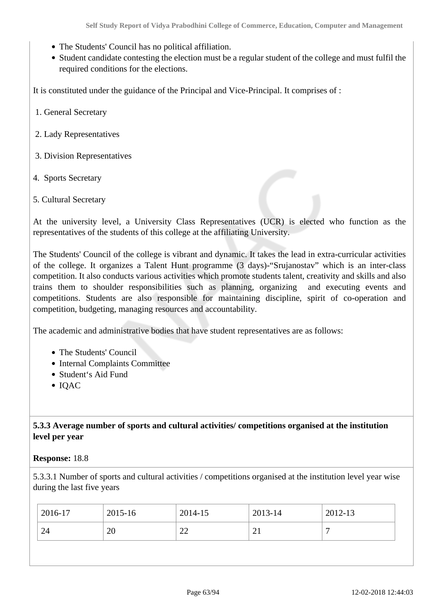- The Students' Council has no political affiliation.
- Student candidate contesting the election must be a regular student of the college and must fulfil the required conditions for the elections.

It is constituted under the guidance of the Principal and Vice-Principal. It comprises of :

1. General Secretary

- 2. Lady Representatives
- 3. Division Representatives
- 4. Sports Secretary
- 5. Cultural Secretary

At the university level, a University Class Representatives (UCR) is elected who function as the representatives of the students of this college at the affiliating University.

The Students' Council of the college is vibrant and dynamic. It takes the lead in extra-curricular activities of the college. It organizes a Talent Hunt programme (3 days)-"Srujanostav" which is an inter-class competition. It also conducts various activities which promote students talent, creativity and skills and also trains them to shoulder responsibilities such as planning, organizing and executing events and competitions. Students are also responsible for maintaining discipline, spirit of co-operation and competition, budgeting, managing resources and accountability.

The academic and administrative bodies that have student representatives are as follows:

- The Students' Council
- Internal Complaints Committee
- Student's Aid Fund
- IOAC

 **5.3.3 Average number of sports and cultural activities/ competitions organised at the institution level per year**

#### **Response:** 18.8

5.3.3.1 Number of sports and cultural activities / competitions organised at the institution level year wise during the last five years

| 2016-17 | 2015-16 | 2014-15      | 2013-14 | 2012-13 |
|---------|---------|--------------|---------|---------|
| 24      | 20      | $\cap$<br>∠∠ | ◢       |         |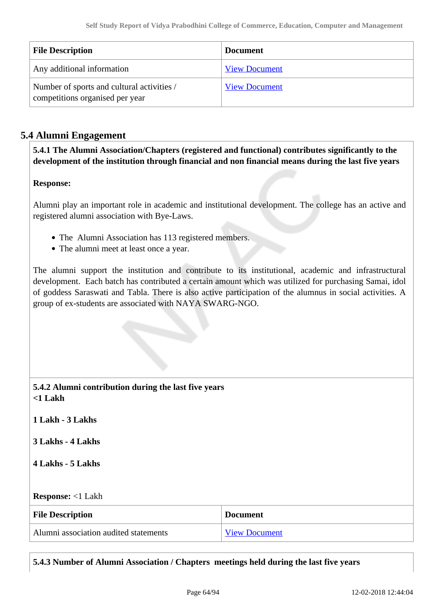| <b>File Description</b>                                                       | <b>Document</b>      |
|-------------------------------------------------------------------------------|----------------------|
| Any additional information                                                    | <b>View Document</b> |
| Number of sports and cultural activities /<br>competitions organised per year | <b>View Document</b> |

# **5.4 Alumni Engagement**

 **5.4.1 The Alumni Association/Chapters (registered and functional) contributes significantly to the development of the institution through financial and non financial means during the last five years**

#### **Response:**

Alumni play an important role in academic and institutional development. The college has an active and registered alumni association with Bye-Laws.

- The Alumni Association has 113 registered members.
- The alumni meet at least once a year.

The alumni support the institution and contribute to its institutional, academic and infrastructural development. Each batch has contributed a certain amount which was utilized for purchasing Samai, idol of goddess Saraswati and Tabla. There is also active participation of the alumnus in social activities. A group of ex-students are associated with NAYA SWARG-NGO.

| 5.4.2 Alumni contribution during the last five years<br>$<$ 1 Lakh |                 |  |  |  |
|--------------------------------------------------------------------|-----------------|--|--|--|
| 1 Lakh - 3 Lakhs                                                   |                 |  |  |  |
| 3 Lakhs - 4 Lakhs                                                  |                 |  |  |  |
| 4 Lakhs - 5 Lakhs                                                  |                 |  |  |  |
| <b>Response:</b> <1 Lakh                                           |                 |  |  |  |
| <b>File Description</b>                                            | <b>Document</b> |  |  |  |
|                                                                    |                 |  |  |  |

**5.4.3 Number of Alumni Association / Chapters meetings held during the last five years**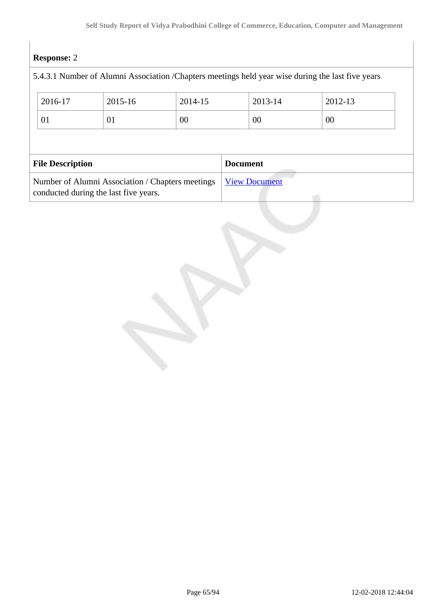# **Response:** 2

|                                                                                           | 5.4.3.1 Number of Alumni Association / Chapters meetings held year wise during the last five years |             |                      |                 |         |         |  |
|-------------------------------------------------------------------------------------------|----------------------------------------------------------------------------------------------------|-------------|----------------------|-----------------|---------|---------|--|
|                                                                                           | 2016-17                                                                                            | $2015 - 16$ | 2014-15              |                 | 2013-14 | 2012-13 |  |
|                                                                                           | 01                                                                                                 | 01          | 00                   | 00              |         | 00      |  |
|                                                                                           |                                                                                                    |             |                      |                 |         |         |  |
|                                                                                           | <b>File Description</b>                                                                            |             |                      | <b>Document</b> |         |         |  |
| Number of Alumni Association / Chapters meetings<br>conducted during the last five years. |                                                                                                    |             | <b>View Document</b> |                 |         |         |  |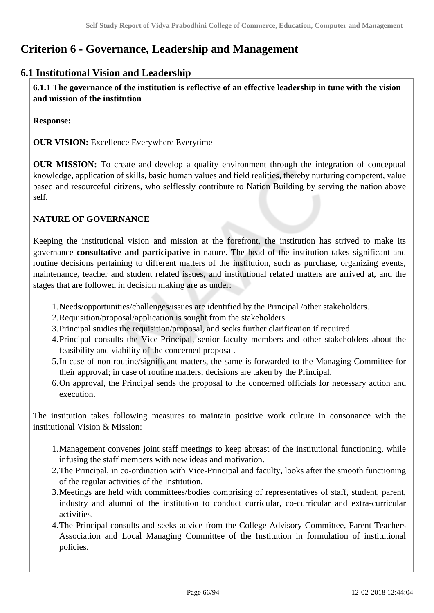# **Criterion 6 - Governance, Leadership and Management**

# **6.1 Institutional Vision and Leadership**

 **6.1.1 The governance of the institution is reflective of an effective leadership in tune with the vision and mission of the institution**

**Response:** 

**OUR VISION:** Excellence Everywhere Everytime

**OUR MISSION:** To create and develop a quality environment through the integration of conceptual knowledge, application of skills, basic human values and field realities, thereby nurturing competent, value based and resourceful citizens, who selflessly contribute to Nation Building by serving the nation above self.

## **NATURE OF GOVERNANCE**

Keeping the institutional vision and mission at the forefront, the institution has strived to make its governance **consultative and participative** in nature. The head of the institution takes significant and routine decisions pertaining to different matters of the institution, such as purchase, organizing events, maintenance, teacher and student related issues, and institutional related matters are arrived at, and the stages that are followed in decision making are as under:

- 1.Needs/opportunities/challenges/issues are identified by the Principal /other stakeholders.
- 2.Requisition/proposal/application is sought from the stakeholders.
- 3.Principal studies the requisition/proposal, and seeks further clarification if required.
- 4.Principal consults the Vice-Principal, senior faculty members and other stakeholders about the feasibility and viability of the concerned proposal.
- 5.In case of non-routine/significant matters, the same is forwarded to the Managing Committee for their approval; in case of routine matters, decisions are taken by the Principal.
- 6.On approval, the Principal sends the proposal to the concerned officials for necessary action and execution.

The institution takes following measures to maintain positive work culture in consonance with the institutional Vision & Mission:

- 1.Management convenes joint staff meetings to keep abreast of the institutional functioning, while infusing the staff members with new ideas and motivation.
- 2.The Principal, in co-ordination with Vice-Principal and faculty, looks after the smooth functioning of the regular activities of the Institution.
- 3.Meetings are held with committees/bodies comprising of representatives of staff, student, parent, industry and alumni of the institution to conduct curricular, co-curricular and extra-curricular activities.
- 4.The Principal consults and seeks advice from the College Advisory Committee, Parent-Teachers Association and Local Managing Committee of the Institution in formulation of institutional policies.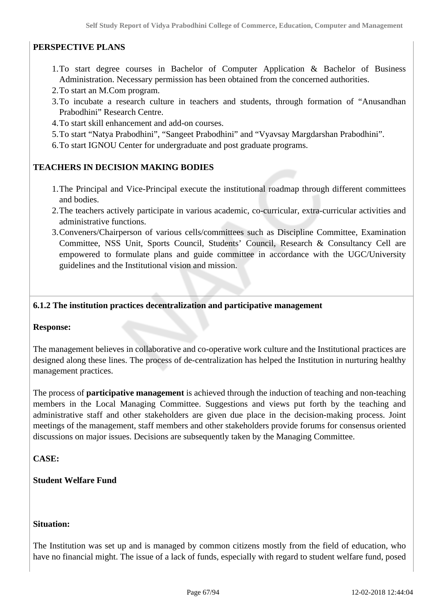### **PERSPECTIVE PLANS**

- 1.To start degree courses in Bachelor of Computer Application & Bachelor of Business Administration. Necessary permission has been obtained from the concerned authorities.
- 2.To start an M.Com program.
- 3.To incubate a research culture in teachers and students, through formation of "Anusandhan Prabodhini" Research Centre.
- 4.To start skill enhancement and add-on courses.
- 5.To start "Natya Prabodhini", "Sangeet Prabodhini" and "Vyavsay Margdarshan Prabodhini".
- 6.To start IGNOU Center for undergraduate and post graduate programs.

### **TEACHERS IN DECISION MAKING BODIES**

- 1.The Principal and Vice-Principal execute the institutional roadmap through different committees and bodies.
- 2.The teachers actively participate in various academic, co-curricular, extra-curricular activities and administrative functions.
- 3.Conveners/Chairperson of various cells/committees such as Discipline Committee, Examination Committee, NSS Unit, Sports Council, Students' Council, Research & Consultancy Cell are empowered to formulate plans and guide committee in accordance with the UGC/University guidelines and the Institutional vision and mission.

#### **6.1.2 The institution practices decentralization and participative management**

#### **Response:**

The management believes in collaborative and co-operative work culture and the Institutional practices are designed along these lines. The process of de-centralization has helped the Institution in nurturing healthy management practices.

The process of **participative management** is achieved through the induction of teaching and non-teaching members in the Local Managing Committee. Suggestions and views put forth by the teaching and administrative staff and other stakeholders are given due place in the decision-making process. Joint meetings of the management, staff members and other stakeholders provide forums for consensus oriented discussions on major issues. Decisions are subsequently taken by the Managing Committee.

### **CASE:**

#### **Student Welfare Fund**

#### **Situation:**

The Institution was set up and is managed by common citizens mostly from the field of education, who have no financial might. The issue of a lack of funds, especially with regard to student welfare fund, posed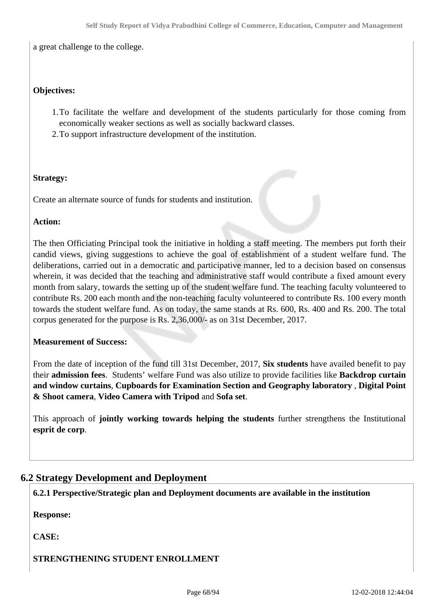a great challenge to the college.

#### **Objectives:**

- 1.To facilitate the welfare and development of the students particularly for those coming from economically weaker sections as well as socially backward classes.
- 2.To support infrastructure development of the institution.

#### **Strategy:**

Create an alternate source of funds for students and institution.

#### **Action:**

The then Officiating Principal took the initiative in holding a staff meeting. The members put forth their candid views, giving suggestions to achieve the goal of establishment of a student welfare fund. The deliberations, carried out in a democratic and participative manner, led to a decision based on consensus wherein, it was decided that the teaching and administrative staff would contribute a fixed amount every month from salary, towards the setting up of the student welfare fund. The teaching faculty volunteered to contribute Rs. 200 each month and the non-teaching faculty volunteered to contribute Rs. 100 every month towards the student welfare fund. As on today, the same stands at Rs. 600, Rs. 400 and Rs. 200. The total corpus generated for the purpose is Rs. 2,36,000/- as on 31st December, 2017.

#### **Measurement of Success:**

From the date of inception of the fund till 31st December, 2017, **Six students** have availed benefit to pay their **admission fees**. Students' welfare Fund was also utilize to provide facilities like **Backdrop curtain and window curtains**, **Cupboards for Examination Section and Geography laboratory** , **Digital Point & Shoot camera**, **Video Camera with Tripod** and **Sofa set**.

This approach of **jointly working towards helping the students** further strengthens the Institutional **esprit de corp**.

# **6.2 Strategy Development and Deployment**

**6.2.1 Perspective/Strategic plan and Deployment documents are available in the institution**

**Response:** 

**CASE:** 

# **STRENGTHENING STUDENT ENROLLMENT**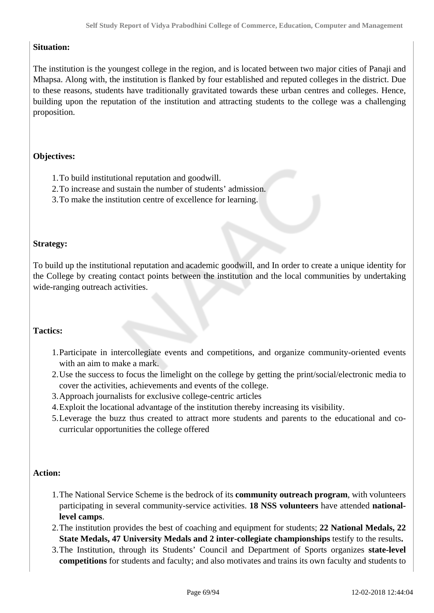## **Situation:**

The institution is the youngest college in the region, and is located between two major cities of Panaji and Mhapsa. Along with, the institution is flanked by four established and reputed colleges in the district. Due to these reasons, students have traditionally gravitated towards these urban centres and colleges. Hence, building upon the reputation of the institution and attracting students to the college was a challenging proposition.

## **Objectives:**

- 1.To build institutional reputation and goodwill.
- 2.To increase and sustain the number of students' admission.
- 3.To make the institution centre of excellence for learning.

### **Strategy:**

To build up the institutional reputation and academic goodwill, and In order to create a unique identity for the College by creating contact points between the institution and the local communities by undertaking wide-ranging outreach activities.

### **Tactics:**

- 1.Participate in intercollegiate events and competitions, and organize community-oriented events with an aim to make a mark.
- 2.Use the success to focus the limelight on the college by getting the print/social/electronic media to cover the activities, achievements and events of the college.
- 3.Approach journalists for exclusive college-centric articles
- 4.Exploit the locational advantage of the institution thereby increasing its visibility.
- 5.Leverage the buzz thus created to attract more students and parents to the educational and cocurricular opportunities the college offered

### **Action:**

- 1.The National Service Scheme is the bedrock of its **community outreach program**, with volunteers participating in several community-service activities. **18 NSS volunteers** have attended **nationallevel camps**.
- 2.The institution provides the best of coaching and equipment for students; **22 National Medals, 22 State Medals, 47 University Medals and 2 inter-collegiate championships** testify to the results**.**
- 3.The Institution, through its Students' Council and Department of Sports organizes **state-level competitions** for students and faculty; and also motivates and trains its own faculty and students to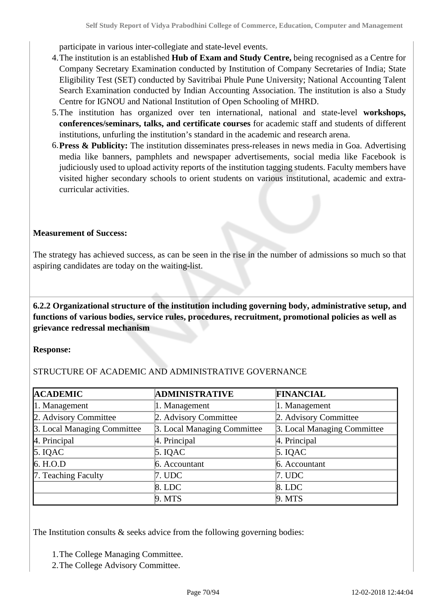participate in various inter-collegiate and state-level events.

- 4.The institution is an established **Hub of Exam and Study Centre,** being recognised as a Centre for Company Secretary Examination conducted by Institution of Company Secretaries of India; State Eligibility Test (SET) conducted by Savitribai Phule Pune University; National Accounting Talent Search Examination conducted by Indian Accounting Association. The institution is also a Study Centre for IGNOU and National Institution of Open Schooling of MHRD.
- 5.The institution has organized over ten international, national and state-level **workshops, conferences/seminars, talks, and certificate courses** for academic staff and students of different institutions, unfurling the institution's standard in the academic and research arena.
- 6.**Press & Publicity:** The institution disseminates press-releases in news media in Goa. Advertising media like banners, pamphlets and newspaper advertisements, social media like Facebook is judiciously used to upload activity reports of the institution tagging students. Faculty members have visited higher secondary schools to orient students on various institutional, academic and extracurricular activities.

#### **Measurement of Success:**

The strategy has achieved success, as can be seen in the rise in the number of admissions so much so that aspiring candidates are today on the waiting-list.

 **6.2.2 Organizational structure of the institution including governing body, administrative setup, and functions of various bodies, service rules, procedures, recruitment, promotional policies as well as grievance redressal mechanism**

#### **Response:**

STRUCTURE OF ACADEMIC AND ADMINISTRATIVE GOVERNANCE

| <b>ACADEMIC</b>             | <b>ADMINISTRATIVE</b>       | <b>FINANCIAL</b>            |
|-----------------------------|-----------------------------|-----------------------------|
| $\vert$ 1. Management       | 1. Management               | 1. Management               |
| 2. Advisory Committee       | 2. Advisory Committee       | 2. Advisory Committee       |
| 3. Local Managing Committee | 3. Local Managing Committee | 3. Local Managing Committee |
| $ 4.$ Principal             | 4. Principal                | $ 4$ . Principal            |
| 5. IQAC                     | 5. IQAC                     | 5. IQAC                     |
| 6. H.O.D                    | 6. Accountant               | 6. Accountant               |
| 7. Teaching Faculty         | 7. UDC                      | 7. UDC                      |
|                             | $8.$ LDC                    | $8.$ LDC                    |
|                             | 9. MTS                      | 9. MTS                      |

The Institution consults & seeks advice from the following governing bodies:

- 1.The College Managing Committee.
- 2.The College Advisory Committee.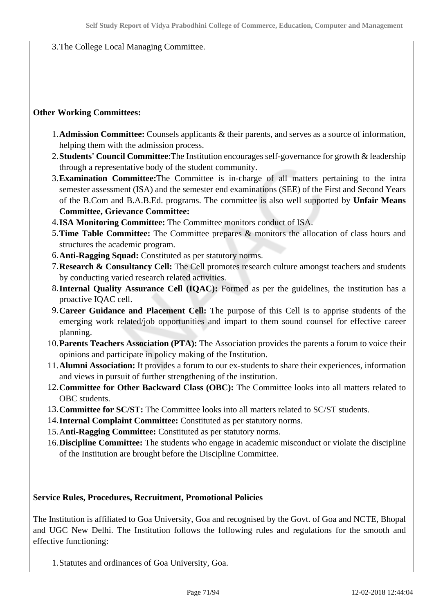3.The College Local Managing Committee.

#### **Other Working Committees:**

- 1.**Admission Committee:** Counsels applicants & their parents, and serves as a source of information, helping them with the admission process.
- 2.**Students' Council Committee**:The Institution encourages self-governance for growth & leadership through a representative body of the student community.
- 3.**Examination Committee:**The Committee is in-charge of all matters pertaining to the intra semester assessment (ISA) and the semester end examinations (SEE) of the First and Second Years of the B.Com and B.A.B.Ed. programs. The committee is also well supported by **Unfair Means Committee, Grievance Committee:**
- 4.**ISA Monitoring Committee:** The Committee monitors conduct of ISA.
- 5.**Time Table Committee:** The Committee prepares & monitors the allocation of class hours and structures the academic program.
- 6.**Anti-Ragging Squad:** Constituted as per statutory norms.
- 7.**Research & Consultancy Cell:** The Cell promotes research culture amongst teachers and students by conducting varied research related activities.
- 8.**Internal Quality Assurance Cell (IQAC):** Formed as per the guidelines, the institution has a proactive IQAC cell.
- 9.**Career Guidance and Placement Cell:** The purpose of this Cell is to apprise students of the emerging work related/job opportunities and impart to them sound counsel for effective career planning.
- 10.**Parents Teachers Association (PTA):** The Association provides the parents a forum to voice their opinions and participate in policy making of the Institution.
- 11.**Alumni Association:** It provides a forum to our ex-students to share their experiences, information and views in pursuit of further strengthening of the institution.
- 12.**Committee for Other Backward Class (OBC):** The Committee looks into all matters related to OBC students.
- 13.**Committee for SC/ST:** The Committee looks into all matters related to SC/ST students.
- 14.**Internal Complaint Committee:** Constituted as per statutory norms.
- 15.A**nti-Ragging Committee:** Constituted as per statutory norms.
- 16.**Discipline Committee:** The students who engage in academic misconduct or violate the discipline of the Institution are brought before the Discipline Committee.

#### **Service Rules, Procedures, Recruitment, Promotional Policies**

The Institution is affiliated to Goa University, Goa and recognised by the Govt. of Goa and NCTE, Bhopal and UGC New Delhi. The Institution follows the following rules and regulations for the smooth and effective functioning:

1.Statutes and ordinances of Goa University, Goa.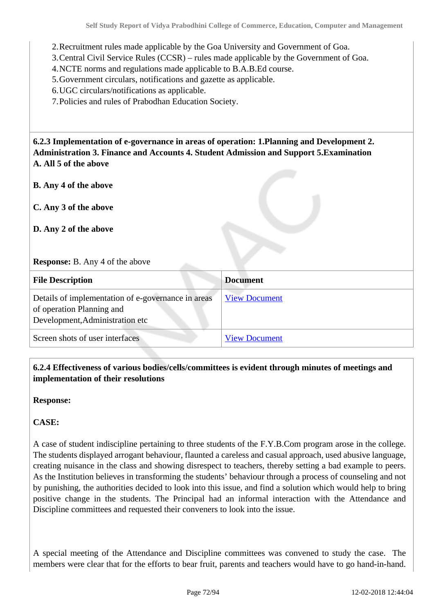- 2.Recruitment rules made applicable by the Goa University and Government of Goa.
- 3.Central Civil Service Rules (CCSR) rules made applicable by the Government of Goa.
- 4.NCTE norms and regulations made applicable to B.A.B.Ed course.
- 5.Government circulars, notifications and gazette as applicable.
- 6.UGC circulars/notifications as applicable.
- 7.Policies and rules of Prabodhan Education Society.

 **6.2.3 Implementation of e-governance in areas of operation: 1.Planning and Development 2. Administration 3. Finance and Accounts 4. Student Admission and Support 5.Examination A. All 5 of the above**

**B. Any 4 of the above**

**C. Any 3 of the above**

**D. Any 2 of the above**

#### **Response:** B. Any 4 of the above

| <b>File Description</b>                                                                                            | <b>Document</b>      |
|--------------------------------------------------------------------------------------------------------------------|----------------------|
| Details of implementation of e-governance in areas<br>of operation Planning and<br>Development, Administration etc | <b>View Document</b> |
| Screen shots of user interfaces                                                                                    | <b>View Document</b> |

 **6.2.4 Effectiveness of various bodies/cells/committees is evident through minutes of meetings and implementation of their resolutions** 

**Response:** 

### **CASE:**

A case of student indiscipline pertaining to three students of the F.Y.B.Com program arose in the college. The students displayed arrogant behaviour, flaunted a careless and casual approach, used abusive language, creating nuisance in the class and showing disrespect to teachers, thereby setting a bad example to peers. As the Institution believes in transforming the students' behaviour through a process of counseling and not by punishing, the authorities decided to look into this issue, and find a solution which would help to bring positive change in the students. The Principal had an informal interaction with the Attendance and Discipline committees and requested their conveners to look into the issue.

A special meeting of the Attendance and Discipline committees was convened to study the case. The members were clear that for the efforts to bear fruit, parents and teachers would have to go hand-in-hand.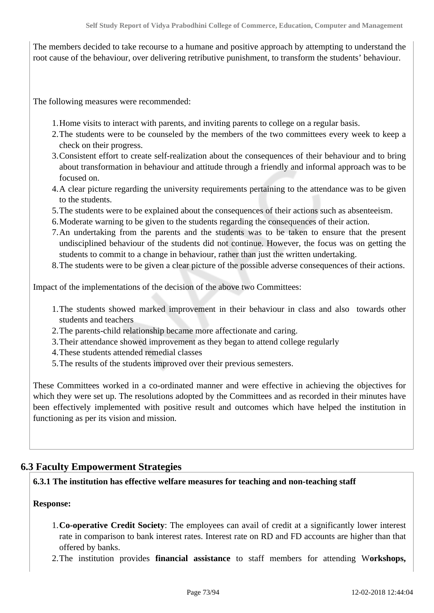The members decided to take recourse to a humane and positive approach by attempting to understand the root cause of the behaviour, over delivering retributive punishment, to transform the students' behaviour.

The following measures were recommended:

- 1.Home visits to interact with parents, and inviting parents to college on a regular basis.
- 2.The students were to be counseled by the members of the two committees every week to keep a check on their progress.
- 3.Consistent effort to create self-realization about the consequences of their behaviour and to bring about transformation in behaviour and attitude through a friendly and informal approach was to be focused on.
- 4.A clear picture regarding the university requirements pertaining to the attendance was to be given to the students.
- 5.The students were to be explained about the consequences of their actions such as absenteeism.
- 6.Moderate warning to be given to the students regarding the consequences of their action.
- 7.An undertaking from the parents and the students was to be taken to ensure that the present undisciplined behaviour of the students did not continue. However, the focus was on getting the students to commit to a change in behaviour, rather than just the written undertaking.
- 8.The students were to be given a clear picture of the possible adverse consequences of their actions.

Impact of the implementations of the decision of the above two Committees:

- 1.The students showed marked improvement in their behaviour in class and also towards other students and teachers
- 2.The parents-child relationship became more affectionate and caring.
- 3.Their attendance showed improvement as they began to attend college regularly
- 4.These students attended remedial classes
- 5.The results of the students improved over their previous semesters.

These Committees worked in a co-ordinated manner and were effective in achieving the objectives for which they were set up. The resolutions adopted by the Committees and as recorded in their minutes have been effectively implemented with positive result and outcomes which have helped the institution in functioning as per its vision and mission.

## **6.3 Faculty Empowerment Strategies**

## **6.3.1 The institution has effective welfare measures for teaching and non-teaching staff**

## **Response:**

- 1.**Co-operative Credit Society**: The employees can avail of credit at a significantly lower interest rate in comparison to bank interest rates. Interest rate on RD and FD accounts are higher than that offered by banks.
- 2.The institution provides **financial assistance** to staff members for attending W**orkshops,**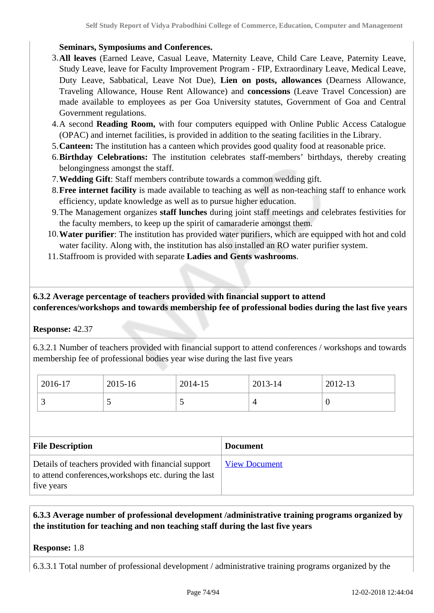## **Seminars, Symposiums and Conferences.**

- 3.**All leaves** (Earned Leave, Casual Leave, Maternity Leave, Child Care Leave, Paternity Leave, Study Leave, leave for Faculty Improvement Program - FIP, Extraordinary Leave, Medical Leave, Duty Leave, Sabbatical, Leave Not Due), **Lien on posts, allowances** (Dearness Allowance, Traveling Allowance, House Rent Allowance) and **concessions** (Leave Travel Concession) are made available to employees as per Goa University statutes, Government of Goa and Central Government regulations.
- 4.A second **Reading Room,** with four computers equipped with Online Public Access Catalogue (OPAC) and internet facilities, is provided in addition to the seating facilities in the Library.
- 5.**Canteen:** The institution has a canteen which provides good quality food at reasonable price.
- 6.**Birthday Celebrations:** The institution celebrates staff-members' birthdays, thereby creating belongingness amongst the staff.
- 7.**Wedding Gift**: Staff members contribute towards a common wedding gift.
- 8.**Free internet facility** is made available to teaching as well as non-teaching staff to enhance work efficiency, update knowledge as well as to pursue higher education.
- 9.The Management organizes **staff lunches** during joint staff meetings and celebrates festivities for the faculty members, to keep up the spirit of camaraderie amongst them.
- 10.**Water purifier**: The institution has provided water purifiers, which are equipped with hot and cold water facility. Along with, the institution has also installed an RO water purifier system.
- 11.Staffroom is provided with separate **Ladies and Gents washrooms**.

## **6.3.2 Average percentage of teachers provided with financial support to attend conferences/workshops and towards membership fee of professional bodies during the last five years**

#### **Response:** 42.37

6.3.2.1 Number of teachers provided with financial support to attend conferences / workshops and towards membership fee of professional bodies year wise during the last five years

| 2016-17  | 2015-16 | 2014-15 | 2013-14 | 2012-13 |
|----------|---------|---------|---------|---------|
| <u>ب</u> |         | ັ       |         | U       |

| <b>File Description</b>                                                                                                    | <b>Document</b>      |
|----------------------------------------------------------------------------------------------------------------------------|----------------------|
| Details of teachers provided with financial support<br>to attend conferences, workshops etc. during the last<br>five years | <b>View Document</b> |

## **6.3.3 Average number of professional development /administrative training programs organized by the institution for teaching and non teaching staff during the last five years**

#### **Response:** 1.8

6.3.3.1 Total number of professional development / administrative training programs organized by the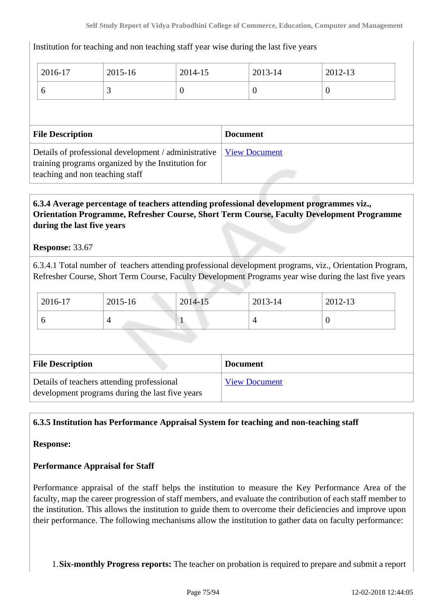## Institution for teaching and non teaching staff year wise during the last five years

| 2016-17 | 2015-16 | 2014-15 | 2013-14 | $2012 - 13$ |
|---------|---------|---------|---------|-------------|
|         |         | ν       |         |             |

| <b>File Description</b>                                                                                                                                              | <b>Document</b> |
|----------------------------------------------------------------------------------------------------------------------------------------------------------------------|-----------------|
| Details of professional development / administrative   <u>View Document</u><br>training programs organized by the Institution for<br>teaching and non teaching staff |                 |

## **6.3.4 Average percentage of teachers attending professional development programmes viz., Orientation Programme, Refresher Course, Short Term Course, Faculty Development Programme during the last five years**

#### **Response:** 33.67

6.3.4.1 Total number of teachers attending professional development programs, viz., Orientation Program, Refresher Course, Short Term Course, Faculty Development Programs year wise during the last five years

| 2016-17 | 2015-16 | 2014-15 | 2013-14 | 2012-13 |
|---------|---------|---------|---------|---------|
| v       |         |         |         |         |

| <b>File Description</b>                                                                       | <b>Document</b>      |
|-----------------------------------------------------------------------------------------------|----------------------|
| Details of teachers attending professional<br>development programs during the last five years | <b>View Document</b> |

## **6.3.5 Institution has Performance Appraisal System for teaching and non-teaching staff**

**Response:** 

## **Performance Appraisal for Staff**

Performance appraisal of the staff helps the institution to measure the Key Performance Area of the faculty, map the career progression of staff members, and evaluate the contribution of each staff member to the institution. This allows the institution to guide them to overcome their deficiencies and improve upon their performance. The following mechanisms allow the institution to gather data on faculty performance:

1.**Six-monthly Progress reports:** The teacher on probation is required to prepare and submit a report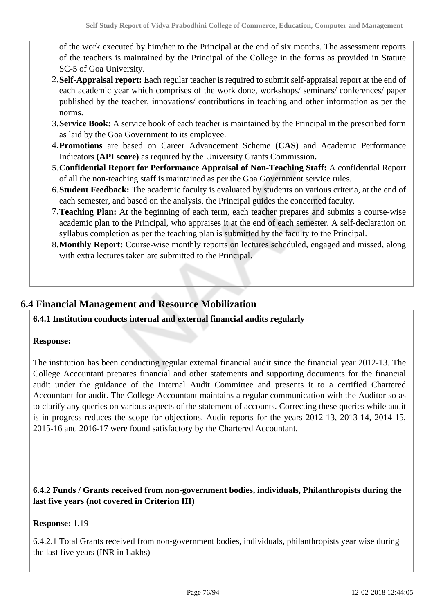of the work executed by him/her to the Principal at the end of six months. The assessment reports of the teachers is maintained by the Principal of the College in the forms as provided in Statute SC-5 of Goa University.

- 2.**Self-Appraisal report:** Each regular teacher is required to submit self-appraisal report at the end of each academic year which comprises of the work done, workshops/ seminars/ conferences/ paper published by the teacher, innovations/ contributions in teaching and other information as per the norms.
- 3.**Service Book:** A service book of each teacher is maintained by the Principal in the prescribed form as laid by the Goa Government to its employee.
- 4.**Promotions** are based on Career Advancement Scheme **(CAS)** and Academic Performance Indicators **(API score)** as required by the University Grants Commission**.**
- 5.**Confidential Report for Performance Appraisal of Non-Teaching Staff:** A confidential Report of all the non-teaching staff is maintained as per the Goa Government service rules.
- 6.**Student Feedback:** The academic faculty is evaluated by students on various criteria, at the end of each semester, and based on the analysis, the Principal guides the concerned faculty.
- 7.**Teaching Plan:** At the beginning of each term, each teacher prepares and submits a course-wise academic plan to the Principal, who appraises it at the end of each semester. A self-declaration on syllabus completion as per the teaching plan is submitted by the faculty to the Principal.
- 8.**Monthly Report:** Course-wise monthly reports on lectures scheduled, engaged and missed, along with extra lectures taken are submitted to the Principal.

## **6.4 Financial Management and Resource Mobilization**

## **6.4.1 Institution conducts internal and external financial audits regularly**

## **Response:**

The institution has been conducting regular external financial audit since the financial year 2012-13. The College Accountant prepares financial and other statements and supporting documents for the financial audit under the guidance of the Internal Audit Committee and presents it to a certified Chartered Accountant for audit. The College Accountant maintains a regular communication with the Auditor so as to clarify any queries on various aspects of the statement of accounts. Correcting these queries while audit is in progress reduces the scope for objections. Audit reports for the years 2012-13, 2013-14, 2014-15, 2015-16 and 2016-17 were found satisfactory by the Chartered Accountant.

 **6.4.2 Funds / Grants received from non-government bodies, individuals, Philanthropists during the last five years (not covered in Criterion III)**

## **Response:** 1.19

6.4.2.1 Total Grants received from non-government bodies, individuals, philanthropists year wise during the last five years (INR in Lakhs)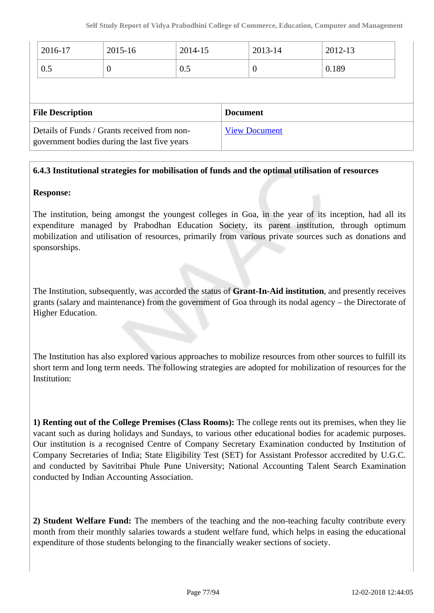| $^{\circ}$ 2016-17 | 2015-16 | 2014-15 | 2013-14 | 2012-13 |
|--------------------|---------|---------|---------|---------|
| 0.5                |         | $0.5\,$ |         | 0.189   |

| <b>File Description</b>                                                                      | <b>Document</b>      |
|----------------------------------------------------------------------------------------------|----------------------|
| Details of Funds / Grants received from non-<br>government bodies during the last five years | <b>View Document</b> |

## **6.4.3 Institutional strategies for mobilisation of funds and the optimal utilisation of resources**

#### **Response:**

The institution, being amongst the youngest colleges in Goa, in the year of its inception, had all its expenditure managed by Prabodhan Education Society, its parent institution, through optimum mobilization and utilisation of resources, primarily from various private sources such as donations and sponsorships.

The Institution, subsequently, was accorded the status of **Grant-In-Aid institution**, and presently receives grants (salary and maintenance) from the government of Goa through its nodal agency – the Directorate of Higher Education.

The Institution has also explored various approaches to mobilize resources from other sources to fulfill its short term and long term needs. The following strategies are adopted for mobilization of resources for the Institution:

**1) Renting out of the College Premises (Class Rooms):** The college rents out its premises, when they lie vacant such as during holidays and Sundays, to various other educational bodies for academic purposes. Our institution is a recognised Centre of Company Secretary Examination conducted by Institution of Company Secretaries of India; State Eligibility Test (SET) for Assistant Professor accredited by U.G.C. and conducted by Savitribai Phule Pune University; National Accounting Talent Search Examination conducted by Indian Accounting Association.

**2) Student Welfare Fund:** The members of the teaching and the non-teaching faculty contribute every month from their monthly salaries towards a student welfare fund, which helps in easing the educational expenditure of those students belonging to the financially weaker sections of society.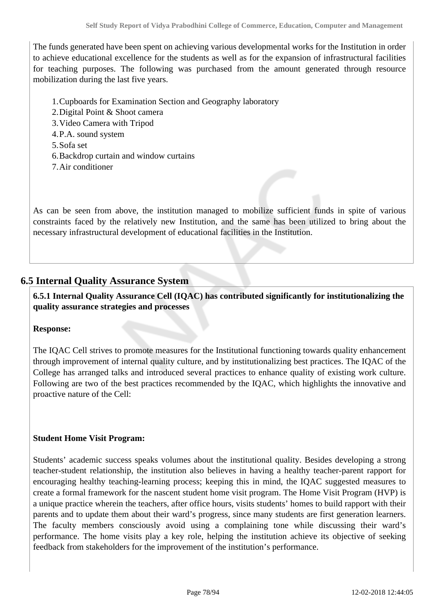The funds generated have been spent on achieving various developmental works for the Institution in order to achieve educational excellence for the students as well as for the expansion of infrastructural facilities for teaching purposes. The following was purchased from the amount generated through resource mobilization during the last five years.

- 1.Cupboards for Examination Section and Geography laboratory
- 2.Digital Point & Shoot camera
- 3.Video Camera with Tripod
- 4.P.A. sound system
- 5.Sofa set
- 6.Backdrop curtain and window curtains
- 7.Air conditioner

As can be seen from above, the institution managed to mobilize sufficient funds in spite of various constraints faced by the relatively new Institution, and the same has been utilized to bring about the necessary infrastructural development of educational facilities in the Institution.

## **6.5 Internal Quality Assurance System**

 **6.5.1 Internal Quality Assurance Cell (IQAC) has contributed significantly for institutionalizing the quality assurance strategies and processes**

## **Response:**

The IQAC Cell strives to promote measures for the Institutional functioning towards quality enhancement through improvement of internal quality culture, and by institutionalizing best practices. The IQAC of the College has arranged talks and introduced several practices to enhance quality of existing work culture. Following are two of the best practices recommended by the IQAC, which highlights the innovative and proactive nature of the Cell:

## **Student Home Visit Program:**

Students' academic success speaks volumes about the institutional quality. Besides developing a strong teacher-student relationship, the institution also believes in having a healthy teacher-parent rapport for encouraging healthy teaching-learning process; keeping this in mind, the IQAC suggested measures to create a formal framework for the nascent student home visit program. The Home Visit Program (HVP) is a unique practice wherein the teachers, after office hours, visits students' homes to build rapport with their parents and to update them about their ward's progress, since many students are first generation learners. The faculty members consciously avoid using a complaining tone while discussing their ward's performance. The home visits play a key role, helping the institution achieve its objective of seeking feedback from stakeholders for the improvement of the institution's performance.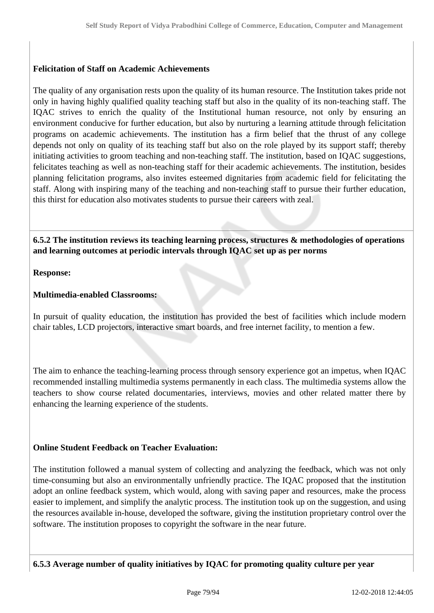## **Felicitation of Staff on Academic Achievements**

The quality of any organisation rests upon the quality of its human resource. The Institution takes pride not only in having highly qualified quality teaching staff but also in the quality of its non-teaching staff. The IQAC strives to enrich the quality of the Institutional human resource, not only by ensuring an environment conducive for further education, but also by nurturing a learning attitude through felicitation programs on academic achievements. The institution has a firm belief that the thrust of any college depends not only on quality of its teaching staff but also on the role played by its support staff; thereby initiating activities to groom teaching and non-teaching staff. The institution, based on IQAC suggestions, felicitates teaching as well as non-teaching staff for their academic achievements. The institution, besides planning felicitation programs, also invites esteemed dignitaries from academic field for felicitating the staff. Along with inspiring many of the teaching and non-teaching staff to pursue their further education, this thirst for education also motivates students to pursue their careers with zeal.

 **6.5.2 The institution reviews its teaching learning process, structures & methodologies of operations and learning outcomes at periodic intervals through IQAC set up as per norms**

**Response:** 

## **Multimedia-enabled Classrooms:**

In pursuit of quality education, the institution has provided the best of facilities which include modern chair tables, LCD projectors, interactive smart boards, and free internet facility, to mention a few.

The aim to enhance the teaching-learning process through sensory experience got an impetus, when IQAC recommended installing multimedia systems permanently in each class. The multimedia systems allow the teachers to show course related documentaries, interviews, movies and other related matter there by enhancing the learning experience of the students.

## **Online Student Feedback on Teacher Evaluation:**

The institution followed a manual system of collecting and analyzing the feedback, which was not only time-consuming but also an environmentally unfriendly practice. The IQAC proposed that the institution adopt an online feedback system, which would, along with saving paper and resources, make the process easier to implement, and simplify the analytic process. The institution took up on the suggestion, and using the resources available in-house, developed the software, giving the institution proprietary control over the software. The institution proposes to copyright the software in the near future.

**6.5.3 Average number of quality initiatives by IQAC for promoting quality culture per year**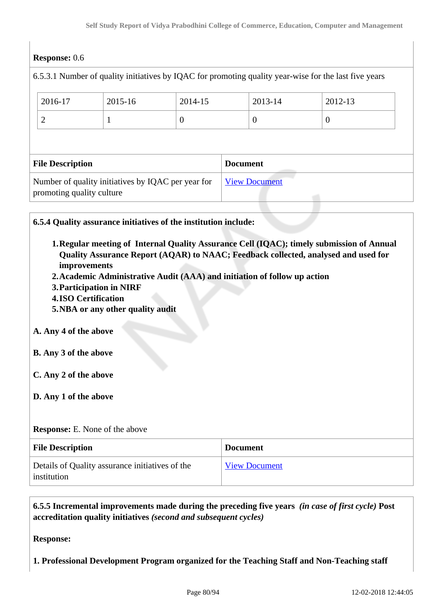## **Response:** 0.6

| $\overline{2}$          |                                                                                 |          |                      |          |
|-------------------------|---------------------------------------------------------------------------------|----------|----------------------|----------|
|                         | л                                                                               | $\theta$ | $\overline{0}$       | $\theta$ |
| <b>File Description</b> |                                                                                 |          | <b>Document</b>      |          |
|                         | Number of quality initiatives by IQAC per year for<br>promoting quality culture |          | <b>View Document</b> |          |

- **1.Regular meeting of Internal Quality Assurance Cell (IQAC); timely submission of Annual Quality Assurance Report (AQAR) to NAAC; Feedback collected, analysed and used for improvements**
- **2.Academic Administrative Audit (AAA) and initiation of follow up action**
- **3.Participation in NIRF**
- **4.ISO Certification**
- **5.NBA or any other quality audit**
- **A. Any 4 of the above**
- **B. Any 3 of the above**
- **C. Any 2 of the above**
- **D. Any 1 of the above**

## **Response:** E. None of the above

| <b>File Description</b>                                        | <b>Document</b>      |
|----------------------------------------------------------------|----------------------|
| Details of Quality assurance initiatives of the<br>institution | <b>View Document</b> |

## **6.5.5 Incremental improvements made during the preceding five years** *(in case of first cycle)* **Post accreditation quality initiatives** *(second and subsequent cycles)*

**Response:** 

**1. Professional Development Program organized for the Teaching Staff and Non-Teaching staff**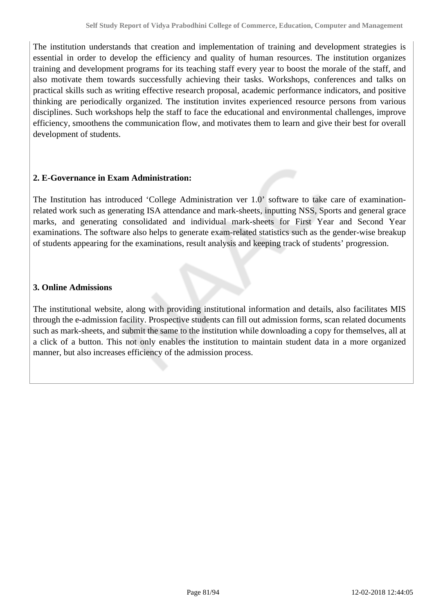The institution understands that creation and implementation of training and development strategies is essential in order to develop the efficiency and quality of human resources. The institution organizes training and development programs for its teaching staff every year to boost the morale of the staff, and also motivate them towards successfully achieving their tasks. Workshops, conferences and talks on practical skills such as writing effective research proposal, academic performance indicators, and positive thinking are periodically organized. The institution invites experienced resource persons from various disciplines. Such workshops help the staff to face the educational and environmental challenges, improve efficiency, smoothens the communication flow, and motivates them to learn and give their best for overall development of students.

## **2. E-Governance in Exam Administration:**

The Institution has introduced 'College Administration ver 1.0' software to take care of examinationrelated work such as generating ISA attendance and mark-sheets, inputting NSS, Sports and general grace marks, and generating consolidated and individual mark-sheets for First Year and Second Year examinations. The software also helps to generate exam-related statistics such as the gender-wise breakup of students appearing for the examinations, result analysis and keeping track of students' progression.

## **3. Online Admissions**

The institutional website, along with providing institutional information and details, also facilitates MIS through the e-admission facility. Prospective students can fill out admission forms, scan related documents such as mark-sheets, and submit the same to the institution while downloading a copy for themselves, all at a click of a button. This not only enables the institution to maintain student data in a more organized manner, but also increases efficiency of the admission process.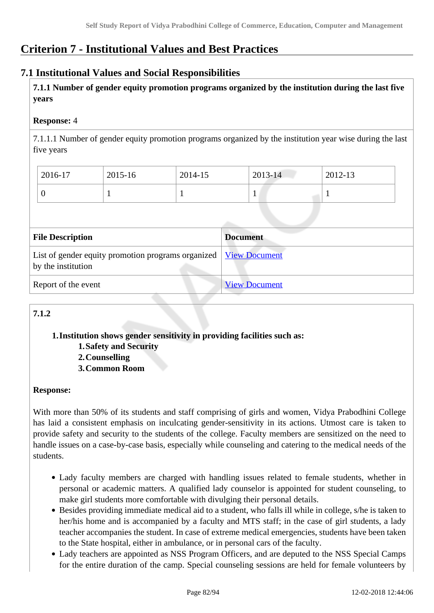## **Criterion 7 - Institutional Values and Best Practices**

## **7.1 Institutional Values and Social Responsibilities**

 **7.1.1 Number of gender equity promotion programs organized by the institution during the last five years** 

#### **Response:** 4

7.1.1.1 Number of gender equity promotion programs organized by the institution year wise during the last five years

| 2016-17 | 2015-16 | 2014-15 | 2013-14 | 2012-13 |
|---------|---------|---------|---------|---------|
|         |         |         |         |         |

| <b>File Description</b>                                                                  | <b>Document</b>      |
|------------------------------------------------------------------------------------------|----------------------|
| List of gender equity promotion programs organized   View Document<br>by the institution |                      |
| Report of the event                                                                      | <b>View Document</b> |

## **7.1.2**

**1.Institution shows gender sensitivity in providing facilities such as: 1.Safety and Security 2.Counselling**

**3.Common Room**

## **Response:**

With more than 50% of its students and staff comprising of girls and women, Vidya Prabodhini College has laid a consistent emphasis on inculcating gender-sensitivity in its actions. Utmost care is taken to provide safety and security to the students of the college. Faculty members are sensitized on the need to handle issues on a case-by-case basis, especially while counseling and catering to the medical needs of the students.

- Lady faculty members are charged with handling issues related to female students, whether in personal or academic matters. A qualified lady counselor is appointed for student counseling, to make girl students more comfortable with divulging their personal details.
- Besides providing immediate medical aid to a student, who falls ill while in college, s/he is taken to her/his home and is accompanied by a faculty and MTS staff; in the case of girl students, a lady teacher accompanies the student. In case of extreme medical emergencies, students have been taken to the State hospital, either in ambulance, or in personal cars of the faculty.
- Lady teachers are appointed as NSS Program Officers, and are deputed to the NSS Special Camps for the entire duration of the camp. Special counseling sessions are held for female volunteers by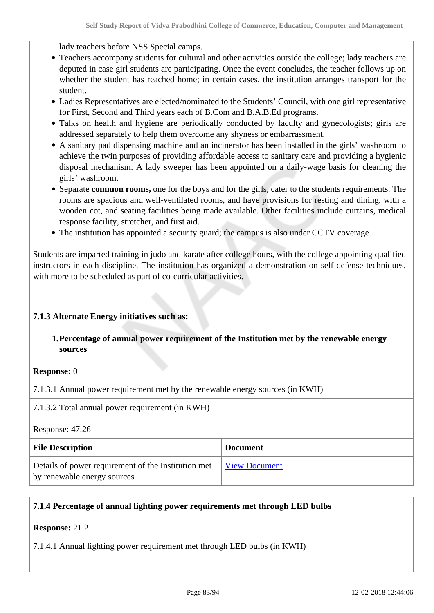lady teachers before NSS Special camps.

- Teachers accompany students for cultural and other activities outside the college; lady teachers are deputed in case girl students are participating. Once the event concludes, the teacher follows up on whether the student has reached home; in certain cases, the institution arranges transport for the student.
- Ladies Representatives are elected/nominated to the Students' Council, with one girl representative for First, Second and Third years each of B.Com and B.A.B.Ed programs.
- Talks on health and hygiene are periodically conducted by faculty and gynecologists; girls are addressed separately to help them overcome any shyness or embarrassment.
- A sanitary pad dispensing machine and an incinerator has been installed in the girls' washroom to achieve the twin purposes of providing affordable access to sanitary care and providing a hygienic disposal mechanism. A lady sweeper has been appointed on a daily-wage basis for cleaning the girls' washroom.
- Separate **common rooms,** one for the boys and for the girls, cater to the students requirements. The rooms are spacious and well-ventilated rooms, and have provisions for resting and dining, with a wooden cot, and seating facilities being made available. Other facilities include curtains, medical response facility, stretcher, and first aid.
- The institution has appointed a security guard; the campus is also under CCTV coverage.

Students are imparted training in judo and karate after college hours, with the college appointing qualified instructors in each discipline. The institution has organized a demonstration on self-defense techniques, with more to be scheduled as part of co-curricular activities.

## **7.1.3 Alternate Energy initiatives such as:**

## **1.Percentage of annual power requirement of the Institution met by the renewable energy sources**

## **Response:** 0

7.1.3.1 Annual power requirement met by the renewable energy sources (in KWH)

7.1.3.2 Total annual power requirement (in KWH)

Response: 47.26

| <b>File Description</b>                                                            | <b>Document</b>      |
|------------------------------------------------------------------------------------|----------------------|
| Details of power requirement of the Institution met<br>by renewable energy sources | <b>View Document</b> |

## **7.1.4 Percentage of annual lighting power requirements met through LED bulbs**

## **Response:** 21.2

7.1.4.1 Annual lighting power requirement met through LED bulbs (in KWH)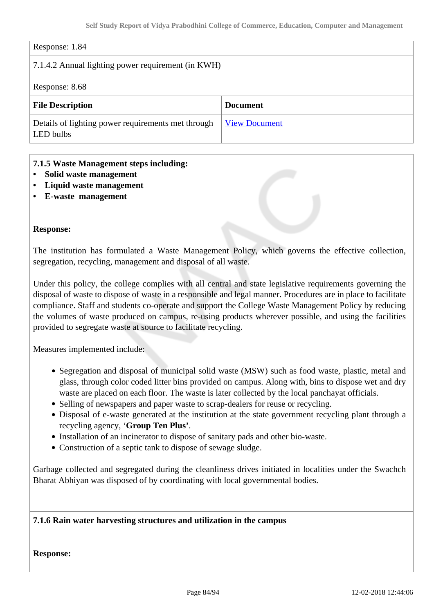#### Response: 1.84

| 7.1.4.2 Annual lighting power requirement (in KWH) |  |
|----------------------------------------------------|--|
|----------------------------------------------------|--|

#### Response: 8.68

| <b>File Description</b>                                         | <b>Document</b>      |
|-----------------------------------------------------------------|----------------------|
| Details of lighting power requirements met through<br>LED bulbs | <b>View Document</b> |

#### **7.1.5 Waste Management steps including:**

- **Solid waste management**
- **Liquid waste management**
- **E-waste management**

#### **Response:**

The institution has formulated a Waste Management Policy, which governs the effective collection, segregation, recycling, management and disposal of all waste.

Under this policy, the college complies with all central and state legislative requirements governing the disposal of waste to dispose of waste in a responsible and legal manner. Procedures are in place to facilitate compliance. Staff and students co-operate and support the College Waste Management Policy by reducing the volumes of waste produced on campus, re-using products wherever possible, and using the facilities provided to segregate waste at source to facilitate recycling.

Measures implemented include:

- Segregation and disposal of municipal solid waste (MSW) such as food waste, plastic, metal and glass, through color coded litter bins provided on campus. Along with, bins to dispose wet and dry waste are placed on each floor. The waste is later collected by the local panchayat officials.
- Selling of newspapers and paper waste to scrap-dealers for reuse or recycling.
- Disposal of e-waste generated at the institution at the state government recycling plant through a recycling agency, '**Group Ten Plus'**.
- Installation of an incinerator to dispose of sanitary pads and other bio-waste.
- Construction of a septic tank to dispose of sewage sludge.

Garbage collected and segregated during the cleanliness drives initiated in localities under the Swachch Bharat Abhiyan was disposed of by coordinating with local governmental bodies.

#### **7.1.6 Rain water harvesting structures and utilization in the campus**

**Response:**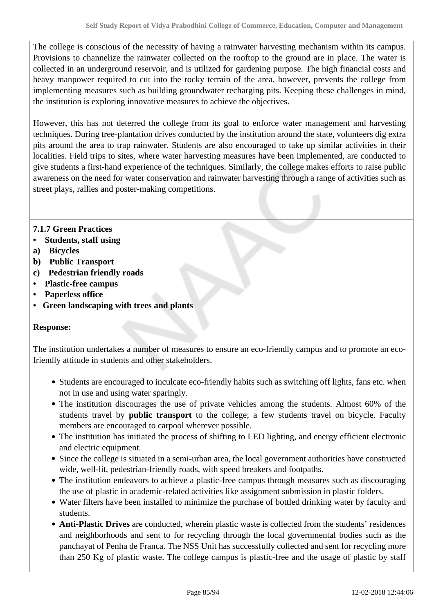The college is conscious of the necessity of having a rainwater harvesting mechanism within its campus. Provisions to channelize the rainwater collected on the rooftop to the ground are in place. The water is collected in an underground reservoir, and is utilized for gardening purpose. The high financial costs and heavy manpower required to cut into the rocky terrain of the area, however, prevents the college from implementing measures such as building groundwater recharging pits. Keeping these challenges in mind, the institution is exploring innovative measures to achieve the objectives.

However, this has not deterred the college from its goal to enforce water management and harvesting techniques. During tree-plantation drives conducted by the institution around the state, volunteers dig extra pits around the area to trap rainwater. Students are also encouraged to take up similar activities in their localities. Field trips to sites, where water harvesting measures have been implemented, are conducted to give students a first-hand experience of the techniques. Similarly, the college makes efforts to raise public awareness on the need for water conservation and rainwater harvesting through a range of activities such as street plays, rallies and poster-making competitions.

## **7.1.7 Green Practices**

- **Students, staff using**
- **a) Bicycles**
- **b) Public Transport**
- **c) Pedestrian friendly roads**
- **Plastic-free campus**
- **Paperless office**
- **Green landscaping with trees and plants**

## **Response:**

The institution undertakes a number of measures to ensure an eco-friendly campus and to promote an ecofriendly attitude in students and other stakeholders.

- Students are encouraged to inculcate eco-friendly habits such as switching off lights, fans etc. when not in use and using water sparingly.
- The institution discourages the use of private vehicles among the students. Almost 60% of the students travel by **public transport** to the college; a few students travel on bicycle. Faculty members are encouraged to carpool wherever possible.
- The institution has initiated the process of shifting to LED lighting, and energy efficient electronic and electric equipment.
- Since the college is situated in a semi-urban area, the local government authorities have constructed wide, well-lit, pedestrian-friendly roads, with speed breakers and footpaths.
- The institution endeavors to achieve a plastic-free campus through measures such as discouraging the use of plastic in academic-related activities like assignment submission in plastic folders.
- Water filters have been installed to minimize the purchase of bottled drinking water by faculty and students.
- **Anti-Plastic Drives** are conducted, wherein plastic waste is collected from the students' residences and neighborhoods and sent to for recycling through the local governmental bodies such as the panchayat of Penha de Franca. The NSS Unit has successfully collected and sent for recycling more than 250 Kg of plastic waste. The college campus is plastic-free and the usage of plastic by staff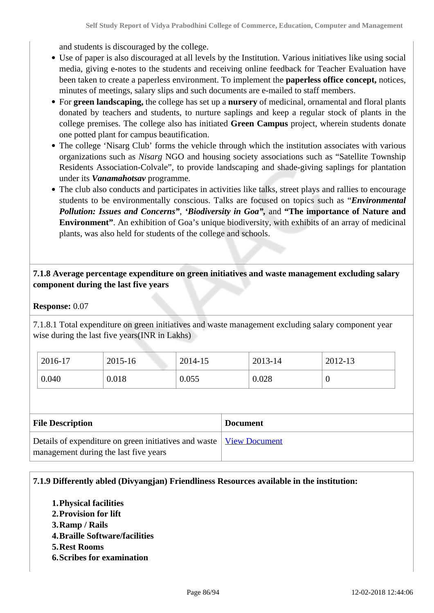and students is discouraged by the college.

- Use of paper is also discouraged at all levels by the Institution. Various initiatives like using social media, giving e-notes to the students and receiving online feedback for Teacher Evaluation have been taken to create a paperless environment. To implement the **paperless office concept,** notices, minutes of meetings, salary slips and such documents are e-mailed to staff members.
- For **green landscaping,** the college has set up a **nursery** of medicinal, ornamental and floral plants donated by teachers and students, to nurture saplings and keep a regular stock of plants in the college premises. The college also has initiated **Green Campus** project, wherein students donate one potted plant for campus beautification.
- The college 'Nisarg Club' forms the vehicle through which the institution associates with various organizations such as *Nisarg* NGO and housing society associations such as "Satellite Township Residents Association-Colvale", to provide landscaping and shade-giving saplings for plantation under its *Vanamahotsav* programme.
- The club also conducts and participates in activities like talks, street plays and rallies to encourage students to be environmentally conscious. Talks are focused on topics such as "*Environmental Pollution: Issues and Concerns"*, *'Biodiversity in Goa",* and **"The importance of Nature and Environment"**. An exhibition of Goa's unique biodiversity, with exhibits of an array of medicinal plants, was also held for students of the college and schools.

## **7.1.8 Average percentage expenditure on green initiatives and waste management excluding salary component during the last five years**

**Response:** 0.07

7.1.8.1 Total expenditure on green initiatives and waste management excluding salary component year wise during the last five years(INR in Lakhs)

| $2016-17$ | 2015-16 | 2014-15 | 2013-14 | 2012-13 |
|-----------|---------|---------|---------|---------|
| 0.040     | 0.018   | 0.055   | 0.028   |         |

| <b>File Description</b>                                                                                             | <b>Document</b> |
|---------------------------------------------------------------------------------------------------------------------|-----------------|
| Details of expenditure on green initiatives and waste <u>View Document</u><br>management during the last five years |                 |

## **7.1.9 Differently abled (Divyangjan) Friendliness Resources available in the institution:**

- **1.Physical facilities**
- **2.Provision for lift**
- **3.Ramp / Rails**
- **4.Braille Software/facilities**
- **5.Rest Rooms**
- **6.Scribes for examination**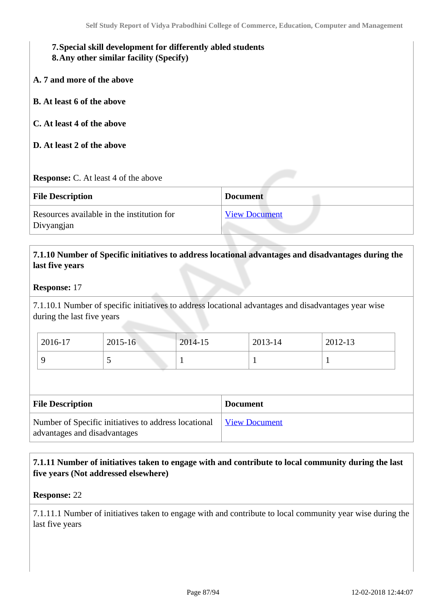## **7.Special skill development for differently abled students 8.Any other similar facility (Specify)**

- **A. 7 and more of the above**
- **B. At least 6 of the above**
- **C. At least 4 of the above**
- **D. At least 2 of the above**

**Response:** C. At least 4 of the above

| <b>File Description</b>                                  | <b>Document</b>      |
|----------------------------------------------------------|----------------------|
| Resources available in the institution for<br>Divyangjan | <b>View Document</b> |

## **7.1.10 Number of Specific initiatives to address locational advantages and disadvantages during the last five years**

#### **Response:** 17

7.1.10.1 Number of specific initiatives to address locational advantages and disadvantages year wise during the last five years

| 2016-17 | $2015 - 16$              | 2014-15 | 2013-14 | 2012-13 |
|---------|--------------------------|---------|---------|---------|
|         | $\overline{\phantom{0}}$ |         |         |         |

| <b>File Description</b>                                                              | <b>Document</b>      |
|--------------------------------------------------------------------------------------|----------------------|
| Number of Specific initiatives to address locational<br>advantages and disadvantages | <b>View Document</b> |

## **7.1.11 Number of initiatives taken to engage with and contribute to local community during the last five years (Not addressed elsewhere)**

#### **Response:** 22

7.1.11.1 Number of initiatives taken to engage with and contribute to local community year wise during the last five years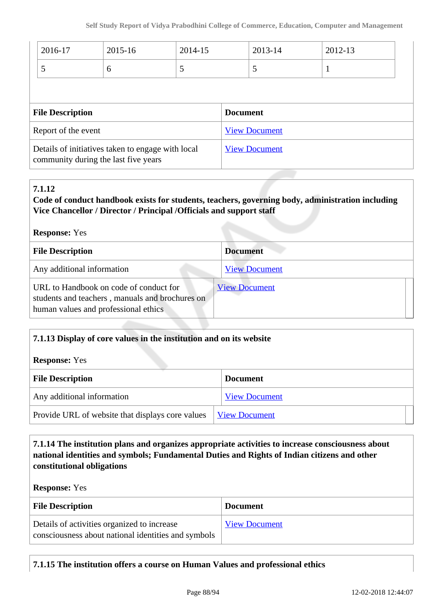| 2016-17                 | $2015 - 16$ | 2014-15 |                 | 2013-14              | 2012-13 |
|-------------------------|-------------|---------|-----------------|----------------------|---------|
| 5                       | 6           | 5       |                 | 5                    | 1       |
|                         |             |         |                 |                      |         |
| <b>File Description</b> |             |         | <b>Document</b> |                      |         |
|                         |             |         |                 |                      |         |
| Report of the event     |             |         |                 | <b>View Document</b> |         |

## **7.1.12**

**Code of conduct handbook exists for students, teachers, governing body, administration including Vice Chancellor / Director / Principal /Officials and support staff**

#### **Response:** Yes

| <b>Document</b>      |
|----------------------|
| <b>View Document</b> |
| <b>View Document</b> |
|                      |

| 7.1.13 Display of core values in the institution and on its website |                      |  |
|---------------------------------------------------------------------|----------------------|--|
| <b>Response:</b> Yes                                                |                      |  |
| <b>File Description</b>                                             | <b>Document</b>      |  |
| Any additional information                                          | <b>View Document</b> |  |
| Provide URL of website that displays core values                    | <b>View Document</b> |  |

## **7.1.14 The institution plans and organizes appropriate activities to increase consciousness about national identities and symbols; Fundamental Duties and Rights of Indian citizens and other constitutional obligations**

#### **Response:** Yes

| <b>File Description</b>                                                                            | <b>Document</b>      |
|----------------------------------------------------------------------------------------------------|----------------------|
| Details of activities organized to increase<br>consciousness about national identities and symbols | <b>View Document</b> |

## **7.1.15 The institution offers a course on Human Values and professional ethics**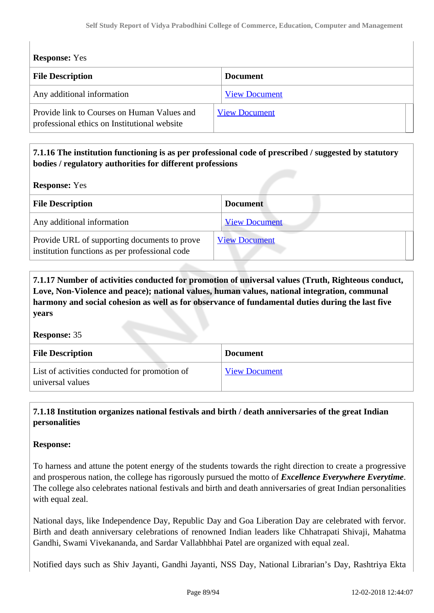| <b>Response:</b> Yes                                                                        |                      |  |
|---------------------------------------------------------------------------------------------|----------------------|--|
| <b>File Description</b>                                                                     | <b>Document</b>      |  |
| Any additional information                                                                  | <b>View Document</b> |  |
| Provide link to Courses on Human Values and<br>professional ethics on Institutional website | <b>View Document</b> |  |

## **7.1.16 The institution functioning is as per professional code of prescribed / suggested by statutory bodies / regulatory authorities for different professions**

**Response:** Yes

| <b>File Description</b>                                                                        | <b>Document</b>      |
|------------------------------------------------------------------------------------------------|----------------------|
| Any additional information                                                                     | <b>View Document</b> |
| Provide URL of supporting documents to prove<br>institution functions as per professional code | <b>View Document</b> |

 **7.1.17 Number of activities conducted for promotion of universal values (Truth, Righteous conduct, Love, Non-Violence and peace); national values, human values, national integration, communal harmony and social cohesion as well as for observance of fundamental duties during the last five years**

**Response:** 35

| <b>File Description</b>                                           | <b>Document</b>      |
|-------------------------------------------------------------------|----------------------|
| List of activities conducted for promotion of<br>universal values | <b>View Document</b> |

## **7.1.18 Institution organizes national festivals and birth / death anniversaries of the great Indian personalities**

## **Response:**

To harness and attune the potent energy of the students towards the right direction to create a progressive and prosperous nation, the college has rigorously pursued the motto of *Excellence Everywhere Everytime*. The college also celebrates national festivals and birth and death anniversaries of great Indian personalities with equal zeal.

National days, like Independence Day, Republic Day and Goa Liberation Day are celebrated with fervor. Birth and death anniversary celebrations of renowned Indian leaders like Chhatrapati Shivaji, Mahatma Gandhi, Swami Vivekananda, and Sardar Vallabhbhai Patel are organized with equal zeal.

Notified days such as Shiv Jayanti, Gandhi Jayanti, NSS Day, National Librarian's Day, Rashtriya Ekta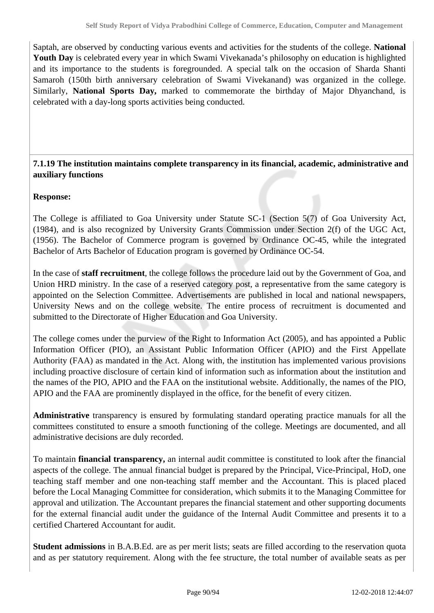Saptah, are observed by conducting various events and activities for the students of the college. **National Youth Day** is celebrated every year in which Swami Vivekanada's philosophy on education is highlighted and its importance to the students is foregrounded. A special talk on the occasion of Sharda Shanti Samaroh (150th birth anniversary celebration of Swami Vivekanand) was organized in the college. Similarly, **National Sports Day,** marked to commemorate the birthday of Major Dhyanchand, is celebrated with a day-long sports activities being conducted.

## **7.1.19 The institution maintains complete transparency in its financial, academic, administrative and auxiliary functions**

## **Response:**

The College is affiliated to Goa University under Statute SC-1 (Section 5(7) of Goa University Act, (1984), and is also recognized by University Grants Commission under Section 2(f) of the UGC Act, (1956). The Bachelor of Commerce program is governed by Ordinance OC-45, while the integrated Bachelor of Arts Bachelor of Education program is governed by Ordinance OC-54.

In the case of **staff recruitment**, the college follows the procedure laid out by the Government of Goa, and Union HRD ministry. In the case of a reserved category post, a representative from the same category is appointed on the Selection Committee. Advertisements are published in local and national newspapers, University News and on the college website. The entire process of recruitment is documented and submitted to the Directorate of Higher Education and Goa University.

The college comes under the purview of the Right to Information Act (2005), and has appointed a Public Information Officer (PIO), an Assistant Public Information Officer (APIO) and the First Appellate Authority (FAA) as mandated in the Act. Along with, the institution has implemented various provisions including proactive disclosure of certain kind of information such as information about the institution and the names of the PIO, APIO and the FAA on the institutional website. Additionally, the names of the PIO, APIO and the FAA are prominently displayed in the office, for the benefit of every citizen.

**Administrative** transparency is ensured by formulating standard operating practice manuals for all the committees constituted to ensure a smooth functioning of the college. Meetings are documented, and all administrative decisions are duly recorded.

To maintain **financial transparency,** an internal audit committee is constituted to look after the financial aspects of the college. The annual financial budget is prepared by the Principal, Vice-Principal, HoD, one teaching staff member and one non-teaching staff member and the Accountant. This is placed placed before the Local Managing Committee for consideration, which submits it to the Managing Committee for approval and utilization. The Accountant prepares the financial statement and other supporting documents for the external financial audit under the guidance of the Internal Audit Committee and presents it to a certified Chartered Accountant for audit.

**Student admissions** in B.A.B.Ed. are as per merit lists; seats are filled according to the reservation quota and as per statutory requirement. Along with the fee structure, the total number of available seats as per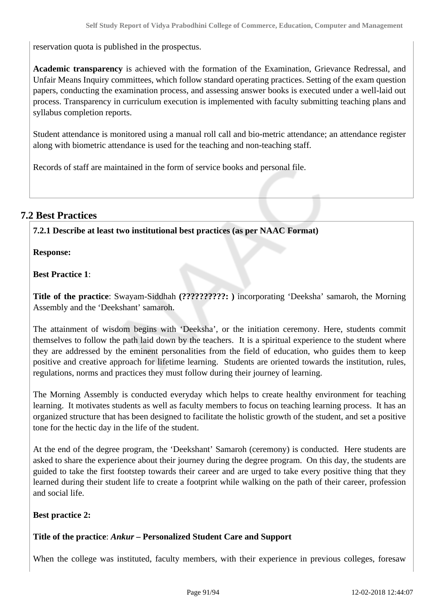reservation quota is published in the prospectus.

**Academic transparency** is achieved with the formation of the Examination, Grievance Redressal, and Unfair Means Inquiry committees, which follow standard operating practices. Setting of the exam question papers, conducting the examination process, and assessing answer books is executed under a well-laid out process. Transparency in curriculum execution is implemented with faculty submitting teaching plans and syllabus completion reports.

Student attendance is monitored using a manual roll call and bio-metric attendance; an attendance register along with biometric attendance is used for the teaching and non-teaching staff.

Records of staff are maintained in the form of service books and personal file.

## **7.2 Best Practices**

**7.2.1 Describe at least two institutional best practices (as per NAAC Format)**

**Response:** 

**Best Practice 1**:

**Title of the practice**: Swayam-Siddhah **(??????????: )** incorporating 'Deeksha' samaroh, the Morning Assembly and the 'Deekshant' samaroh.

The attainment of wisdom begins with 'Deeksha', or the initiation ceremony. Here, students commit themselves to follow the path laid down by the teachers. It is a spiritual experience to the student where they are addressed by the eminent personalities from the field of education, who guides them to keep positive and creative approach for lifetime learning. Students are oriented towards the institution, rules, regulations, norms and practices they must follow during their journey of learning.

The Morning Assembly is conducted everyday which helps to create healthy environment for teaching learning. It motivates students as well as faculty members to focus on teaching learning process. It has an organized structure that has been designed to facilitate the holistic growth of the student, and set a positive tone for the hectic day in the life of the student.

At the end of the degree program, the 'Deekshant' Samaroh (ceremony) is conducted. Here students are asked to share the experience about their journey during the degree program. On this day, the students are guided to take the first footstep towards their career and are urged to take every positive thing that they learned during their student life to create a footprint while walking on the path of their career, profession and social life.

**Best practice 2:**

## **Title of the practice**: *Ankur* **– Personalized Student Care and Support**

When the college was instituted, faculty members, with their experience in previous colleges, foresaw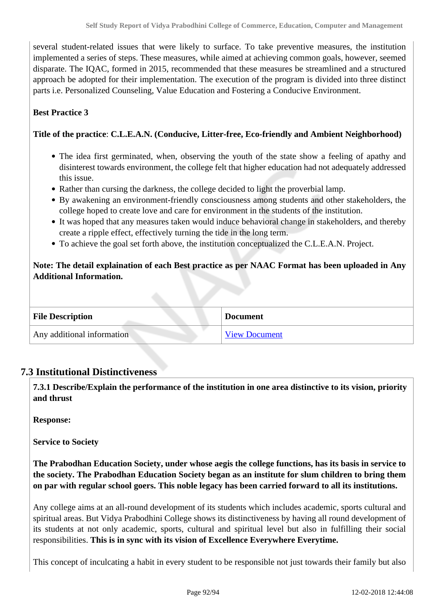several student-related issues that were likely to surface. To take preventive measures, the institution implemented a series of steps. These measures, while aimed at achieving common goals, however, seemed disparate. The IQAC, formed in 2015, recommended that these measures be streamlined and a structured approach be adopted for their implementation. The execution of the program is divided into three distinct parts i.e. Personalized Counseling, Value Education and Fostering a Conducive Environment.

## **Best Practice 3**

## **Title of the practice**: **C.L.E.A.N. (Conducive, Litter-free, Eco-friendly and Ambient Neighborhood)**

- The idea first germinated, when, observing the youth of the state show a feeling of apathy and disinterest towards environment, the college felt that higher education had not adequately addressed this issue.
- Rather than cursing the darkness, the college decided to light the proverbial lamp.
- By awakening an environment-friendly consciousness among students and other stakeholders, the college hoped to create love and care for environment in the students of the institution.
- It was hoped that any measures taken would induce behavioral change in stakeholders, and thereby create a ripple effect, effectively turning the tide in the long term.
- To achieve the goal set forth above, the institution conceptualized the C.L.E.A.N. Project.

## **Note: The detail explaination of each Best practice as per NAAC Format has been uploaded in Any Additional Information.**

| <b>File Description</b>    | <b>Document</b>      |
|----------------------------|----------------------|
| Any additional information | <b>View Document</b> |

## **7.3 Institutional Distinctiveness**

 **7.3.1 Describe/Explain the performance of the institution in one area distinctive to its vision, priority and thrust**

**Response:** 

**Service to Society**

**The Prabodhan Education Society, under whose aegis the college functions, has its basis in service to the society. The Prabodhan Education Society began as an institute for slum children to bring them on par with regular school goers. This noble legacy has been carried forward to all its institutions.** 

Any college aims at an all-round development of its students which includes academic, sports cultural and spiritual areas. But Vidya Prabodhini College shows its distinctiveness by having all round development of its students at not only academic, sports, cultural and spiritual level but also in fulfilling their social responsibilities. **This is in sync with its vision of Excellence Everywhere Everytime.**

This concept of inculcating a habit in every student to be responsible not just towards their family but also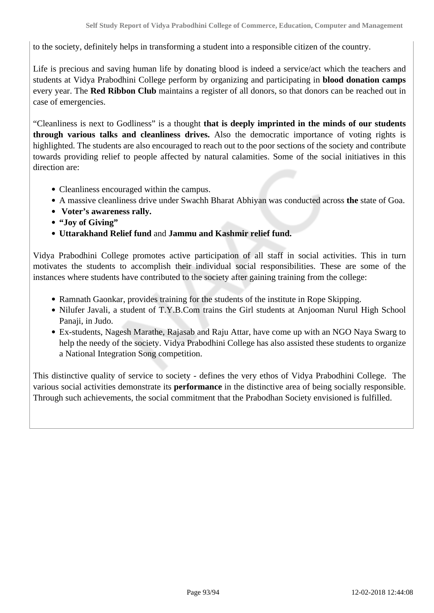to the society, definitely helps in transforming a student into a responsible citizen of the country.

Life is precious and saving human life by donating blood is indeed a service/act which the teachers and students at Vidya Prabodhini College perform by organizing and participating in **blood donation camps** every year. The **Red Ribbon Club** maintains a register of all donors, so that donors can be reached out in case of emergencies.

"Cleanliness is next to Godliness" is a thought **that is deeply imprinted in the minds of our students through various talks and cleanliness drives.** Also the democratic importance of voting rights is highlighted. The students are also encouraged to reach out to the poor sections of the society and contribute towards providing relief to people affected by natural calamities. Some of the social initiatives in this direction are:

- Cleanliness encouraged within the campus.
- A massive cleanliness drive under Swachh Bharat Abhiyan was conducted across **the** state of Goa.
- **Voter's awareness rally.**
- **"Joy of Giving"**
- **Uttarakhand Relief fund** and **Jammu and Kashmir relief fund.**

Vidya Prabodhini College promotes active participation of all staff in social activities. This in turn motivates the students to accomplish their individual social responsibilities. These are some of the instances where students have contributed to the society after gaining training from the college:

- Ramnath Gaonkar, provides training for the students of the institute in Rope Skipping.
- Nilufer Javali, a student of T.Y.B.Com trains the Girl students at Anjooman Nurul High School Panaji, in Judo.
- Ex-students, Nagesh Marathe, Rajasab and Raju Attar, have come up with an NGO Naya Swarg to help the needy of the society. Vidya Prabodhini College has also assisted these students to organize a National Integration Song competition.

This distinctive quality of service to society - defines the very ethos of Vidya Prabodhini College. The various social activities demonstrate its **performance** in the distinctive area of being socially responsible. Through such achievements, the social commitment that the Prabodhan Society envisioned is fulfilled.